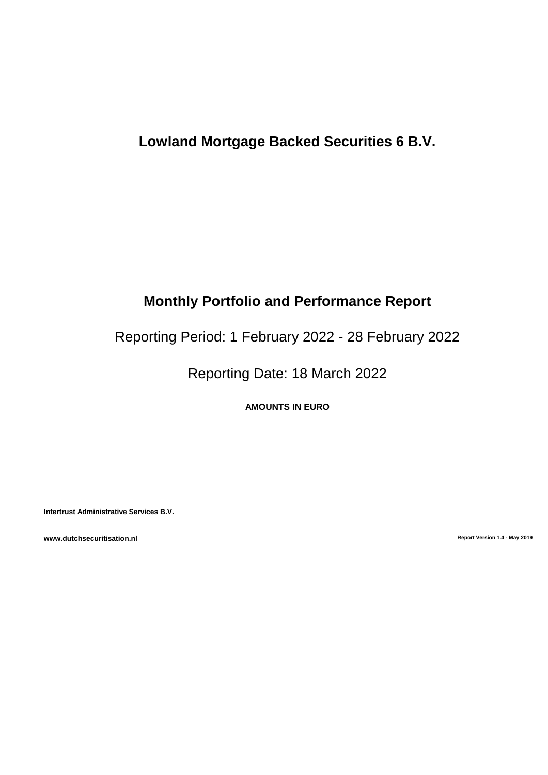# **Lowland Mortgage Backed Securities 6 B.V.**

# **Monthly Portfolio and Performance Report**

Reporting Period: 1 February 2022 - 28 February 2022

Reporting Date: 18 March 2022

**AMOUNTS IN EURO**

**Intertrust Administrative Services B.V.**

**www.dutchsecuritisation.nl Report Version 1.4 - May 2019**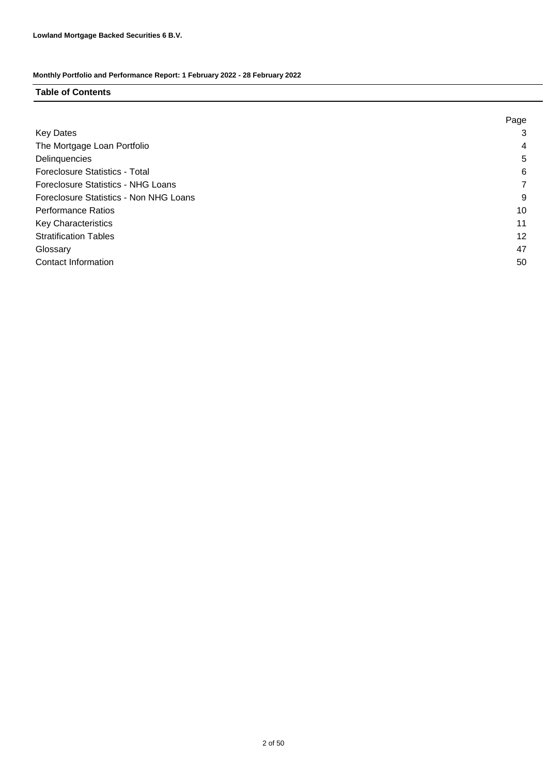### **Table of Contents**

|                                        | Page |
|----------------------------------------|------|
| <b>Key Dates</b>                       | 3    |
| The Mortgage Loan Portfolio            | 4    |
| Delinquencies                          | 5    |
| <b>Foreclosure Statistics - Total</b>  | 6    |
| Foreclosure Statistics - NHG Loans     |      |
| Foreclosure Statistics - Non NHG Loans | 9    |
| <b>Performance Ratios</b>              | 10   |
| <b>Key Characteristics</b>             | 11   |
| <b>Stratification Tables</b>           | 12   |
| Glossary                               | 47   |
| Contact Information                    | 50   |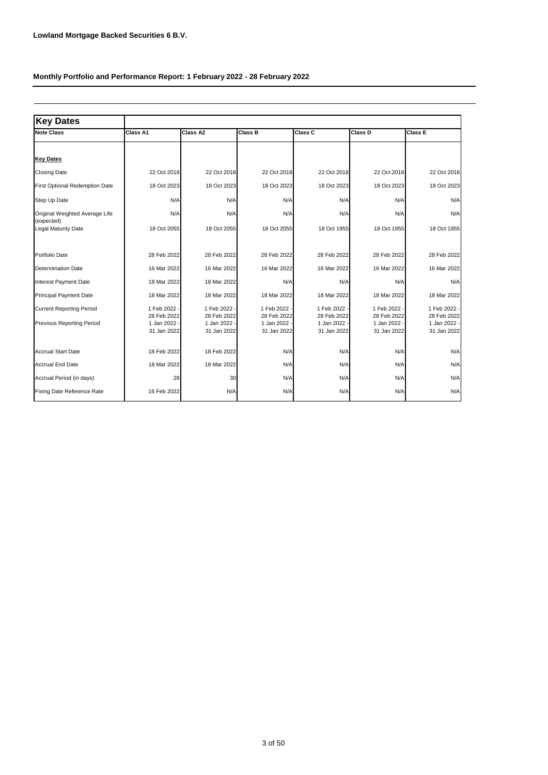| <b>Key Dates</b>                             |                           |                             |                           |                           |                           |                             |
|----------------------------------------------|---------------------------|-----------------------------|---------------------------|---------------------------|---------------------------|-----------------------------|
| <b>Note Class</b>                            | Class A1                  | Class A2                    | Class B                   | <b>Class C</b>            | <b>Class D</b>            | Class E                     |
|                                              |                           |                             |                           |                           |                           |                             |
| <b>Key Dates</b>                             |                           |                             |                           |                           |                           |                             |
| <b>Closing Date</b>                          | 22 Oct 2018               | 22 Oct 2018                 | 22 Oct 2018               | 22 Oct 2018               | 22 Oct 2018               | 22 Oct 2018                 |
| First Optional Redemption Date               | 18 Oct 2023               | 18 Oct 2023                 | 18 Oct 2023               | 18 Oct 2023               | 18 Oct 2023               | 18 Oct 2023                 |
| Step Up Date                                 | N/A                       | N/A                         | N/A                       | N/A                       | N/A                       | N/A                         |
| Original Weighted Average Life<br>(expected) | N/A                       | N/A                         | N/A                       | N/A                       | N/A                       | N/A                         |
| <b>Legal Maturity Date</b>                   | 18 Oct 2055               | 18 Oct 2055                 | 18 Oct 2055               | 18 Oct 1955               | 18 Oct 1955               | 18 Oct 1955                 |
| Portfolio Date                               | 28 Feb 2022               | 28 Feb 2022                 | 28 Feb 2022               | 28 Feb 2022               | 28 Feb 2022               | 28 Feb 2022                 |
| Determination Date                           | 16 Mar 2022               | 16 Mar 2022                 | 16 Mar 2022               | 16 Mar 2022               | 16 Mar 2022               | 16 Mar 2022                 |
| <b>Interest Payment Date</b>                 | 18 Mar 2022               | 18 Mar 2022                 | N/A                       | N/A                       | N/A                       | N/A                         |
| <b>Principal Payment Date</b>                | 18 Mar 2022               | 18 Mar 2022                 | 18 Mar 2022               | 18 Mar 2022               | 18 Mar 2022               | 18 Mar 2022                 |
| <b>Current Reporting Period</b>              | 1 Feb 2022<br>28 Feb 2022 | 1 Feb 2022 -<br>28 Feb 2022 | 1 Feb 2022<br>28 Feb 2022 | 1 Feb 2022<br>28 Feb 2022 | 1 Feb 2022<br>28 Feb 2022 | 1 Feb 2022 -<br>28 Feb 2022 |
| Previous Reporting Period                    | 1 Jan 2022<br>31 Jan 2022 | 1 Jan 2022 -<br>31 Jan 2022 | 1 Jan 2022<br>31 Jan 2022 | 1 Jan 2022<br>31 Jan 2022 | 1 Jan 2022<br>31 Jan 2022 | 1 Jan 2022 -<br>31 Jan 2022 |
| <b>Accrual Start Date</b>                    | 18 Feb 2022               | 18 Feb 2022                 | N/A                       | N/A                       | N/A                       | N/A                         |
| <b>Accrual End Date</b>                      | 18 Mar 2022               | 18 Mar 2022                 | N/A                       | N/A                       | N/A                       | N/A                         |
| Accrual Period (in days)                     | 28                        | 30                          | N/A                       | N/A                       | N/A                       | N/A                         |
| Fixing Date Reference Rate                   | 16 Feb 2022               | N/A                         | N/A                       | N/A                       | N/A                       | N/A                         |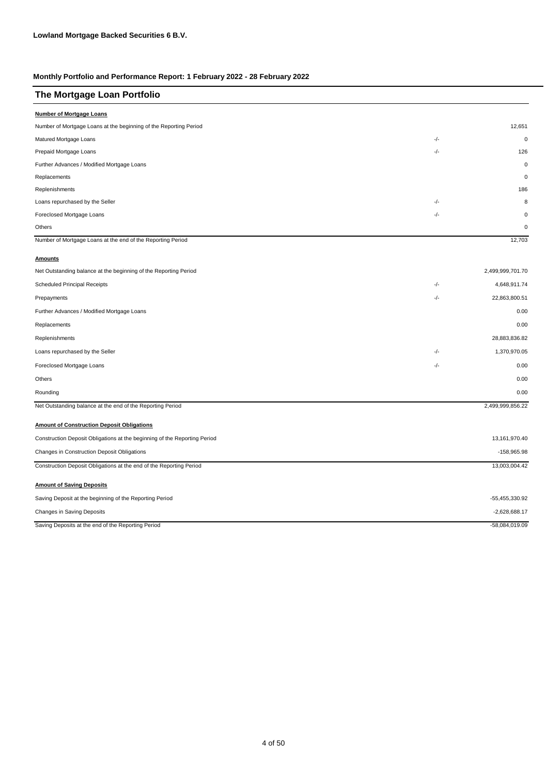| The Mortgage Loan Portfolio                                               |       |                  |
|---------------------------------------------------------------------------|-------|------------------|
| <b>Number of Mortgage Loans</b>                                           |       |                  |
| Number of Mortgage Loans at the beginning of the Reporting Period         |       | 12,651           |
| Matured Mortgage Loans                                                    | -/-   | $\mathbf 0$      |
| Prepaid Mortgage Loans                                                    | -/-   | 126              |
| Further Advances / Modified Mortgage Loans                                |       | $\mathbf 0$      |
| Replacements                                                              |       | $\mathbf 0$      |
| Replenishments                                                            |       | 186              |
| Loans repurchased by the Seller                                           | -/-   | 8                |
| Foreclosed Mortgage Loans                                                 | -/-   | $\mathbf 0$      |
| Others                                                                    |       | $\mathbf 0$      |
| Number of Mortgage Loans at the end of the Reporting Period               |       | 12,703           |
| <b>Amounts</b>                                                            |       |                  |
| Net Outstanding balance at the beginning of the Reporting Period          |       | 2,499,999,701.70 |
| <b>Scheduled Principal Receipts</b>                                       | -/-   | 4,648,911.74     |
| Prepayments                                                               | $-/-$ | 22,863,800.51    |
| Further Advances / Modified Mortgage Loans                                |       | 0.00             |
| Replacements                                                              |       | 0.00             |
| Replenishments                                                            |       | 28,883,836.82    |
| Loans repurchased by the Seller                                           | -/-   | 1,370,970.05     |
| Foreclosed Mortgage Loans                                                 | $-/-$ | 0.00             |
| Others                                                                    |       | 0.00             |
| Rounding                                                                  |       | 0.00             |
| Net Outstanding balance at the end of the Reporting Period                |       | 2,499,999,856.22 |
| <b>Amount of Construction Deposit Obligations</b>                         |       |                  |
| Construction Deposit Obligations at the beginning of the Reporting Period |       | 13,161,970.40    |
| Changes in Construction Deposit Obligations                               |       | -158,965.98      |
| Construction Deposit Obligations at the end of the Reporting Period       |       | 13,003,004.42    |
| <b>Amount of Saving Deposits</b>                                          |       |                  |
| Saving Deposit at the beginning of the Reporting Period                   |       | -55,455,330.92   |
| Changes in Saving Deposits                                                |       | $-2,628,688.17$  |
| Saving Deposits at the end of the Reporting Period                        |       | -58,084,019.09   |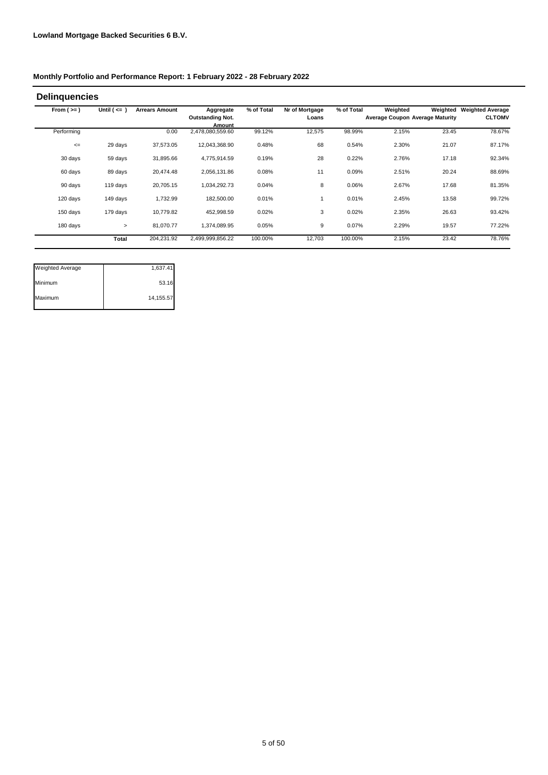#### **Delinquencies**

| From $(>=)$ | Until $($ <= $)$ | <b>Arrears Amount</b> | Aggregate<br><b>Outstanding Not.</b><br>Amount | % of Total | Nr of Mortgage<br>Loans | % of Total | Weighted | Weighted<br><b>Average Coupon Average Maturity</b> | <b>Weighted Average</b><br><b>CLTOMV</b> |
|-------------|------------------|-----------------------|------------------------------------------------|------------|-------------------------|------------|----------|----------------------------------------------------|------------------------------------------|
| Performing  |                  | 0.00                  | 2,478,080,559.60                               | 99.12%     | 12,575                  | 98.99%     | 2.15%    | 23.45                                              | 78.67%                                   |
| $\leq$      | 29 days          | 37.573.05             | 12,043,368.90                                  | 0.48%      | 68                      | 0.54%      | 2.30%    | 21.07                                              | 87.17%                                   |
| 30 days     | 59 days          | 31,895.66             | 4,775,914.59                                   | 0.19%      | 28                      | 0.22%      | 2.76%    | 17.18                                              | 92.34%                                   |
| 60 days     | 89 days          | 20,474.48             | 2,056,131.86                                   | 0.08%      | 11                      | 0.09%      | 2.51%    | 20.24                                              | 88.69%                                   |
| 90 days     | 119 days         | 20,705.15             | 1,034,292.73                                   | 0.04%      | 8                       | 0.06%      | 2.67%    | 17.68                                              | 81.35%                                   |
| 120 days    | 149 days         | 1,732.99              | 182,500.00                                     | 0.01%      |                         | 0.01%      | 2.45%    | 13.58                                              | 99.72%                                   |
| 150 days    | 179 days         | 10,779.82             | 452,998.59                                     | 0.02%      | 3                       | 0.02%      | 2.35%    | 26.63                                              | 93.42%                                   |
| 180 days    | $\geq$           | 81.070.77             | 1.374.089.95                                   | 0.05%      | 9                       | 0.07%      | 2.29%    | 19.57                                              | 77.22%                                   |
|             | <b>Total</b>     | 204,231.92            | 2,499,999,856.22                               | 100.00%    | 12,703                  | 100.00%    | 2.15%    | 23.42                                              | 78.76%                                   |

| <b>Weighted Average</b> | 1,637.41  |
|-------------------------|-----------|
| Minimum                 | 53.16     |
| Maximum                 | 14,155.57 |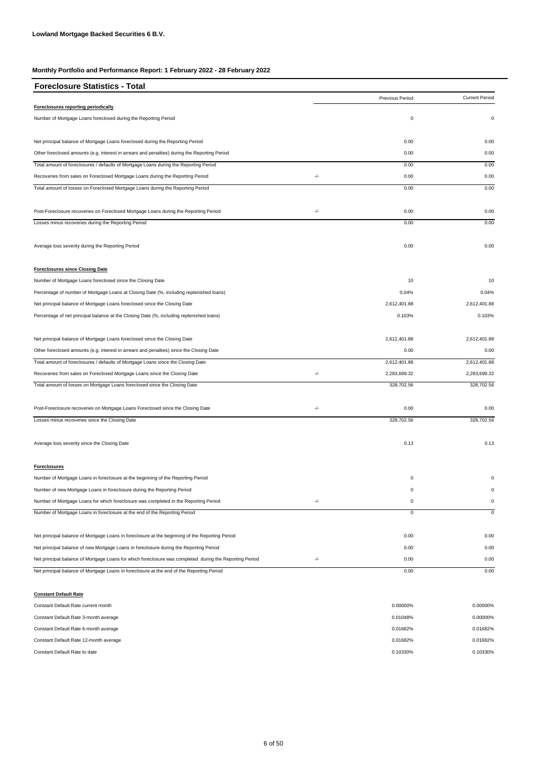| <b>Foreclosure Statistics - Total</b>                                                                   |       |                 |                       |
|---------------------------------------------------------------------------------------------------------|-------|-----------------|-----------------------|
|                                                                                                         |       | Previous Period | <b>Current Period</b> |
| Foreclosures reporting periodically                                                                     |       |                 |                       |
| Number of Mortgage Loans foreclosed during the Reporting Period                                         |       | 0               | $\pmb{0}$             |
| Net principal balance of Mortgage Loans foreclosed during the Reporting Period                          |       | 0.00            | 0.00                  |
| Other foreclosed amounts (e.g. interest in arrears and penalties) during the Reporting Period           |       | 0.00            | 0.00                  |
| Total amount of foreclosures / defaults of Mortgage Loans during the Reporting Period                   |       | 0.00            | 0.00                  |
| Recoveries from sales on Foreclosed Mortgage Loans during the Reporting Period                          | -/-   | 0.00            | 0.00                  |
| Total amount of losses on Foreclosed Mortgage Loans during the Reporting Period                         |       | 0.00            | 0.00                  |
| Post-Foreclosure recoveries on Foreclosed Mortgage Loans during the Reporting Period                    | -/-   | 0.00            | 0.00                  |
| Losses minus recoveries during the Reporting Period                                                     |       | 0.00            | 0.00                  |
| Average loss severity during the Reporting Period                                                       |       | 0.00            | 0.00                  |
| <b>Foreclosures since Closing Date</b>                                                                  |       |                 |                       |
| Number of Mortgage Loans foreclosed since the Closing Date                                              |       | 10              | 10                    |
| Percentage of number of Mortgage Loans at Closing Date (%, including replenished loans)                 |       | 0.04%           | 0.04%                 |
| Net principal balance of Mortgage Loans foreclosed since the Closing Date                               |       | 2,612,401.88    | 2,612,401.88          |
| Percentage of net principal balance at the Closing Date (%, including replenished loans)                |       | 0.103%          | 0.103%                |
| Net principal balance of Mortgage Loans foreclosed since the Closing Date                               |       | 2,612,401.88    | 2,612,401.88          |
| Other foreclosed amounts (e.g. interest in arrears and penalties) since the Closing Date                |       | 0.00            | 0.00                  |
| Total amount of foreclosures / defaults of Mortgage Loans since the Closing Date                        |       | 2,612,401.88    | 2,612,401.88          |
| Recoveries from sales on Foreclosed Mortgage Loans since the Closing Date                               | $-/-$ | 2,283,699.32    | 2,283,699.32          |
| Total amount of losses on Mortgage Loans foreclosed since the Closing Date                              |       | 328,702.56      | 328,702.56            |
| Post-Foreclosure recoveries on Mortgage Loans Foreclosed since the Closing Date                         | -/-   | 0.00            | 0.00                  |
| Losses minus recoveries since the Closing Date                                                          |       | 328,702.56      | 328,702.56            |
| Average loss severity since the Closing Date                                                            |       | 0.13            | 0.13                  |
| <b>Foreclosures</b>                                                                                     |       |                 |                       |
| Number of Mortgage Loans in foreclosure at the beginning of the Reporting Period                        |       | $\mathbf 0$     | $^{\circ}$            |
| Number of new Mortgage Loans in foreclosure during the Reporting Period                                 |       | 0               | $\pmb{0}$             |
| Number of Mortgage Loans for which foreclosure was completed in the Reporting Period                    | -/-   | 0               | 0                     |
| Number of Mortgage Loans in foreclosure at the end of the Reporting Period                              |       | 0               | $\mathbf 0$           |
| Net principal balance of Mortgage Loans in foreclosure at the beginning of the Reporting Period         |       | 0.00            | 0.00                  |
| Net principal balance of new Mortgage Loans in foreclosure during the Reporting Period                  |       | 0.00            | 0.00                  |
| Net principal balance of Mortgage Loans for which foreclosure was completed during the Reporting Period | -/-   | 0.00            | 0.00                  |
| Net principal balance of Mortgage Loans in foreclosure at the end of the Reporting Period               |       | 0.00            | 0.00                  |

#### **Constant Default Rate**

| Constant Default Rate current month    | 0.00000% | 0.00000% |
|----------------------------------------|----------|----------|
| Constant Default Rate 3-month average  | 0.01048% | 0.00000% |
| Constant Default Rate 6-month average  | 0.01682% | 0.01682% |
| Constant Default Rate 12-month average | 0.01682% | 0.01682% |
| Constant Default Rate to date          | 0.10330% | 0.10330% |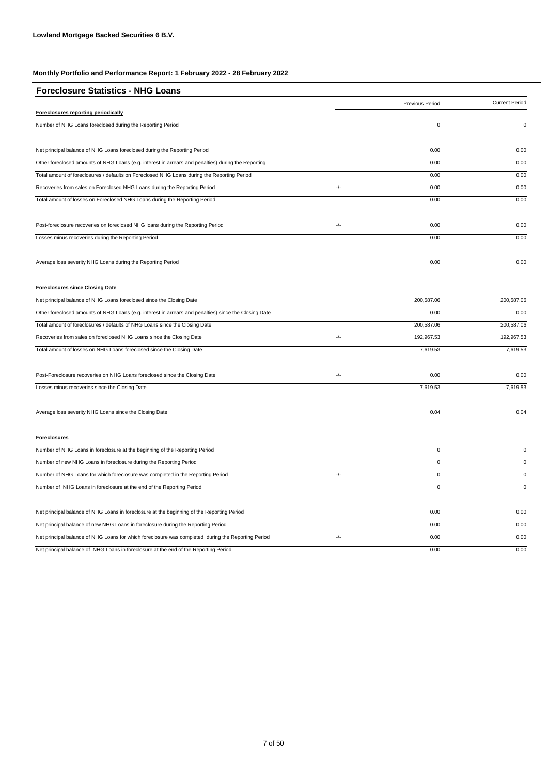| <b>Foreclosure Statistics - NHG Loans</b>                                                             |       |                 |                       |
|-------------------------------------------------------------------------------------------------------|-------|-----------------|-----------------------|
|                                                                                                       |       | Previous Period | <b>Current Period</b> |
| <b>Foreclosures reporting periodically</b>                                                            |       |                 |                       |
| Number of NHG Loans foreclosed during the Reporting Period                                            |       | $\pmb{0}$       | 0                     |
| Net principal balance of NHG Loans foreclosed during the Reporting Period                             |       | 0.00            | 0.00                  |
| Other foreclosed amounts of NHG Loans (e.g. interest in arrears and penalties) during the Reporting   |       | 0.00            | 0.00                  |
| Total amount of foreclosures / defaults on Foreclosed NHG Loans during the Reporting Period           |       | 0.00            | 0.00                  |
| Recoveries from sales on Foreclosed NHG Loans during the Reporting Period                             | $-/-$ | 0.00            | 0.00                  |
| Total amount of losses on Foreclosed NHG Loans during the Reporting Period                            |       | 0.00            | 0.00                  |
| Post-foreclosure recoveries on foreclosed NHG loans during the Reporting Period                       | -/-   | 0.00            | 0.00                  |
| Losses minus recoveries during the Reporting Period                                                   |       | 0.00            | 0.00                  |
| Average loss severity NHG Loans during the Reporting Period                                           |       | 0.00            | 0.00                  |
| <b>Foreclosures since Closing Date</b>                                                                |       |                 |                       |
| Net principal balance of NHG Loans foreclosed since the Closing Date                                  |       | 200,587.06      | 200,587.06            |
| Other foreclosed amounts of NHG Loans (e.g. interest in arrears and penalties) since the Closing Date |       | 0.00            | 0.00                  |
| Total amount of foreclosures / defaults of NHG Loans since the Closing Date                           |       | 200,587.06      | 200,587.06            |
| Recoveries from sales on foreclosed NHG Loans since the Closing Date                                  | $-/-$ | 192,967.53      | 192,967.53            |
| Total amount of losses on NHG Loans foreclosed since the Closing Date                                 |       | 7,619.53        | 7,619.53              |
| Post-Foreclosure recoveries on NHG Loans foreclosed since the Closing Date                            | $-/-$ | 0.00            | 0.00                  |
| Losses minus recoveries since the Closing Date                                                        |       | 7,619.53        | 7,619.53              |
| Average loss severity NHG Loans since the Closing Date                                                |       | 0.04            | 0.04                  |
| <b>Foreclosures</b>                                                                                   |       |                 |                       |
| Number of NHG Loans in foreclosure at the beginning of the Reporting Period                           |       | $\mathbf 0$     | $\Omega$              |
| Number of new NHG Loans in foreclosure during the Reporting Period                                    |       | $\mathbf 0$     | 0                     |
| Number of NHG Loans for which foreclosure was completed in the Reporting Period                       | $-/-$ | $\pmb{0}$       | $\pmb{0}$             |
| Number of NHG Loans in foreclosure at the end of the Reporting Period                                 |       | $\overline{0}$  | $\mathsf 0$           |
| Net principal balance of NHG Loans in foreclosure at the beginning of the Reporting Period            |       | 0.00            | 0.00                  |
| Net principal balance of new NHG Loans in foreclosure during the Reporting Period                     |       | 0.00            | 0.00                  |
| Net principal balance of NHG Loans for which foreclosure was completed during the Reporting Period    | $-/-$ | 0.00            | 0.00                  |
| Net principal balance of NHG Loans in foreclosure at the end of the Reporting Period                  |       | 0.00            | 0.00                  |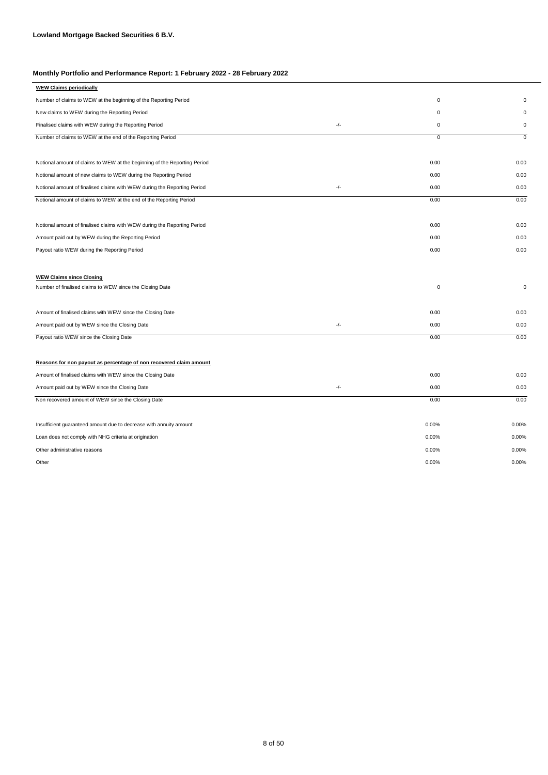| <b>WEW Claims periodically</b>                                            |       |             |             |
|---------------------------------------------------------------------------|-------|-------------|-------------|
| Number of claims to WEW at the beginning of the Reporting Period          |       | 0           | $\Omega$    |
| New claims to WEW during the Reporting Period                             |       | 0           | 0           |
| Finalised claims with WEW during the Reporting Period                     | -/-   | 0           | 0           |
| Number of claims to WEW at the end of the Reporting Period                |       | $\mathsf 0$ | $\mathsf 0$ |
|                                                                           |       |             |             |
| Notional amount of claims to WEW at the beginning of the Reporting Period |       | 0.00        | 0.00        |
| Notional amount of new claims to WEW during the Reporting Period          |       | 0.00        | 0.00        |
| Notional amount of finalised claims with WEW during the Reporting Period  | $-/-$ | 0.00        | 0.00        |
| Notional amount of claims to WEW at the end of the Reporting Period       |       | 0.00        | 0.00        |
| Notional amount of finalised claims with WEW during the Reporting Period  |       | 0.00        | 0.00        |
| Amount paid out by WEW during the Reporting Period                        |       | 0.00        | 0.00        |
| Payout ratio WEW during the Reporting Period                              |       | 0.00        | 0.00        |
| <b>WEW Claims since Closing</b>                                           |       |             |             |
| Number of finalised claims to WEW since the Closing Date                  |       | 0           | 0           |
| Amount of finalised claims with WEW since the Closing Date                |       | 0.00        | 0.00        |
| Amount paid out by WEW since the Closing Date                             | $-/-$ | 0.00        | 0.00        |
| Payout ratio WEW since the Closing Date                                   |       | 0.00        | 0.00        |
| Reasons for non payout as percentage of non recovered claim amount        |       |             |             |
| Amount of finalised claims with WEW since the Closing Date                |       | 0.00        | 0.00        |
| Amount paid out by WEW since the Closing Date                             | -/-   | 0.00        | 0.00        |
| Non recovered amount of WEW since the Closing Date                        |       | 0.00        | 0.00        |
| Insufficient guaranteed amount due to decrease with annuity amount        |       | 0.00%       | 0.00%       |
| Loan does not comply with NHG criteria at origination                     |       | 0.00%       | 0.00%       |
| Other administrative reasons                                              |       | 0.00%       | 0.00%       |
| Other                                                                     |       | 0.00%       | 0.00%       |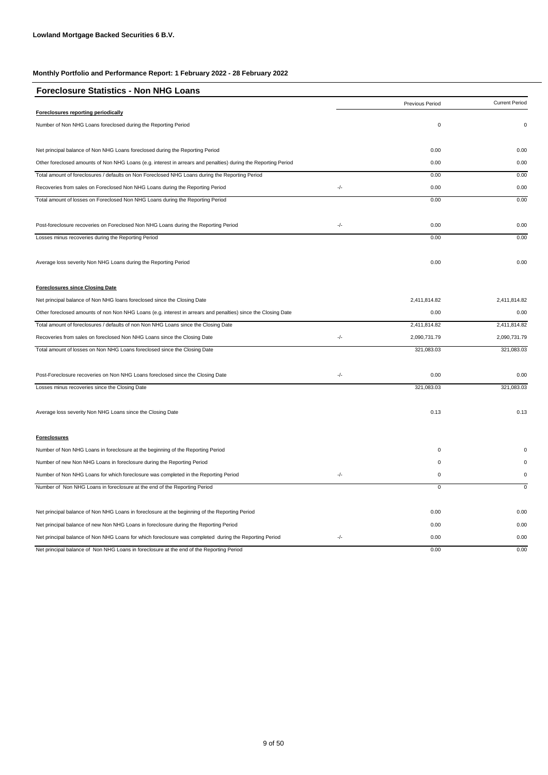| <b>Foreclosure Statistics - Non NHG Loans</b>                                                                  |               |                 |                       |
|----------------------------------------------------------------------------------------------------------------|---------------|-----------------|-----------------------|
|                                                                                                                |               | Previous Period | <b>Current Period</b> |
| <b>Foreclosures reporting periodically</b>                                                                     |               |                 |                       |
| Number of Non NHG Loans foreclosed during the Reporting Period                                                 |               | $\mathbf 0$     | $\Omega$              |
| Net principal balance of Non NHG Loans foreclosed during the Reporting Period                                  |               | 0.00            | 0.00                  |
| Other foreclosed amounts of Non NHG Loans (e.g. interest in arrears and penalties) during the Reporting Period |               | 0.00            | 0.00                  |
| Total amount of foreclosures / defaults on Non Foreclosed NHG Loans during the Reporting Period                |               | 0.00            | 0.00                  |
| Recoveries from sales on Foreclosed Non NHG Loans during the Reporting Period                                  | -/-           | 0.00            | 0.00                  |
| Total amount of losses on Foreclosed Non NHG Loans during the Reporting Period                                 |               | 0.00            | 0.00                  |
| Post-foreclosure recoveries on Foreclosed Non NHG Loans during the Reporting Period                            | -/-           | 0.00            | 0.00                  |
| Losses minus recoveries during the Reporting Period                                                            |               | 0.00            | 0.00                  |
| Average loss severity Non NHG Loans during the Reporting Period                                                |               | 0.00            | 0.00                  |
| <b>Foreclosures since Closing Date</b>                                                                         |               |                 |                       |
| Net principal balance of Non NHG loans foreclosed since the Closing Date                                       |               | 2,411,814.82    | 2,411,814.82          |
| Other foreclosed amounts of non Non NHG Loans (e.g. interest in arrears and penalties) since the Closing Date  |               | 0.00            | 0.00                  |
| Total amount of foreclosures / defaults of non Non NHG Loans since the Closing Date                            |               | 2,411,814.82    | 2,411,814.82          |
| Recoveries from sales on foreclosed Non NHG Loans since the Closing Date                                       | $\frac{1}{2}$ | 2,090,731.79    | 2,090,731.79          |
| Total amount of losses on Non NHG Loans foreclosed since the Closing Date                                      |               | 321,083.03      | 321,083.03            |
| Post-Foreclosure recoveries on Non NHG Loans foreclosed since the Closing Date                                 | $\frac{1}{2}$ | 0.00            | 0.00                  |
| Losses minus recoveries since the Closing Date                                                                 |               | 321,083.03      | 321,083.03            |
| Average loss severity Non NHG Loans since the Closing Date                                                     |               | 0.13            | 0.13                  |
| <b>Foreclosures</b>                                                                                            |               |                 |                       |
| Number of Non NHG Loans in foreclosure at the beginning of the Reporting Period                                |               | $\mathsf 0$     | $\Omega$              |
| Number of new Non NHG Loans in foreclosure during the Reporting Period                                         |               | $\mathbf{0}$    | $\Omega$              |
| Number of Non NHG Loans for which foreclosure was completed in the Reporting Period                            | -/-           | $\mathsf 0$     | $\pmb{0}$             |
| Number of Non NHG Loans in foreclosure at the end of the Reporting Period                                      |               | $\overline{0}$  | $\mathbf 0$           |
| Net principal balance of Non NHG Loans in foreclosure at the beginning of the Reporting Period                 |               | 0.00            | 0.00                  |
| Net principal balance of new Non NHG Loans in foreclosure during the Reporting Period                          |               | 0.00            | 0.00                  |
| Net principal balance of Non NHG Loans for which foreclosure was completed during the Reporting Period         | $\frac{1}{2}$ | 0.00            | 0.00                  |
| Net principal balance of Non NHG Loans in foreclosure at the end of the Reporting Period                       |               | 0.00            | 0.00                  |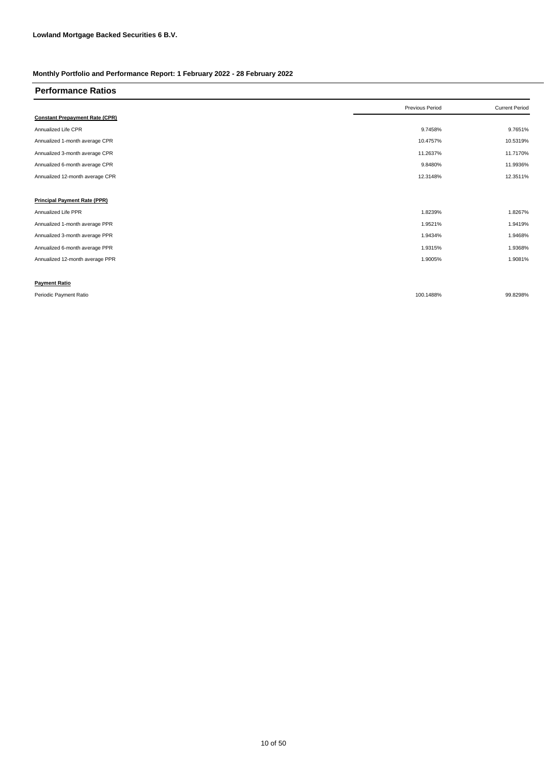| <b>Performance Ratios</b>             |                 |                       |
|---------------------------------------|-----------------|-----------------------|
|                                       | Previous Period | <b>Current Period</b> |
| <b>Constant Prepayment Rate (CPR)</b> |                 |                       |
| Annualized Life CPR                   | 9.7458%         | 9.7651%               |
| Annualized 1-month average CPR        | 10.4757%        | 10.5319%              |
| Annualized 3-month average CPR        | 11.2637%        | 11.7170%              |
| Annualized 6-month average CPR        | 9.8480%         | 11.9936%              |
| Annualized 12-month average CPR       | 12.3148%        | 12.3511%              |
|                                       |                 |                       |
| <b>Principal Payment Rate (PPR)</b>   |                 |                       |
| Annualized Life PPR                   | 1.8239%         | 1.8267%               |
| Annualized 1-month average PPR        | 1.9521%         | 1.9419%               |
| Annualized 3-month average PPR        | 1.9434%         | 1.9468%               |
| Annualized 6-month average PPR        | 1.9315%         | 1.9368%               |
| Annualized 12-month average PPR       | 1.9005%         | 1.9081%               |
|                                       |                 |                       |
| <b>Payment Ratio</b>                  |                 |                       |
| Periodic Payment Ratio                | 100.1488%       | 99.8298%              |

10 of 50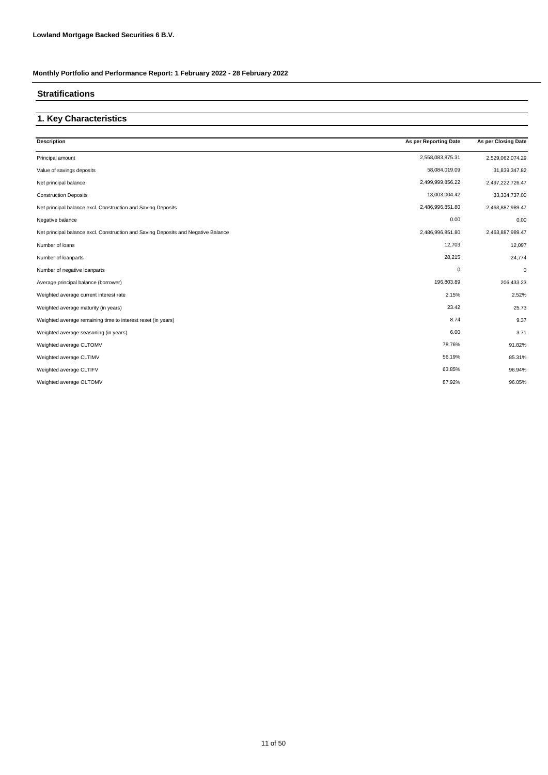#### **Stratifications**

### **1. Key Characteristics**

| <b>Description</b>                                                                | As per Reporting Date | As per Closing Date |
|-----------------------------------------------------------------------------------|-----------------------|---------------------|
| Principal amount                                                                  | 2,558,083,875.31      | 2,529,062,074.29    |
| Value of savings deposits                                                         | 58,084,019.09         | 31,839,347.82       |
| Net principal balance                                                             | 2,499,999,856.22      | 2,497,222,726.47    |
| <b>Construction Deposits</b>                                                      | 13,003,004.42         | 33,334,737.00       |
| Net principal balance excl. Construction and Saving Deposits                      | 2,486,996,851.80      | 2,463,887,989.47    |
| Negative balance                                                                  | 0.00                  | 0.00                |
| Net principal balance excl. Construction and Saving Deposits and Negative Balance | 2,486,996,851.80      | 2,463,887,989.47    |
| Number of loans                                                                   | 12,703                | 12,097              |
| Number of loanparts                                                               | 28,215                | 24,774              |
| Number of negative loanparts                                                      | $\mathbf 0$           | $\mathbf 0$         |
| Average principal balance (borrower)                                              | 196,803.89            | 206,433.23          |
| Weighted average current interest rate                                            | 2.15%                 | 2.52%               |
| Weighted average maturity (in years)                                              | 23.42                 | 25.73               |
| Weighted average remaining time to interest reset (in years)                      | 8.74                  | 9.37                |
| Weighted average seasoning (in years)                                             | 6.00                  | 3.71                |
| Weighted average CLTOMV                                                           | 78.76%                | 91.82%              |
| Weighted average CLTIMV                                                           | 56.19%                | 85.31%              |
| Weighted average CLTIFV                                                           | 63.85%                | 96.94%              |
| Weighted average OLTOMV                                                           | 87.92%                | 96.05%              |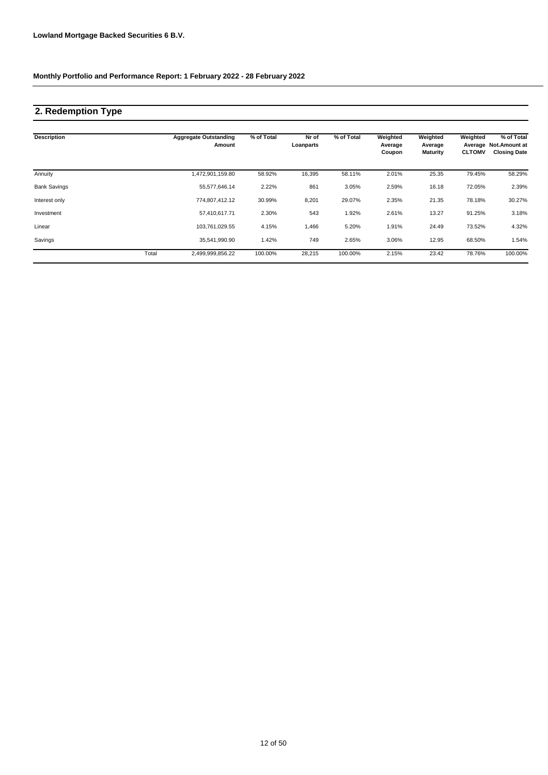### **2. Redemption Type**

| <b>Description</b>  |       | <b>Aggregate Outstanding</b><br>Amount | % of Total | Nr of<br>Loanparts | % of Total | Weighted<br>Average<br>Coupon | Weighted<br>Average<br><b>Maturity</b> | Weighted<br><b>CLTOMV</b> | % of Total<br>Average Not.Amount at<br><b>Closing Date</b> |
|---------------------|-------|----------------------------------------|------------|--------------------|------------|-------------------------------|----------------------------------------|---------------------------|------------------------------------------------------------|
| Annuity             |       | 1,472,901,159.80                       | 58.92%     | 16,395             | 58.11%     | 2.01%                         | 25.35                                  | 79.45%                    | 58.29%                                                     |
| <b>Bank Savings</b> |       | 55,577,646.14                          | 2.22%      | 861                | 3.05%      | 2.59%                         | 16.18                                  | 72.05%                    | 2.39%                                                      |
| Interest only       |       | 774,807,412.12                         | 30.99%     | 8,201              | 29.07%     | 2.35%                         | 21.35                                  | 78.18%                    | 30.27%                                                     |
| Investment          |       | 57,410,617.71                          | 2.30%      | 543                | 1.92%      | 2.61%                         | 13.27                                  | 91.25%                    | 3.18%                                                      |
| Linear              |       | 103,761,029.55                         | 4.15%      | 1,466              | 5.20%      | 1.91%                         | 24.49                                  | 73.52%                    | 4.32%                                                      |
| Savings             |       | 35,541,990.90                          | 1.42%      | 749                | 2.65%      | 3.06%                         | 12.95                                  | 68.50%                    | 1.54%                                                      |
|                     | Total | 2,499,999,856.22                       | 100.00%    | 28,215             | 100.00%    | 2.15%                         | 23.42                                  | 78.76%                    | 100.00%                                                    |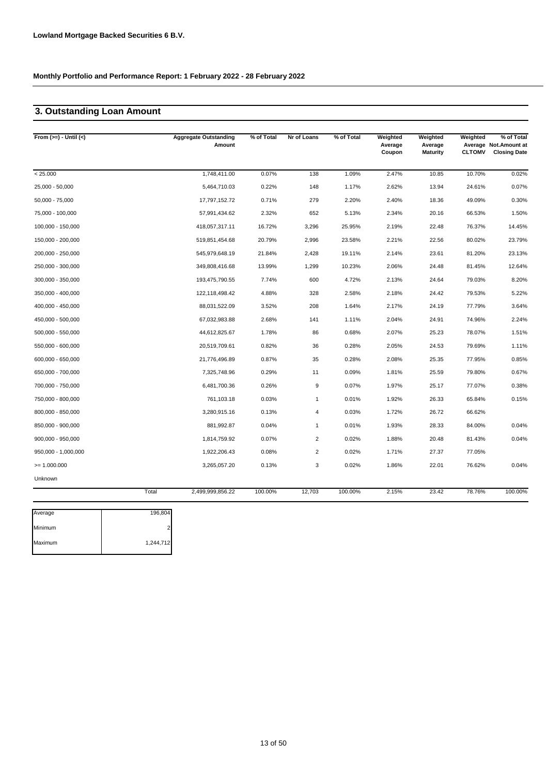### **3. Outstanding Loan Amount**

| From $(>=) -$ Until $(<)$ |         | <b>Aggregate Outstanding</b><br>Amount | % of Total | Nr of Loans      | % of Total | Weighted<br>Average<br>Coupon | Weighted<br>Average<br><b>Maturity</b> | Weighted<br><b>CLTOMV</b> | % of Total<br>Average Not.Amount at<br><b>Closing Date</b> |
|---------------------------|---------|----------------------------------------|------------|------------------|------------|-------------------------------|----------------------------------------|---------------------------|------------------------------------------------------------|
| < 25.000                  |         | 1,748,411.00                           | 0.07%      | 138              | 1.09%      | 2.47%                         | 10.85                                  | 10.70%                    | 0.02%                                                      |
| 25,000 - 50,000           |         | 5,464,710.03                           | 0.22%      | 148              | 1.17%      | 2.62%                         | 13.94                                  | 24.61%                    | 0.07%                                                      |
| 50,000 - 75,000           |         | 17,797,152.72                          | 0.71%      | 279              | 2.20%      | 2.40%                         | 18.36                                  | 49.09%                    | 0.30%                                                      |
| 75,000 - 100,000          |         | 57,991,434.62                          | 2.32%      | 652              | 5.13%      | 2.34%                         | 20.16                                  | 66.53%                    | 1.50%                                                      |
| 100,000 - 150,000         |         | 418,057,317.11                         | 16.72%     | 3,296            | 25.95%     | 2.19%                         | 22.48                                  | 76.37%                    | 14.45%                                                     |
| 150,000 - 200,000         |         | 519,851,454.68                         | 20.79%     | 2,996            | 23.58%     | 2.21%                         | 22.56                                  | 80.02%                    | 23.79%                                                     |
| 200,000 - 250,000         |         | 545,979,648.19                         | 21.84%     | 2,428            | 19.11%     | 2.14%                         | 23.61                                  | 81.20%                    | 23.13%                                                     |
| 250,000 - 300,000         |         | 349,808,416.68                         | 13.99%     | 1,299            | 10.23%     | 2.06%                         | 24.48                                  | 81.45%                    | 12.64%                                                     |
| 300,000 - 350,000         |         | 193,475,790.55                         | 7.74%      | 600              | 4.72%      | 2.13%                         | 24.64                                  | 79.03%                    | 8.20%                                                      |
| 350,000 - 400,000         |         | 122,118,498.42                         | 4.88%      | 328              | 2.58%      | 2.18%                         | 24.42                                  | 79.53%                    | 5.22%                                                      |
| 400,000 - 450,000         |         | 88,031,522.09                          | 3.52%      | 208              | 1.64%      | 2.17%                         | 24.19                                  | 77.79%                    | 3.64%                                                      |
| 450,000 - 500,000         |         | 67,032,983.88                          | 2.68%      | 141              | 1.11%      | 2.04%                         | 24.91                                  | 74.96%                    | 2.24%                                                      |
| 500,000 - 550,000         |         | 44,612,825.67                          | 1.78%      | 86               | 0.68%      | 2.07%                         | 25.23                                  | 78.07%                    | 1.51%                                                      |
| 550,000 - 600,000         |         | 20,519,709.61                          | 0.82%      | 36               | 0.28%      | 2.05%                         | 24.53                                  | 79.69%                    | 1.11%                                                      |
| 600,000 - 650,000         |         | 21,776,496.89                          | 0.87%      | 35               | 0.28%      | 2.08%                         | 25.35                                  | 77.95%                    | 0.85%                                                      |
| 650,000 - 700,000         |         | 7,325,748.96                           | 0.29%      | 11               | 0.09%      | 1.81%                         | 25.59                                  | 79.80%                    | 0.67%                                                      |
| 700,000 - 750,000         |         | 6,481,700.36                           | 0.26%      | $\boldsymbol{9}$ | 0.07%      | 1.97%                         | 25.17                                  | 77.07%                    | 0.38%                                                      |
| 750,000 - 800,000         |         | 761,103.18                             | 0.03%      | $\mathbf{1}$     | 0.01%      | 1.92%                         | 26.33                                  | 65.84%                    | 0.15%                                                      |
| 800,000 - 850,000         |         | 3,280,915.16                           | 0.13%      | 4                | 0.03%      | 1.72%                         | 26.72                                  | 66.62%                    |                                                            |
| 850,000 - 900,000         |         | 881,992.87                             | 0.04%      | $\mathbf{1}$     | 0.01%      | 1.93%                         | 28.33                                  | 84.00%                    | 0.04%                                                      |
| 900,000 - 950,000         |         | 1,814,759.92                           | 0.07%      | $\overline{2}$   | 0.02%      | 1.88%                         | 20.48                                  | 81.43%                    | 0.04%                                                      |
| 950,000 - 1,000,000       |         | 1,922,206.43                           | 0.08%      | $\overline{2}$   | 0.02%      | 1.71%                         | 27.37                                  | 77.05%                    |                                                            |
| $= 1.000.000$             |         | 3,265,057.20                           | 0.13%      | 3                | 0.02%      | 1.86%                         | 22.01                                  | 76.62%                    | 0.04%                                                      |
| Unknown                   |         |                                        |            |                  |            |                               |                                        |                           |                                                            |
|                           | Total   | 2,499,999,856.22                       | 100.00%    | 12,703           | 100.00%    | 2.15%                         | 23.42                                  | 78.76%                    | 100.00%                                                    |
| Average                   | 196,804 |                                        |            |                  |            |                               |                                        |                           |                                                            |
|                           |         |                                        |            |                  |            |                               |                                        |                           |                                                            |

| Average | 190,004   |  |
|---------|-----------|--|
| Minimum |           |  |
| Maximum | 1,244,712 |  |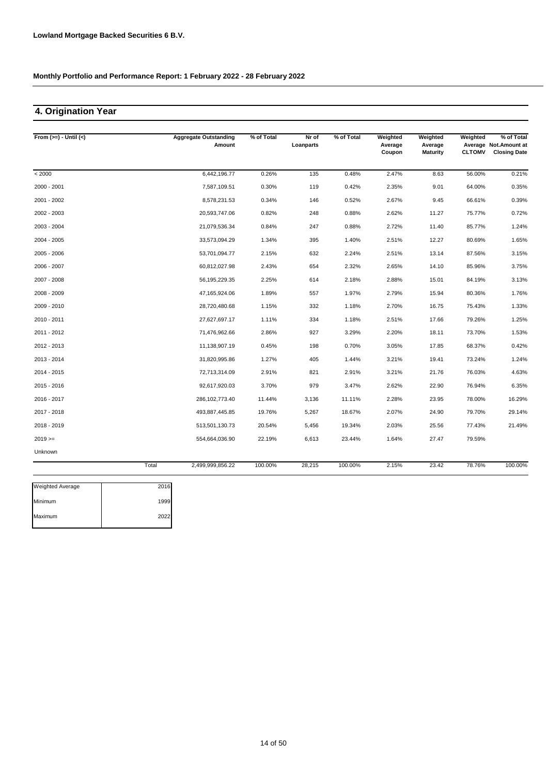## **4. Origination Year**

| From $(>=) -$ Until $(<)$ |       | <b>Aggregate Outstanding</b><br>Amount | % of Total | Nr of<br>Loanparts | % of Total | Weighted<br>Average<br>Coupon | Weighted<br>Average<br><b>Maturity</b> | Weighted<br><b>CLTOMV</b> | % of Total<br>Average Not.Amount at<br><b>Closing Date</b> |
|---------------------------|-------|----------------------------------------|------------|--------------------|------------|-------------------------------|----------------------------------------|---------------------------|------------------------------------------------------------|
| < 2000                    |       | 6,442,196.77                           | 0.26%      | 135                | 0.48%      | 2.47%                         | 8.63                                   | 56.00%                    | 0.21%                                                      |
| 2000 - 2001               |       | 7,587,109.51                           | 0.30%      | 119                | 0.42%      | 2.35%                         | 9.01                                   | 64.00%                    | 0.35%                                                      |
| 2001 - 2002               |       | 8,578,231.53                           | 0.34%      | 146                | 0.52%      | 2.67%                         | 9.45                                   | 66.61%                    | 0.39%                                                      |
| 2002 - 2003               |       | 20,593,747.06                          | 0.82%      | 248                | 0.88%      | 2.62%                         | 11.27                                  | 75.77%                    | 0.72%                                                      |
| 2003 - 2004               |       | 21,079,536.34                          | 0.84%      | 247                | 0.88%      | 2.72%                         | 11.40                                  | 85.77%                    | 1.24%                                                      |
| 2004 - 2005               |       | 33,573,094.29                          | 1.34%      | 395                | 1.40%      | 2.51%                         | 12.27                                  | 80.69%                    | 1.65%                                                      |
| 2005 - 2006               |       | 53,701,094.77                          | 2.15%      | 632                | 2.24%      | 2.51%                         | 13.14                                  | 87.56%                    | 3.15%                                                      |
| 2006 - 2007               |       | 60,812,027.98                          | 2.43%      | 654                | 2.32%      | 2.65%                         | 14.10                                  | 85.96%                    | 3.75%                                                      |
| 2007 - 2008               |       | 56, 195, 229. 35                       | 2.25%      | 614                | 2.18%      | 2.88%                         | 15.01                                  | 84.19%                    | 3.13%                                                      |
| 2008 - 2009               |       | 47,165,924.06                          | 1.89%      | 557                | 1.97%      | 2.79%                         | 15.94                                  | 80.36%                    | 1.76%                                                      |
| 2009 - 2010               |       | 28,720,480.68                          | 1.15%      | 332                | 1.18%      | 2.70%                         | 16.75                                  | 75.43%                    | 1.33%                                                      |
| 2010 - 2011               |       | 27,627,697.17                          | 1.11%      | 334                | 1.18%      | 2.51%                         | 17.66                                  | 79.26%                    | 1.25%                                                      |
| 2011 - 2012               |       | 71,476,962.66                          | 2.86%      | 927                | 3.29%      | 2.20%                         | 18.11                                  | 73.70%                    | 1.53%                                                      |
| 2012 - 2013               |       | 11,138,907.19                          | 0.45%      | 198                | 0.70%      | 3.05%                         | 17.85                                  | 68.37%                    | 0.42%                                                      |
| 2013 - 2014               |       | 31,820,995.86                          | 1.27%      | 405                | 1.44%      | 3.21%                         | 19.41                                  | 73.24%                    | 1.24%                                                      |
| 2014 - 2015               |       | 72,713,314.09                          | 2.91%      | 821                | 2.91%      | 3.21%                         | 21.76                                  | 76.03%                    | 4.63%                                                      |
| 2015 - 2016               |       | 92,617,920.03                          | 3.70%      | 979                | 3.47%      | 2.62%                         | 22.90                                  | 76.94%                    | 6.35%                                                      |
| 2016 - 2017               |       | 286, 102, 773.40                       | 11.44%     | 3,136              | 11.11%     | 2.28%                         | 23.95                                  | 78.00%                    | 16.29%                                                     |
| 2017 - 2018               |       | 493,887,445.85                         | 19.76%     | 5,267              | 18.67%     | 2.07%                         | 24.90                                  | 79.70%                    | 29.14%                                                     |
| 2018 - 2019               |       | 513,501,130.73                         | 20.54%     | 5,456              | 19.34%     | 2.03%                         | 25.56                                  | 77.43%                    | 21.49%                                                     |
| $2019 ==$                 |       | 554,664,036.90                         | 22.19%     | 6,613              | 23.44%     | 1.64%                         | 27.47                                  | 79.59%                    |                                                            |
| Unknown                   |       |                                        |            |                    |            |                               |                                        |                           |                                                            |
|                           | Total | 2,499,999,856.22                       | 100.00%    | 28,215             | 100.00%    | 2.15%                         | 23.42                                  | 78.76%                    | 100.00%                                                    |

| 2016 |
|------|
| 1999 |
| 2022 |
|      |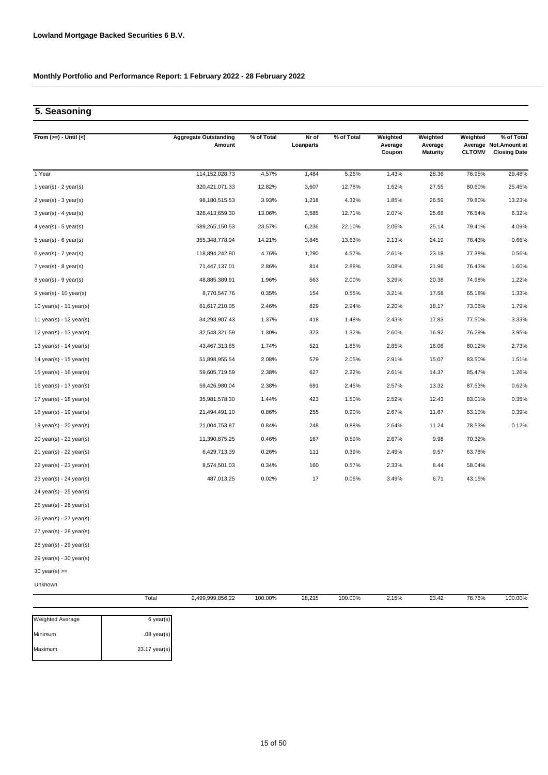### **5. Seasoning**

| From $(>=) -$ Until $(<)$   |       | <b>Aggregate Outstanding</b><br>Amount | % of Total | Nr of<br>Loanparts | % of Total | Weighted<br>Average<br>Coupon | Weighted<br>Average<br><b>Maturity</b> | Weighted<br><b>CLTOMV</b> | % of Total<br>Average Not. Amount at<br><b>Closing Date</b> |
|-----------------------------|-------|----------------------------------------|------------|--------------------|------------|-------------------------------|----------------------------------------|---------------------------|-------------------------------------------------------------|
| 1 Year                      |       | 114, 152, 028.73                       | 4.57%      | 1,484              | 5.26%      | 1.43%                         | 28.36                                  | 76.95%                    | 29.48%                                                      |
| 1 year(s) - $2$ year(s)     |       | 320,421,071.33                         | 12.82%     | 3,607              | 12.78%     | 1.62%                         | 27.55                                  | 80.60%                    | 25.45%                                                      |
| $2$ year(s) - $3$ year(s)   |       | 98,180,515.53                          | 3.93%      | 1,218              | 4.32%      | 1.85%                         | 26.59                                  | 79.80%                    | 13.23%                                                      |
| $3$ year(s) - 4 year(s)     |       | 326,413,659.30                         | 13.06%     | 3,585              | 12.71%     | 2.07%                         | 25.68                                  | 76.54%                    | 6.32%                                                       |
| 4 year(s) - $5$ year(s)     |       | 589,265,150.53                         | 23.57%     | 6,236              | 22.10%     | 2.06%                         | 25.14                                  | 79.41%                    | 4.09%                                                       |
| $5$ year(s) - 6 year(s)     |       | 355, 348, 778.94                       | 14.21%     | 3,845              | 13.63%     | 2.13%                         | 24.19                                  | 78.43%                    | 0.66%                                                       |
| $6$ year(s) - 7 year(s)     |       | 118,894,242.90                         | 4.76%      | 1,290              | 4.57%      | 2.61%                         | 23.18                                  | 77.38%                    | 0.56%                                                       |
| $7$ year(s) - 8 year(s)     |       | 71,447,137.01                          | 2.86%      | 814                | 2.88%      | 3.08%                         | 21.96                                  | 76.43%                    | 1.60%                                                       |
| $8$ year(s) - $9$ year(s)   |       | 48,885,389.91                          | 1.96%      | 563                | 2.00%      | 3.29%                         | 20.38                                  | 74.98%                    | 1.22%                                                       |
| $9$ year(s) - 10 year(s)    |       | 8,770,547.76                           | 0.35%      | 154                | 0.55%      | 3.21%                         | 17.58                                  | 65.18%                    | 1.33%                                                       |
| 10 year(s) - 11 year(s)     |       | 61,617,210.05                          | 2.46%      | 829                | 2.94%      | 2.20%                         | 18.17                                  | 73.06%                    | 1.79%                                                       |
| 11 year(s) - 12 year(s)     |       | 34,293,907.43                          | 1.37%      | 418                | 1.48%      | 2.43%                         | 17.83                                  | 77.50%                    | 3.33%                                                       |
| 12 year(s) - 13 year(s)     |       | 32,548,321.59                          | 1.30%      | 373                | 1.32%      | 2.60%                         | 16.92                                  | 76.29%                    | 3.95%                                                       |
| 13 year(s) - 14 year(s)     |       | 43,467,313.85                          | 1.74%      | 521                | 1.85%      | 2.85%                         | 16.08                                  | 80.12%                    | 2.73%                                                       |
| 14 year(s) - $15$ year(s)   |       | 51,898,955.54                          | 2.08%      | 579                | 2.05%      | 2.91%                         | 15.07                                  | 83.50%                    | 1.51%                                                       |
| 15 year(s) - 16 year(s)     |       | 59,605,719.59                          | 2.38%      | 627                | 2.22%      | 2.61%                         | 14.37                                  | 85.47%                    | 1.26%                                                       |
| 16 year(s) - 17 year(s)     |       | 59,426,980.04                          | 2.38%      | 691                | 2.45%      | 2.57%                         | 13.32                                  | 87.53%                    | 0.62%                                                       |
| 17 year(s) - 18 year(s)     |       | 35,981,578.30                          | 1.44%      | 423                | 1.50%      | 2.52%                         | 12.43                                  | 83.01%                    | 0.35%                                                       |
| 18 year(s) - 19 year(s)     |       | 21,494,491.10                          | 0.86%      | 255                | 0.90%      | 2.67%                         | 11.67                                  | 83.10%                    | 0.39%                                                       |
| 19 year(s) - 20 year(s)     |       | 21,004,753.87                          | 0.84%      | 248                | 0.88%      | 2.64%                         | 11.24                                  | 78.53%                    | 0.12%                                                       |
| $20$ year(s) - $21$ year(s) |       | 11,390,875.25                          | 0.46%      | 167                | 0.59%      | 2.67%                         | 9.98                                   | 70.32%                    |                                                             |
| $21$ year(s) - $22$ year(s) |       | 6,429,713.39                           | 0.26%      | 111                | 0.39%      | 2.49%                         | 9.57                                   | 63.78%                    |                                                             |
| $22$ year(s) - $23$ year(s) |       | 8,574,501.03                           | 0.34%      | 160                | 0.57%      | 2.33%                         | 8.44                                   | 58.04%                    |                                                             |
| 23 year(s) - 24 year(s)     |       | 487,013.25                             | 0.02%      | 17                 | 0.06%      | 3.49%                         | 6.71                                   | 43.15%                    |                                                             |
| 24 year(s) - 25 year(s)     |       |                                        |            |                    |            |                               |                                        |                           |                                                             |
| $25$ year(s) - $26$ year(s) |       |                                        |            |                    |            |                               |                                        |                           |                                                             |
| $26$ year(s) - 27 year(s)   |       |                                        |            |                    |            |                               |                                        |                           |                                                             |
| $27$ year(s) - $28$ year(s) |       |                                        |            |                    |            |                               |                                        |                           |                                                             |
| $28$ year(s) - $29$ year(s) |       |                                        |            |                    |            |                               |                                        |                           |                                                             |
| $29$ year(s) - $30$ year(s) |       |                                        |            |                    |            |                               |                                        |                           |                                                             |
| $30$ year(s) $>=$           |       |                                        |            |                    |            |                               |                                        |                           |                                                             |
| Unknown                     |       |                                        |            |                    |            |                               |                                        |                           |                                                             |
|                             | Total | 2,499,999,856.22                       | 100.00%    | 28,215             | 100.00%    | 2.15%                         | 23.42                                  | 78.76%                    | 100.00%                                                     |

| <b>Weighted Average</b> | 6 year(s)     |
|-------------------------|---------------|
| Minimum                 | $.08$ year(s) |
| Maximum                 | 23.17 year(s) |
|                         |               |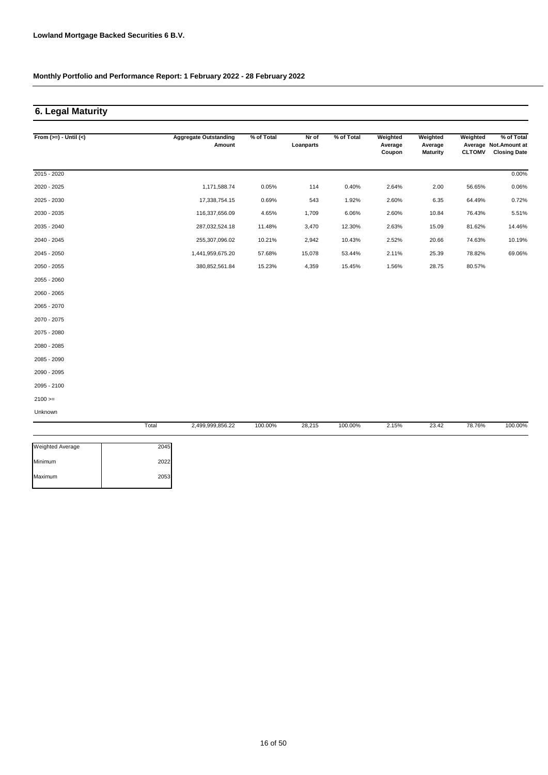## **6. Legal Maturity**

| From $(>=) -$ Until $(<)$ |       | <b>Aggregate Outstanding</b><br>Amount | % of Total | Nr of<br>Loanparts | % of Total | Weighted<br>Average<br>Coupon | Weighted<br>Average<br><b>Maturity</b> | Weighted<br><b>CLTOMV</b> | % of Total<br>Average Not.Amount at<br><b>Closing Date</b> |
|---------------------------|-------|----------------------------------------|------------|--------------------|------------|-------------------------------|----------------------------------------|---------------------------|------------------------------------------------------------|
| $2015 - 2020$             |       |                                        |            |                    |            |                               |                                        |                           | 0.00%                                                      |
| 2020 - 2025               |       | 1,171,588.74                           | 0.05%      | 114                | 0.40%      | 2.64%                         | 2.00                                   | 56.65%                    | 0.06%                                                      |
| 2025 - 2030               |       | 17,338,754.15                          | 0.69%      | 543                | 1.92%      | 2.60%                         | 6.35                                   | 64.49%                    | 0.72%                                                      |
| 2030 - 2035               |       | 116,337,656.09                         | 4.65%      | 1,709              | 6.06%      | 2.60%                         | 10.84                                  | 76.43%                    | 5.51%                                                      |
| 2035 - 2040               |       | 287,032,524.18                         | 11.48%     | 3,470              | 12.30%     | 2.63%                         | 15.09                                  | 81.62%                    | 14.46%                                                     |
| 2040 - 2045               |       | 255,307,096.02                         | 10.21%     | 2,942              | 10.43%     | 2.52%                         | 20.66                                  | 74.63%                    | 10.19%                                                     |
| 2045 - 2050               |       | 1,441,959,675.20                       | 57.68%     | 15,078             | 53.44%     | 2.11%                         | 25.39                                  | 78.82%                    | 69.06%                                                     |
| 2050 - 2055               |       | 380,852,561.84                         | 15.23%     | 4,359              | 15.45%     | 1.56%                         | 28.75                                  | 80.57%                    |                                                            |
| 2055 - 2060               |       |                                        |            |                    |            |                               |                                        |                           |                                                            |
| 2060 - 2065               |       |                                        |            |                    |            |                               |                                        |                           |                                                            |
| 2065 - 2070               |       |                                        |            |                    |            |                               |                                        |                           |                                                            |
| 2070 - 2075               |       |                                        |            |                    |            |                               |                                        |                           |                                                            |
| 2075 - 2080               |       |                                        |            |                    |            |                               |                                        |                           |                                                            |
| 2080 - 2085               |       |                                        |            |                    |            |                               |                                        |                           |                                                            |
| 2085 - 2090               |       |                                        |            |                    |            |                               |                                        |                           |                                                            |
| 2090 - 2095               |       |                                        |            |                    |            |                               |                                        |                           |                                                            |
| 2095 - 2100               |       |                                        |            |                    |            |                               |                                        |                           |                                                            |
| $2100 >=$                 |       |                                        |            |                    |            |                               |                                        |                           |                                                            |
| Unknown                   |       |                                        |            |                    |            |                               |                                        |                           |                                                            |
|                           | Total | 2,499,999,856.22                       | 100.00%    | 28,215             | 100.00%    | 2.15%                         | 23.42                                  | 78.76%                    | 100.00%                                                    |

| 2045 |
|------|
| 2022 |
| 2053 |
|      |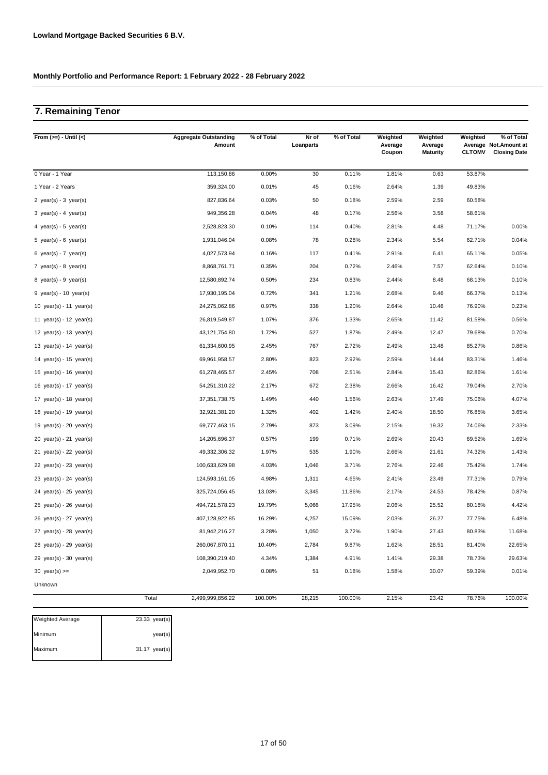## **7. Remaining Tenor**

| From $(>=) -$ Until $(<)$                 |       | <b>Aggregate Outstanding</b><br>Amount | % of Total | Nr of<br>Loanparts | % of Total | Weighted<br>Average<br>Coupon | Weighted<br>Average<br><b>Maturity</b> | Weighted<br><b>CLTOMV</b> | % of Total<br>Average Not. Amount at<br><b>Closing Date</b> |
|-------------------------------------------|-------|----------------------------------------|------------|--------------------|------------|-------------------------------|----------------------------------------|---------------------------|-------------------------------------------------------------|
| 0 Year - 1 Year                           |       | 113,150.86                             | 0.00%      | 30                 | 0.11%      | 1.81%                         | 0.63                                   | 53.87%                    |                                                             |
| 1 Year - 2 Years                          |       | 359,324.00                             | 0.01%      | 45                 | 0.16%      | 2.64%                         | 1.39                                   | 49.83%                    |                                                             |
| 2 year(s) - $3$ year(s)                   |       | 827,836.64                             | 0.03%      | 50                 | 0.18%      | 2.59%                         | 2.59                                   | 60.58%                    |                                                             |
| 3 year(s) - 4 year(s)                     |       | 949,356.28                             | 0.04%      | 48                 | 0.17%      | 2.56%                         | 3.58                                   | 58.61%                    |                                                             |
| 4 year(s) - 5 year(s)                     |       | 2,528,823.30                           | 0.10%      | 114                | 0.40%      | 2.81%                         | 4.48                                   | 71.17%                    | 0.00%                                                       |
| 5 year(s) - 6 year(s)                     |       | 1,931,046.04                           | 0.08%      | 78                 | 0.28%      | 2.34%                         | 5.54                                   | 62.71%                    | 0.04%                                                       |
| 6 year(s) - $7$ year(s)                   |       | 4,027,573.94                           | 0.16%      | 117                | 0.41%      | 2.91%                         | 6.41                                   | 65.11%                    | 0.05%                                                       |
| 7 year(s) - 8 year(s)                     |       | 8,868,761.71                           | 0.35%      | 204                | 0.72%      | 2.46%                         | 7.57                                   | 62.64%                    | 0.10%                                                       |
| 8 year(s) - $9$ year(s)                   |       | 12,580,892.74                          | 0.50%      | 234                | 0.83%      | 2.44%                         | 8.48                                   | 68.13%                    | 0.10%                                                       |
| $9$ year(s) - 10 year(s)                  |       | 17,930,195.04                          | 0.72%      | 341                | 1.21%      | 2.68%                         | 9.46                                   | 66.37%                    | 0.13%                                                       |
| 10 year(s) - 11 year(s)                   |       | 24,275,062.86                          | 0.97%      | 338                | 1.20%      | 2.64%                         | 10.46                                  | 76.90%                    | 0.23%                                                       |
| 11 year(s) - 12 year(s)                   |       | 26,819,549.87                          | 1.07%      | 376                | 1.33%      | 2.65%                         | 11.42                                  | 81.58%                    | 0.56%                                                       |
| 12 year(s) - 13 year(s)                   |       | 43,121,754.80                          | 1.72%      | 527                | 1.87%      | 2.49%                         | 12.47                                  | 79.68%                    | 0.70%                                                       |
| 13 year(s) - 14 year(s)                   |       | 61,334,600.95                          | 2.45%      | 767                | 2.72%      | 2.49%                         | 13.48                                  | 85.27%                    | 0.86%                                                       |
| 14 year(s) - 15 year(s)                   |       | 69,961,958.57                          | 2.80%      | 823                | 2.92%      | 2.59%                         | 14.44                                  | 83.31%                    | 1.46%                                                       |
| 15 year(s) - 16 year(s)                   |       | 61,278,465.57                          | 2.45%      | 708                | 2.51%      | 2.84%                         | 15.43                                  | 82.86%                    | 1.61%                                                       |
| 16 year(s) - 17 year(s)                   |       | 54,251,310.22                          | 2.17%      | 672                | 2.38%      | 2.66%                         | 16.42                                  | 79.04%                    | 2.70%                                                       |
| 17 $year(s) - 18$ $year(s)$               |       | 37, 351, 738. 75                       | 1.49%      | 440                | 1.56%      | 2.63%                         | 17.49                                  | 75.06%                    | 4.07%                                                       |
| 18 $year(s) - 19$ $year(s)$               |       | 32,921,381.20                          | 1.32%      | 402                | 1.42%      | 2.40%                         | 18.50                                  | 76.85%                    | 3.65%                                                       |
| 19 year(s) - 20 year(s)                   |       | 69,777,463.15                          | 2.79%      | 873                | 3.09%      | 2.15%                         | 19.32                                  | 74.06%                    | 2.33%                                                       |
| 20 $year(s) - 21$ $year(s)$               |       | 14,205,696.37                          | 0.57%      | 199                | 0.71%      | 2.69%                         | 20.43                                  | 69.52%                    | 1.69%                                                       |
| 21 year(s) - 22 year(s)                   |       | 49,332,306.32                          | 1.97%      | 535                | 1.90%      | 2.66%                         | 21.61                                  | 74.32%                    | 1.43%                                                       |
| 22 $year(s) - 23$ $year(s)$               |       | 100,633,629.98                         | 4.03%      | 1,046              | 3.71%      | 2.76%                         | 22.46                                  | 75.42%                    | 1.74%                                                       |
| 23 $year(s) - 24$ $year(s)$               |       | 124,593,161.05                         | 4.98%      | 1,311              | 4.65%      | 2.41%                         | 23.49                                  | 77.31%                    | 0.79%                                                       |
| $24 \text{ year(s)} - 25 \text{ year(s)}$ |       | 325,724,056.45                         | 13.03%     | 3,345              | 11.86%     | 2.17%                         | 24.53                                  | 78.42%                    | 0.87%                                                       |
| $25$ year(s) - $26$ year(s)               |       | 494,721,578.23                         | 19.79%     | 5,066              | 17.95%     | 2.06%                         | 25.52                                  | 80.18%                    | 4.42%                                                       |
| $26$ year(s) - 27 year(s)                 |       | 407,128,922.85                         | 16.29%     | 4,257              | 15.09%     | 2.03%                         | 26.27                                  | 77.75%                    | 6.48%                                                       |
| 27 $year(s) - 28$ $year(s)$               |       | 81,942,216.27                          | 3.28%      | 1,050              | 3.72%      | 1.90%                         | 27.43                                  | 80.83%                    | 11.68%                                                      |
| $28$ year(s) - $29$ year(s)               |       | 260,067,870.11                         | 10.40%     | 2,784              | 9.87%      | 1.62%                         | 28.51                                  | 81.40%                    | 22.65%                                                      |
| 29 $year(s) - 30$ $year(s)$               |       | 108,390,219.40                         | 4.34%      | 1,384              | 4.91%      | 1.41%                         | 29.38                                  | 78.73%                    | 29.63%                                                      |
| 30 year(s) $>=$                           |       | 2,049,952.70                           | 0.08%      | 51                 | 0.18%      | 1.58%                         | 30.07                                  | 59.39%                    | 0.01%                                                       |
| Unknown                                   |       |                                        |            |                    |            |                               |                                        |                           |                                                             |
|                                           | Total | 2,499,999,856.22                       | 100.00%    | 28,215             | 100.00%    | 2.15%                         | 23.42                                  | 78.76%                    | 100.00%                                                     |

| <b>Weighted Average</b> | $23.33 \text{ year(s)}$ |
|-------------------------|-------------------------|
| Minimum                 | year(s)                 |
| Maximum                 | $31.17$ year(s)         |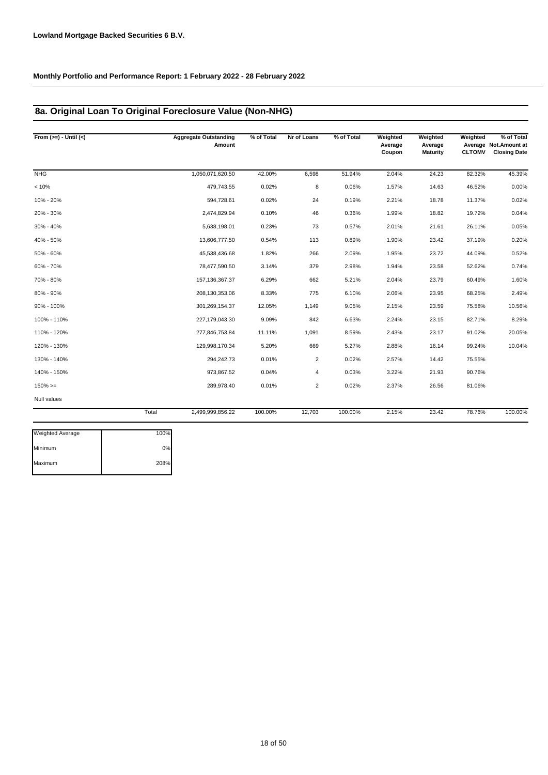## **8a. Original Loan To Original Foreclosure Value (Non-NHG)**

| From $(>=) -$ Until $(<)$ |       | <b>Aggregate Outstanding</b><br>Amount | % of Total | Nr of Loans    | % of Total | Weighted<br>Average<br>Coupon | Weighted<br>Average<br><b>Maturity</b> | Weighted<br><b>CLTOMV</b> | % of Total<br>Average Not.Amount at<br><b>Closing Date</b> |
|---------------------------|-------|----------------------------------------|------------|----------------|------------|-------------------------------|----------------------------------------|---------------------------|------------------------------------------------------------|
| <b>NHG</b>                |       | 1,050,071,620.50                       | 42.00%     | 6,598          | 51.94%     | 2.04%                         | 24.23                                  | 82.32%                    | 45.39%                                                     |
| < 10%                     |       | 479,743.55                             | 0.02%      | 8              | 0.06%      | 1.57%                         | 14.63                                  | 46.52%                    | 0.00%                                                      |
| 10% - 20%                 |       | 594,728.61                             | 0.02%      | 24             | 0.19%      | 2.21%                         | 18.78                                  | 11.37%                    | 0.02%                                                      |
| 20% - 30%                 |       | 2,474,829.94                           | 0.10%      | 46             | 0.36%      | 1.99%                         | 18.82                                  | 19.72%                    | 0.04%                                                      |
| 30% - 40%                 |       | 5,638,198.01                           | 0.23%      | 73             | 0.57%      | 2.01%                         | 21.61                                  | 26.11%                    | 0.05%                                                      |
| 40% - 50%                 |       | 13,606,777.50                          | 0.54%      | 113            | 0.89%      | 1.90%                         | 23.42                                  | 37.19%                    | 0.20%                                                      |
| 50% - 60%                 |       | 45,538,436.68                          | 1.82%      | 266            | 2.09%      | 1.95%                         | 23.72                                  | 44.09%                    | 0.52%                                                      |
| 60% - 70%                 |       | 78,477,590.50                          | 3.14%      | 379            | 2.98%      | 1.94%                         | 23.58                                  | 52.62%                    | 0.74%                                                      |
| 70% - 80%                 |       | 157, 136, 367. 37                      | 6.29%      | 662            | 5.21%      | 2.04%                         | 23.79                                  | 60.49%                    | 1.60%                                                      |
| 80% - 90%                 |       | 208,130,353.06                         | 8.33%      | 775            | 6.10%      | 2.06%                         | 23.95                                  | 68.25%                    | 2.49%                                                      |
| 90% - 100%                |       | 301,269,154.37                         | 12.05%     | 1,149          | 9.05%      | 2.15%                         | 23.59                                  | 75.58%                    | 10.56%                                                     |
| 100% - 110%               |       | 227,179,043.30                         | 9.09%      | 842            | 6.63%      | 2.24%                         | 23.15                                  | 82.71%                    | 8.29%                                                      |
| 110% - 120%               |       | 277,846,753.84                         | 11.11%     | 1,091          | 8.59%      | 2.43%                         | 23.17                                  | 91.02%                    | 20.05%                                                     |
| 120% - 130%               |       | 129,998,170.34                         | 5.20%      | 669            | 5.27%      | 2.88%                         | 16.14                                  | 99.24%                    | 10.04%                                                     |
| 130% - 140%               |       | 294,242.73                             | 0.01%      | $\overline{2}$ | 0.02%      | 2.57%                         | 14.42                                  | 75.55%                    |                                                            |
| 140% - 150%               |       | 973,867.52                             | 0.04%      | 4              | 0.03%      | 3.22%                         | 21.93                                  | 90.76%                    |                                                            |
| $150\%>=$                 |       | 289,978.40                             | 0.01%      | $\overline{2}$ | 0.02%      | 2.37%                         | 26.56                                  | 81.06%                    |                                                            |
| Null values               |       |                                        |            |                |            |                               |                                        |                           |                                                            |
|                           | Total | 2,499,999,856.22                       | 100.00%    | 12,703         | 100.00%    | 2.15%                         | 23.42                                  | 78.76%                    | 100.00%                                                    |
|                           |       |                                        |            |                |            |                               |                                        |                           |                                                            |

| <b>Weighted Average</b> | 100% |
|-------------------------|------|
| Minimum                 | 0%   |
| Maximum                 | 208% |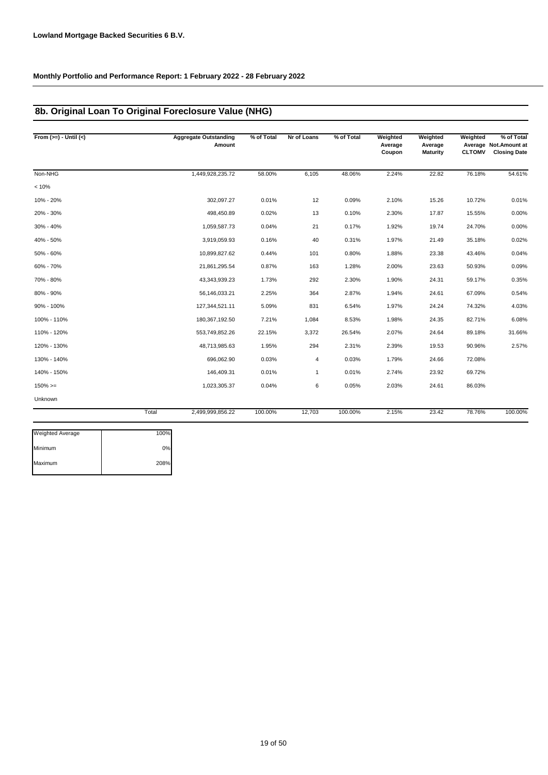## **8b. Original Loan To Original Foreclosure Value (NHG)**

| From $(>=) -$ Until $(<)$ |       | <b>Aggregate Outstanding</b><br>Amount | % of Total | Nr of Loans  | % of Total | Weighted<br>Average<br>Coupon | Weighted<br>Average<br><b>Maturity</b> | Weighted<br><b>CLTOMV</b> | % of Total<br>Average Not.Amount at<br><b>Closing Date</b> |
|---------------------------|-------|----------------------------------------|------------|--------------|------------|-------------------------------|----------------------------------------|---------------------------|------------------------------------------------------------|
| Non-NHG                   |       | 1,449,928,235.72                       | 58.00%     | 6,105        | 48.06%     | 2.24%                         | 22.82                                  | 76.18%                    | 54.61%                                                     |
| < 10%                     |       |                                        |            |              |            |                               |                                        |                           |                                                            |
| 10% - 20%                 |       | 302,097.27                             | 0.01%      | 12           | 0.09%      | 2.10%                         | 15.26                                  | 10.72%                    | 0.01%                                                      |
| 20% - 30%                 |       | 498,450.89                             | 0.02%      | 13           | 0.10%      | 2.30%                         | 17.87                                  | 15.55%                    | 0.00%                                                      |
| 30% - 40%                 |       | 1,059,587.73                           | 0.04%      | 21           | 0.17%      | 1.92%                         | 19.74                                  | 24.70%                    | 0.00%                                                      |
| 40% - 50%                 |       | 3,919,059.93                           | 0.16%      | 40           | 0.31%      | 1.97%                         | 21.49                                  | 35.18%                    | 0.02%                                                      |
| 50% - 60%                 |       | 10,899,827.62                          | 0.44%      | 101          | 0.80%      | 1.88%                         | 23.38                                  | 43.46%                    | 0.04%                                                      |
| 60% - 70%                 |       | 21,861,295.54                          | 0.87%      | 163          | 1.28%      | 2.00%                         | 23.63                                  | 50.93%                    | 0.09%                                                      |
| 70% - 80%                 |       | 43,343,939.23                          | 1.73%      | 292          | 2.30%      | 1.90%                         | 24.31                                  | 59.17%                    | 0.35%                                                      |
| 80% - 90%                 |       | 56,146,033.21                          | 2.25%      | 364          | 2.87%      | 1.94%                         | 24.61                                  | 67.09%                    | 0.54%                                                      |
| 90% - 100%                |       | 127,344,521.11                         | 5.09%      | 831          | 6.54%      | 1.97%                         | 24.24                                  | 74.32%                    | 4.03%                                                      |
| 100% - 110%               |       | 180,367,192.50                         | 7.21%      | 1,084        | 8.53%      | 1.98%                         | 24.35                                  | 82.71%                    | 6.08%                                                      |
| 110% - 120%               |       | 553,749,852.26                         | 22.15%     | 3,372        | 26.54%     | 2.07%                         | 24.64                                  | 89.18%                    | 31.66%                                                     |
| 120% - 130%               |       | 48,713,985.63                          | 1.95%      | 294          | 2.31%      | 2.39%                         | 19.53                                  | 90.96%                    | 2.57%                                                      |
| 130% - 140%               |       | 696,062.90                             | 0.03%      | 4            | 0.03%      | 1.79%                         | 24.66                                  | 72.08%                    |                                                            |
| 140% - 150%               |       | 146,409.31                             | 0.01%      | $\mathbf{1}$ | 0.01%      | 2.74%                         | 23.92                                  | 69.72%                    |                                                            |
| $150\%>=$                 |       | 1,023,305.37                           | 0.04%      | 6            | 0.05%      | 2.03%                         | 24.61                                  | 86.03%                    |                                                            |
| Unknown                   |       |                                        |            |              |            |                               |                                        |                           |                                                            |
|                           | Total | 2,499,999,856.22                       | 100.00%    | 12,703       | 100.00%    | 2.15%                         | 23.42                                  | 78.76%                    | 100.00%                                                    |

| <b>Weighted Average</b> | 100% |
|-------------------------|------|
| Minimum                 | 0%   |
| Maximum                 | 208% |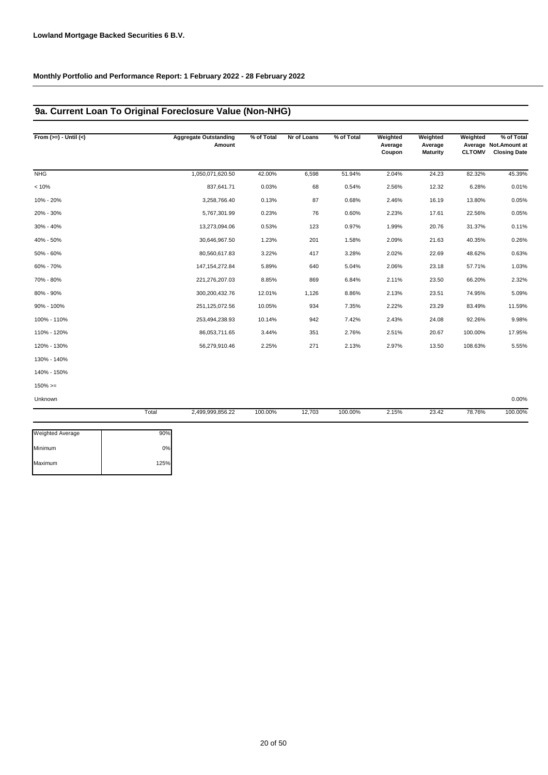## **9a. Current Loan To Original Foreclosure Value (Non-NHG)**

| From $(>=) -$ Until $(<)$ |       | <b>Aggregate Outstanding</b><br>Amount | % of Total | Nr of Loans | % of Total | Weighted<br>Average<br>Coupon | Weighted<br>Average<br>Maturity | Weighted<br><b>CLTOMV</b> | % of Total<br>Average Not.Amount at<br><b>Closing Date</b> |
|---------------------------|-------|----------------------------------------|------------|-------------|------------|-------------------------------|---------------------------------|---------------------------|------------------------------------------------------------|
| <b>NHG</b>                |       | 1,050,071,620.50                       | 42.00%     | 6,598       | 51.94%     | 2.04%                         | 24.23                           | 82.32%                    | 45.39%                                                     |
| < 10%                     |       | 837,641.71                             | 0.03%      | 68          | 0.54%      | 2.56%                         | 12.32                           | 6.28%                     | 0.01%                                                      |
| 10% - 20%                 |       | 3,258,766.40                           | 0.13%      | 87          | 0.68%      | 2.46%                         | 16.19                           | 13.80%                    | 0.05%                                                      |
| 20% - 30%                 |       | 5,767,301.99                           | 0.23%      | 76          | 0.60%      | 2.23%                         | 17.61                           | 22.56%                    | 0.05%                                                      |
| 30% - 40%                 |       | 13,273,094.06                          | 0.53%      | 123         | 0.97%      | 1.99%                         | 20.76                           | 31.37%                    | 0.11%                                                      |
| 40% - 50%                 |       | 30,646,967.50                          | 1.23%      | 201         | 1.58%      | 2.09%                         | 21.63                           | 40.35%                    | 0.26%                                                      |
| 50% - 60%                 |       | 80,560,617.83                          | 3.22%      | 417         | 3.28%      | 2.02%                         | 22.69                           | 48.62%                    | 0.63%                                                      |
| 60% - 70%                 |       | 147, 154, 272.84                       | 5.89%      | 640         | 5.04%      | 2.06%                         | 23.18                           | 57.71%                    | 1.03%                                                      |
| 70% - 80%                 |       | 221,276,207.03                         | 8.85%      | 869         | 6.84%      | 2.11%                         | 23.50                           | 66.20%                    | 2.32%                                                      |
| 80% - 90%                 |       | 300,200,432.76                         | 12.01%     | 1,126       | 8.86%      | 2.13%                         | 23.51                           | 74.95%                    | 5.09%                                                      |
| 90% - 100%                |       | 251,125,072.56                         | 10.05%     | 934         | 7.35%      | 2.22%                         | 23.29                           | 83.49%                    | 11.59%                                                     |
| 100% - 110%               |       | 253,494,238.93                         | 10.14%     | 942         | 7.42%      | 2.43%                         | 24.08                           | 92.26%                    | 9.98%                                                      |
| 110% - 120%               |       | 86,053,711.65                          | 3.44%      | 351         | 2.76%      | 2.51%                         | 20.67                           | 100.00%                   | 17.95%                                                     |
| 120% - 130%               |       | 56,279,910.46                          | 2.25%      | 271         | 2.13%      | 2.97%                         | 13.50                           | 108.63%                   | 5.55%                                                      |
| 130% - 140%               |       |                                        |            |             |            |                               |                                 |                           |                                                            |
| 140% - 150%               |       |                                        |            |             |            |                               |                                 |                           |                                                            |
| $150\%>=$                 |       |                                        |            |             |            |                               |                                 |                           |                                                            |
| Unknown                   |       |                                        |            |             |            |                               |                                 |                           | 0.00%                                                      |
|                           | Total | 2,499,999,856.22                       | 100.00%    | 12,703      | 100.00%    | 2.15%                         | 23.42                           | 78.76%                    | 100.00%                                                    |

| <b>Weighted Average</b> | 90%  |
|-------------------------|------|
| Minimum                 | 0%   |
| Maximum                 | 125% |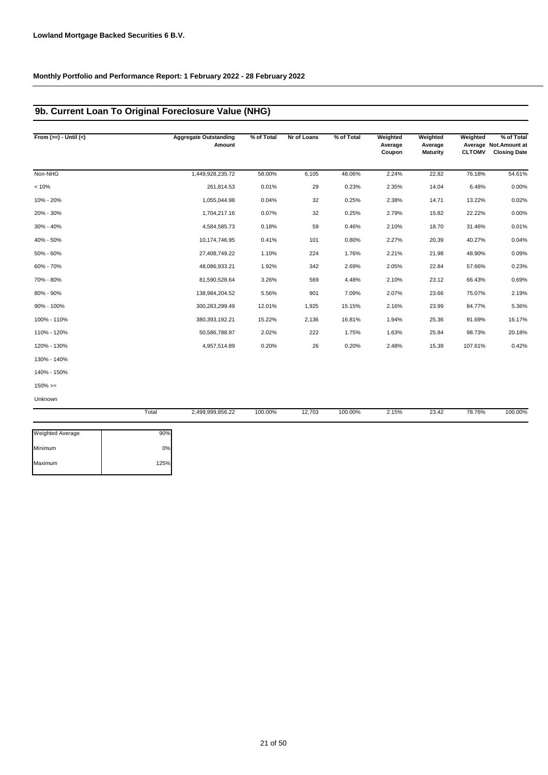## **9b. Current Loan To Original Foreclosure Value (NHG)**

| From $(>=) -$ Until $(<)$ | <b>Aggregate Outstanding</b><br>Amount | % of Total | Nr of Loans | % of Total | Weighted<br>Average<br>Coupon | Weighted<br>Average<br><b>Maturity</b> | Weighted<br><b>CLTOMV</b> | % of Total<br>Average Not.Amount at<br><b>Closing Date</b> |
|---------------------------|----------------------------------------|------------|-------------|------------|-------------------------------|----------------------------------------|---------------------------|------------------------------------------------------------|
| Non-NHG                   | 1,449,928,235.72                       | 58.00%     | 6,105       | 48.06%     | 2.24%                         | 22.82                                  | 76.18%                    | 54.61%                                                     |
| < 10%                     | 261,814.53                             | 0.01%      | 29          | 0.23%      | 2.35%                         | 14.04                                  | 6.48%                     | 0.00%                                                      |
| 10% - 20%                 | 1,055,044.98                           | 0.04%      | 32          | 0.25%      | 2.38%                         | 14.71                                  | 13.22%                    | 0.02%                                                      |
| 20% - 30%                 | 1,704,217.16                           | 0.07%      | 32          | 0.25%      | 2.79%                         | 15.82                                  | 22.22%                    | 0.00%                                                      |
| 30% - 40%                 | 4,584,585.73                           | 0.18%      | 59          | 0.46%      | 2.10%                         | 18.70                                  | 31.46%                    | 0.01%                                                      |
| 40% - 50%                 | 10,174,746.95                          | 0.41%      | 101         | 0.80%      | 2.27%                         | 20.39                                  | 40.27%                    | 0.04%                                                      |
| 50% - 60%                 | 27,408,749.22                          | 1.10%      | 224         | 1.76%      | 2.21%                         | 21.98                                  | 48.90%                    | 0.09%                                                      |
| 60% - 70%                 | 48,086,933.21                          | 1.92%      | 342         | 2.69%      | 2.05%                         | 22.84                                  | 57.66%                    | 0.23%                                                      |
| 70% - 80%                 | 81,590,528.64                          | 3.26%      | 569         | 4.48%      | 2.10%                         | 23.12                                  | 66.43%                    | 0.69%                                                      |
| 80% - 90%                 | 138,984,204.52                         | 5.56%      | 901         | 7.09%      | 2.07%                         | 23.66                                  | 75.07%                    | 2.19%                                                      |
| 90% - 100%                | 300,283,299.49                         | 12.01%     | 1,925       | 15.15%     | 2.16%                         | 23.99                                  | 84.77%                    | 5.36%                                                      |
| 100% - 110%               | 380, 393, 192. 21                      | 15.22%     | 2,136       | 16.81%     | 1.94%                         | 25.36                                  | 91.69%                    | 16.17%                                                     |
| 110% - 120%               | 50,586,788.97                          | 2.02%      | 222         | 1.75%      | 1.63%                         | 25.84                                  | 98.73%                    | 20.18%                                                     |
| 120% - 130%               | 4,957,514.89                           | 0.20%      | 26          | 0.20%      | 2.48%                         | 15.39                                  | 107.61%                   | 0.42%                                                      |
| 130% - 140%               |                                        |            |             |            |                               |                                        |                           |                                                            |
| 140% - 150%               |                                        |            |             |            |                               |                                        |                           |                                                            |
| $150\%>=$                 |                                        |            |             |            |                               |                                        |                           |                                                            |
| Unknown                   |                                        |            |             |            |                               |                                        |                           |                                                            |

|                         | Total | 2,499,999,856.22 | 100.00% | 12,703 | 100.00% | 2.15% | 23.42 | 78.76% | 100.00% |
|-------------------------|-------|------------------|---------|--------|---------|-------|-------|--------|---------|
| <b>Weighted Average</b> | 90%   |                  |         |        |         |       |       |        |         |
| Minimum                 | 0%    |                  |         |        |         |       |       |        |         |
| Maximum                 | 125%  |                  |         |        |         |       |       |        |         |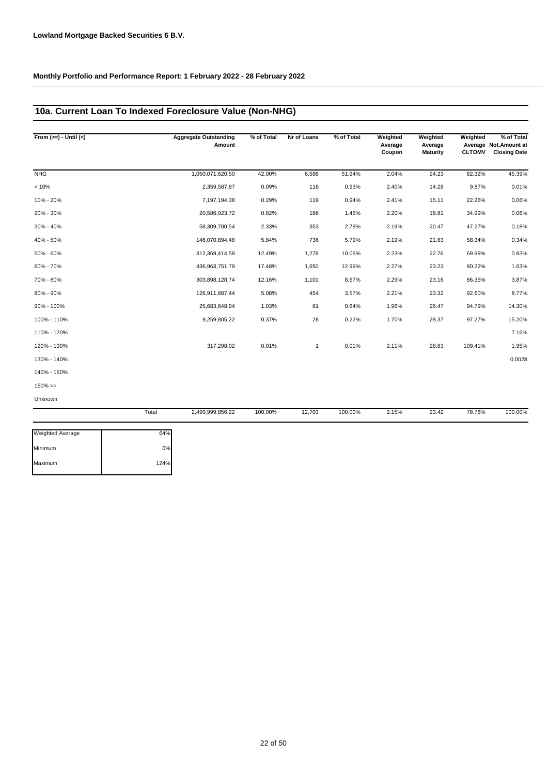## **10a. Current Loan To Indexed Foreclosure Value (Non-NHG)**

| From $(>=) -$ Until $(<)$ | <b>Aggregate Outstanding</b><br>Amount | % of Total | Nr of Loans  | % of Total | Weighted<br>Average<br>Coupon | Weighted<br>Average<br><b>Maturity</b> | Weighted<br><b>CLTOMV</b> | % of Total<br>Average Not.Amount at<br><b>Closing Date</b> |
|---------------------------|----------------------------------------|------------|--------------|------------|-------------------------------|----------------------------------------|---------------------------|------------------------------------------------------------|
| <b>NHG</b>                | 1,050,071,620.50                       | 42.00%     | 6,598        | 51.94%     | 2.04%                         | 24.23                                  | 82.32%                    | 45.39%                                                     |
| < 10%                     | 2,359,587.87                           | 0.09%      | 118          | 0.93%      | 2.40%                         | 14.28                                  | 9.87%                     | 0.01%                                                      |
| 10% - 20%                 | 7,197,194.38                           | 0.29%      | 119          | 0.94%      | 2.41%                         | 15.11                                  | 22.26%                    | 0.06%                                                      |
| 20% - 30%                 | 20,586,923.72                          | 0.82%      | 186          | 1.46%      | 2.20%                         | 18.81                                  | 34.99%                    | 0.06%                                                      |
| 30% - 40%                 | 58,309,700.54                          | 2.33%      | 353          | 2.78%      | 2.19%                         | 20.47                                  | 47.27%                    | 0.18%                                                      |
| 40% - 50%                 | 146,070,894.48                         | 5.84%      | 736          | 5.79%      | 2.19%                         | 21.63                                  | 58.34%                    | 0.34%                                                      |
| 50% - 60%                 | 312,369,414.58                         | 12.49%     | 1,278        | 10.06%     | 2.23%                         | 22.76                                  | 69.99%                    | 0.83%                                                      |
| 60% - 70%                 | 436,963,751.79                         | 17.48%     | 1,650        | 12.99%     | 2.27%                         | 23.23                                  | 80.22%                    | 1.63%                                                      |
| 70% - 80%                 | 303,898,128.74                         | 12.16%     | 1,101        | 8.67%      | 2.29%                         | 23.16                                  | 86.35%                    | 3.87%                                                      |
| 80% - 90%                 | 126,911,887.44                         | 5.08%      | 454          | 3.57%      | 2.21%                         | 23.32                                  | 92.60%                    | 8.77%                                                      |
| 90% - 100%                | 25,683,648.94                          | 1.03%      | 81           | 0.64%      | 1.96%                         | 26.47                                  | 94.79%                    | 14.30%                                                     |
| 100% - 110%               | 9,259,805.22                           | 0.37%      | 28           | 0.22%      | 1.70%                         | 28.37                                  | 97.27%                    | 15.20%                                                     |
| 110% - 120%               |                                        |            |              |            |                               |                                        |                           | 7.16%                                                      |
| 120% - 130%               | 317,298.02                             | 0.01%      | $\mathbf{1}$ | 0.01%      | 2.11%                         | 28.83                                  | 109.41%                   | 1.95%                                                      |
| 130% - 140%               |                                        |            |              |            |                               |                                        |                           | 0.0028                                                     |
| 140% - 150%               |                                        |            |              |            |                               |                                        |                           |                                                            |
| $150\%>=$                 |                                        |            |              |            |                               |                                        |                           |                                                            |
| Unknown                   |                                        |            |              |            |                               |                                        |                           |                                                            |

|                         | Total | 2,499,999,856.22 | 100.00% | 12,703 | 100.00% | 2.15% | 23.42 | 78.76% | 100.00% |
|-------------------------|-------|------------------|---------|--------|---------|-------|-------|--------|---------|
| <b>Weighted Average</b> | 64%   |                  |         |        |         |       |       |        |         |
| Minimum                 | 0%    |                  |         |        |         |       |       |        |         |
| Maximum                 | 124%  |                  |         |        |         |       |       |        |         |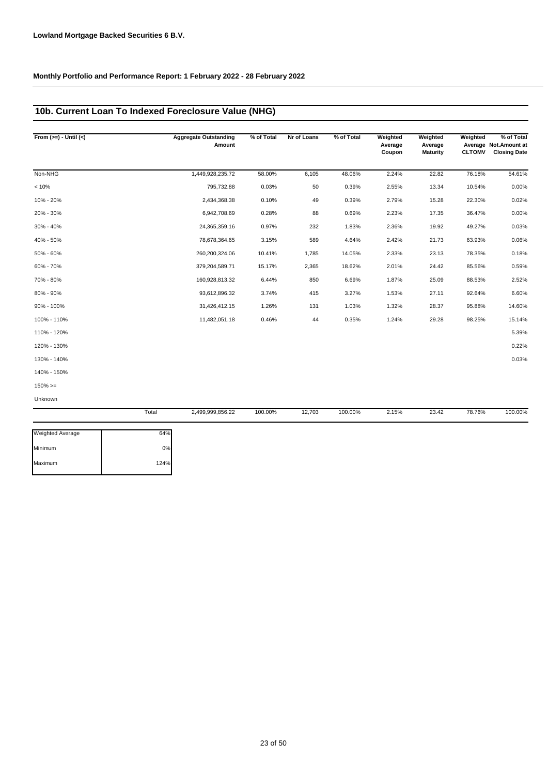### **10b. Current Loan To Indexed Foreclosure Value (NHG)**

| From $(>=) -$ Until $(<)$ |       | <b>Aggregate Outstanding</b><br>Amount | % of Total | Nr of Loans | % of Total | Weighted<br>Average<br>Coupon | Weighted<br>Average<br><b>Maturity</b> | Weighted<br><b>CLTOMV</b> | % of Total<br>Average Not. Amount at<br><b>Closing Date</b> |
|---------------------------|-------|----------------------------------------|------------|-------------|------------|-------------------------------|----------------------------------------|---------------------------|-------------------------------------------------------------|
| Non-NHG                   |       | 1,449,928,235.72                       | 58.00%     | 6,105       | 48.06%     | 2.24%                         | 22.82                                  | 76.18%                    | 54.61%                                                      |
| < 10%                     |       | 795,732.88                             | 0.03%      | 50          | 0.39%      | 2.55%                         | 13.34                                  | 10.54%                    | 0.00%                                                       |
| 10% - 20%                 |       | 2,434,368.38                           | 0.10%      | 49          | 0.39%      | 2.79%                         | 15.28                                  | 22.30%                    | 0.02%                                                       |
| 20% - 30%                 |       | 6,942,708.69                           | 0.28%      | 88          | 0.69%      | 2.23%                         | 17.35                                  | 36.47%                    | 0.00%                                                       |
| 30% - 40%                 |       | 24,365,359.16                          | 0.97%      | 232         | 1.83%      | 2.36%                         | 19.92                                  | 49.27%                    | 0.03%                                                       |
| 40% - 50%                 |       | 78,678,364.65                          | 3.15%      | 589         | 4.64%      | 2.42%                         | 21.73                                  | 63.93%                    | 0.06%                                                       |
| 50% - 60%                 |       | 260,200,324.06                         | 10.41%     | 1,785       | 14.05%     | 2.33%                         | 23.13                                  | 78.35%                    | 0.18%                                                       |
| 60% - 70%                 |       | 379,204,589.71                         | 15.17%     | 2,365       | 18.62%     | 2.01%                         | 24.42                                  | 85.56%                    | 0.59%                                                       |
| 70% - 80%                 |       | 160,928,813.32                         | 6.44%      | 850         | 6.69%      | 1.87%                         | 25.09                                  | 88.53%                    | 2.52%                                                       |
| 80% - 90%                 |       | 93,612,896.32                          | 3.74%      | 415         | 3.27%      | 1.53%                         | 27.11                                  | 92.64%                    | 6.60%                                                       |
| 90% - 100%                |       | 31,426,412.15                          | 1.26%      | 131         | 1.03%      | 1.32%                         | 28.37                                  | 95.88%                    | 14.60%                                                      |
| 100% - 110%               |       | 11,482,051.18                          | 0.46%      | 44          | 0.35%      | 1.24%                         | 29.28                                  | 98.25%                    | 15.14%                                                      |
| 110% - 120%               |       |                                        |            |             |            |                               |                                        |                           | 5.39%                                                       |
| 120% - 130%               |       |                                        |            |             |            |                               |                                        |                           | 0.22%                                                       |
| 130% - 140%               |       |                                        |            |             |            |                               |                                        |                           | 0.03%                                                       |
| 140% - 150%               |       |                                        |            |             |            |                               |                                        |                           |                                                             |
| $150\%>=$                 |       |                                        |            |             |            |                               |                                        |                           |                                                             |
| Unknown                   |       |                                        |            |             |            |                               |                                        |                           |                                                             |
|                           | Total | 2,499,999,856.22                       | 100.00%    | 12,703      | 100.00%    | 2.15%                         | 23.42                                  | 78.76%                    | 100.00%                                                     |

| <b>Weighted Average</b> | 64%  |
|-------------------------|------|
| Minimum                 | 0%   |
| Maximum                 | 124% |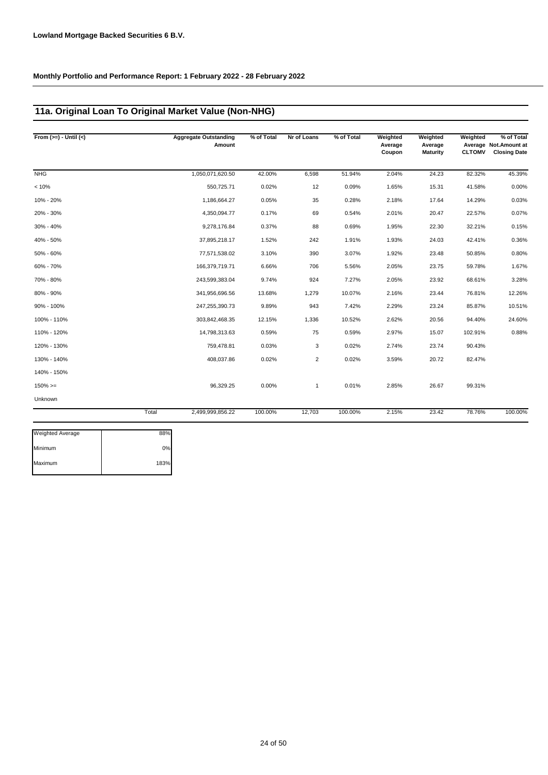## **11a. Original Loan To Original Market Value (Non-NHG)**

| From $(>=) -$ Until $(<)$ |       | <b>Aggregate Outstanding</b><br>Amount | % of Total | Nr of Loans    | % of Total | Weighted<br>Average<br>Coupon | Weighted<br>Average<br><b>Maturity</b> | Weighted<br><b>CLTOMV</b> | % of Total<br>Average Not.Amount at<br><b>Closing Date</b> |
|---------------------------|-------|----------------------------------------|------------|----------------|------------|-------------------------------|----------------------------------------|---------------------------|------------------------------------------------------------|
| <b>NHG</b>                |       | 1,050,071,620.50                       | 42.00%     | 6,598          | 51.94%     | 2.04%                         | 24.23                                  | 82.32%                    | 45.39%                                                     |
| < 10%                     |       | 550,725.71                             | 0.02%      | 12             | 0.09%      | 1.65%                         | 15.31                                  | 41.58%                    | 0.00%                                                      |
| 10% - 20%                 |       | 1,186,664.27                           | 0.05%      | 35             | 0.28%      | 2.18%                         | 17.64                                  | 14.29%                    | 0.03%                                                      |
| 20% - 30%                 |       | 4,350,094.77                           | 0.17%      | 69             | 0.54%      | 2.01%                         | 20.47                                  | 22.57%                    | 0.07%                                                      |
| 30% - 40%                 |       | 9,278,176.84                           | 0.37%      | 88             | 0.69%      | 1.95%                         | 22.30                                  | 32.21%                    | 0.15%                                                      |
| 40% - 50%                 |       | 37,895,218.17                          | 1.52%      | 242            | 1.91%      | 1.93%                         | 24.03                                  | 42.41%                    | 0.36%                                                      |
| 50% - 60%                 |       | 77,571,538.02                          | 3.10%      | 390            | 3.07%      | 1.92%                         | 23.48                                  | 50.85%                    | 0.80%                                                      |
| 60% - 70%                 |       | 166,379,719.71                         | 6.66%      | 706            | 5.56%      | 2.05%                         | 23.75                                  | 59.78%                    | 1.67%                                                      |
| 70% - 80%                 |       | 243,599,383.04                         | 9.74%      | 924            | 7.27%      | 2.05%                         | 23.92                                  | 68.61%                    | 3.28%                                                      |
| 80% - 90%                 |       | 341,956,696.56                         | 13.68%     | 1,279          | 10.07%     | 2.16%                         | 23.44                                  | 76.81%                    | 12.26%                                                     |
| 90% - 100%                |       | 247,255,390.73                         | 9.89%      | 943            | 7.42%      | 2.29%                         | 23.24                                  | 85.87%                    | 10.51%                                                     |
| 100% - 110%               |       | 303,842,468.35                         | 12.15%     | 1,336          | 10.52%     | 2.62%                         | 20.56                                  | 94.40%                    | 24.60%                                                     |
| 110% - 120%               |       | 14,798,313.63                          | 0.59%      | 75             | 0.59%      | 2.97%                         | 15.07                                  | 102.91%                   | 0.88%                                                      |
| 120% - 130%               |       | 759,478.81                             | 0.03%      | 3              | 0.02%      | 2.74%                         | 23.74                                  | 90.43%                    |                                                            |
| 130% - 140%               |       | 408,037.86                             | 0.02%      | $\overline{2}$ | 0.02%      | 3.59%                         | 20.72                                  | 82.47%                    |                                                            |
| 140% - 150%               |       |                                        |            |                |            |                               |                                        |                           |                                                            |
| $150\%>=$                 |       | 96,329.25                              | 0.00%      | $\mathbf{1}$   | 0.01%      | 2.85%                         | 26.67                                  | 99.31%                    |                                                            |
| Unknown                   |       |                                        |            |                |            |                               |                                        |                           |                                                            |
|                           | Total | 2,499,999,856.22                       | 100.00%    | 12,703         | 100.00%    | 2.15%                         | 23.42                                  | 78.76%                    | 100.00%                                                    |
|                           |       |                                        |            |                |            |                               |                                        |                           |                                                            |

| <b>Weighted Average</b> | 88%  |
|-------------------------|------|
| Minimum                 | 0%   |
| Maximum                 | 183% |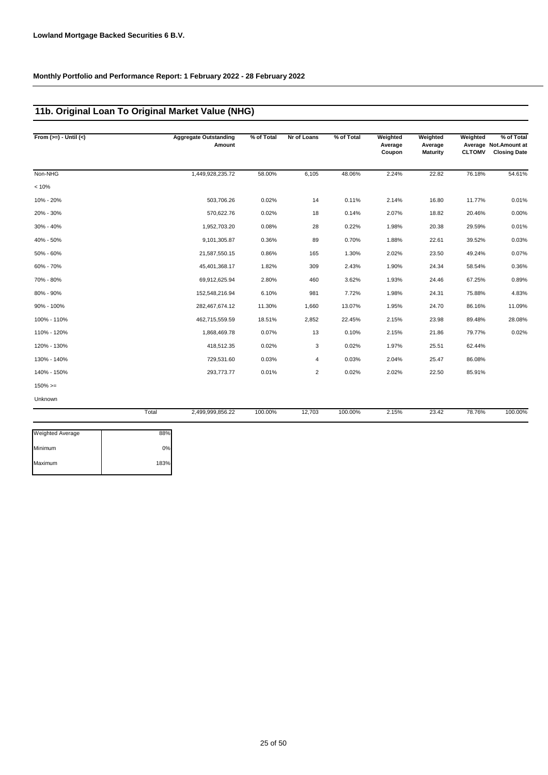Maximum 183%

## **11b. Original Loan To Original Market Value (NHG)**

| From $(>=) -$ Until $(<)$ |       | <b>Aggregate Outstanding</b><br>Amount | % of Total | Nr of Loans    | % of Total | Weighted<br>Average<br>Coupon | Weighted<br>Average<br><b>Maturity</b> | Weighted<br><b>CLTOMV</b> | % of Total<br>Average Not.Amount at<br><b>Closing Date</b> |
|---------------------------|-------|----------------------------------------|------------|----------------|------------|-------------------------------|----------------------------------------|---------------------------|------------------------------------------------------------|
| Non-NHG                   |       | 1,449,928,235.72                       | 58.00%     | 6,105          | 48.06%     | 2.24%                         | 22.82                                  | 76.18%                    | 54.61%                                                     |
| < 10%                     |       |                                        |            |                |            |                               |                                        |                           |                                                            |
| 10% - 20%                 |       | 503,706.26                             | 0.02%      | 14             | 0.11%      | 2.14%                         | 16.80                                  | 11.77%                    | 0.01%                                                      |
| 20% - 30%                 |       | 570,622.76                             | 0.02%      | 18             | 0.14%      | 2.07%                         | 18.82                                  | 20.46%                    | 0.00%                                                      |
| 30% - 40%                 |       | 1,952,703.20                           | 0.08%      | 28             | 0.22%      | 1.98%                         | 20.38                                  | 29.59%                    | 0.01%                                                      |
| 40% - 50%                 |       | 9,101,305.87                           | 0.36%      | 89             | 0.70%      | 1.88%                         | 22.61                                  | 39.52%                    | 0.03%                                                      |
| 50% - 60%                 |       | 21,587,550.15                          | 0.86%      | 165            | 1.30%      | 2.02%                         | 23.50                                  | 49.24%                    | 0.07%                                                      |
| 60% - 70%                 |       | 45,401,368.17                          | 1.82%      | 309            | 2.43%      | 1.90%                         | 24.34                                  | 58.54%                    | 0.36%                                                      |
| 70% - 80%                 |       | 69,912,625.94                          | 2.80%      | 460            | 3.62%      | 1.93%                         | 24.46                                  | 67.25%                    | 0.89%                                                      |
| 80% - 90%                 |       | 152,548,216.94                         | 6.10%      | 981            | 7.72%      | 1.98%                         | 24.31                                  | 75.88%                    | 4.83%                                                      |
| 90% - 100%                |       | 282,467,674.12                         | 11.30%     | 1,660          | 13.07%     | 1.95%                         | 24.70                                  | 86.16%                    | 11.09%                                                     |
| 100% - 110%               |       | 462,715,559.59                         | 18.51%     | 2,852          | 22.45%     | 2.15%                         | 23.98                                  | 89.48%                    | 28.08%                                                     |
| 110% - 120%               |       | 1,868,469.78                           | 0.07%      | 13             | 0.10%      | 2.15%                         | 21.86                                  | 79.77%                    | 0.02%                                                      |
| 120% - 130%               |       | 418,512.35                             | 0.02%      | 3              | 0.02%      | 1.97%                         | 25.51                                  | 62.44%                    |                                                            |
| 130% - 140%               |       | 729,531.60                             | 0.03%      | 4              | 0.03%      | 2.04%                         | 25.47                                  | 86.08%                    |                                                            |
| 140% - 150%               |       | 293,773.77                             | 0.01%      | $\overline{2}$ | 0.02%      | 2.02%                         | 22.50                                  | 85.91%                    |                                                            |
| $150\%>=$                 |       |                                        |            |                |            |                               |                                        |                           |                                                            |
| Unknown                   |       |                                        |            |                |            |                               |                                        |                           |                                                            |
|                           | Total | 2,499,999,856.22                       | 100.00%    | 12,703         | 100.00%    | 2.15%                         | 23.42                                  | 78.76%                    | 100.00%                                                    |
| Weighted Average          | 88%   |                                        |            |                |            |                               |                                        |                           |                                                            |
| Minimum                   | 0%    |                                        |            |                |            |                               |                                        |                           |                                                            |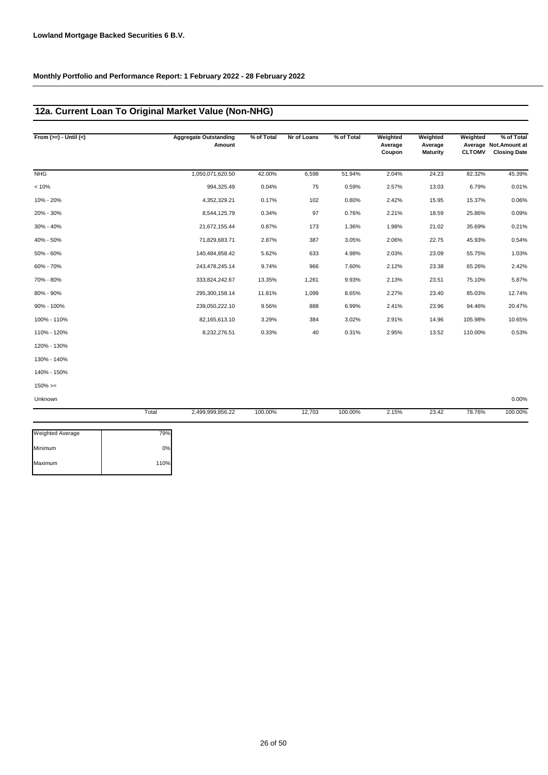## **12a. Current Loan To Original Market Value (Non-NHG)**

| From $(>=) -$ Until $(<)$ |       | <b>Aggregate Outstanding</b><br>Amount | % of Total | Nr of Loans | % of Total | Weighted<br>Average<br>Coupon | Weighted<br>Average<br>Maturity | Weighted<br><b>CLTOMV</b> | % of Total<br>Average Not.Amount at<br><b>Closing Date</b> |
|---------------------------|-------|----------------------------------------|------------|-------------|------------|-------------------------------|---------------------------------|---------------------------|------------------------------------------------------------|
| <b>NHG</b>                |       | 1,050,071,620.50                       | 42.00%     | 6,598       | 51.94%     | 2.04%                         | 24.23                           | 82.32%                    | 45.39%                                                     |
| < 10%                     |       | 994,325.49                             | 0.04%      | 75          | 0.59%      | 2.57%                         | 13.03                           | 6.79%                     | 0.01%                                                      |
| 10% - 20%                 |       | 4,352,329.21                           | 0.17%      | 102         | 0.80%      | 2.42%                         | 15.95                           | 15.37%                    | 0.06%                                                      |
| 20% - 30%                 |       | 8,544,125.79                           | 0.34%      | 97          | 0.76%      | 2.21%                         | 18.59                           | 25.86%                    | 0.09%                                                      |
| 30% - 40%                 |       | 21,672,155.44                          | 0.87%      | 173         | 1.36%      | 1.98%                         | 21.02                           | 35.69%                    | 0.21%                                                      |
| 40% - 50%                 |       | 71,829,683.71                          | 2.87%      | 387         | 3.05%      | 2.06%                         | 22.75                           | 45.93%                    | 0.54%                                                      |
| 50% - 60%                 |       | 140,484,858.42                         | 5.62%      | 633         | 4.98%      | 2.03%                         | 23.09                           | 55.75%                    | 1.03%                                                      |
| 60% - 70%                 |       | 243,478,245.14                         | 9.74%      | 966         | 7.60%      | 2.12%                         | 23.38                           | 65.26%                    | 2.42%                                                      |
| 70% - 80%                 |       | 333,824,242.67                         | 13.35%     | 1,261       | 9.93%      | 2.13%                         | 23.51                           | 75.10%                    | 5.87%                                                      |
| 80% - 90%                 |       | 295,300,158.14                         | 11.81%     | 1,099       | 8.65%      | 2.27%                         | 23.40                           | 85.03%                    | 12.74%                                                     |
| 90% - 100%                |       | 239,050,222.10                         | 9.56%      | 888         | 6.99%      | 2.41%                         | 23.96                           | 94.46%                    | 20.47%                                                     |
| 100% - 110%               |       | 82,165,613.10                          | 3.29%      | 384         | 3.02%      | 2.91%                         | 14.96                           | 105.98%                   | 10.65%                                                     |
| 110% - 120%               |       | 8,232,276.51                           | 0.33%      | 40          | 0.31%      | 2.95%                         | 13.52                           | 110.00%                   | 0.53%                                                      |
| 120% - 130%               |       |                                        |            |             |            |                               |                                 |                           |                                                            |
| 130% - 140%               |       |                                        |            |             |            |                               |                                 |                           |                                                            |
| 140% - 150%               |       |                                        |            |             |            |                               |                                 |                           |                                                            |
| $150\%>=$                 |       |                                        |            |             |            |                               |                                 |                           |                                                            |
| Unknown                   |       |                                        |            |             |            |                               |                                 |                           | 0.00%                                                      |
|                           | Total | 2,499,999,856.22                       | 100.00%    | 12,703      | 100.00%    | 2.15%                         | 23.42                           | 78.76%                    | 100.00%                                                    |

| 79%  |
|------|
| 0%   |
| 110% |
|      |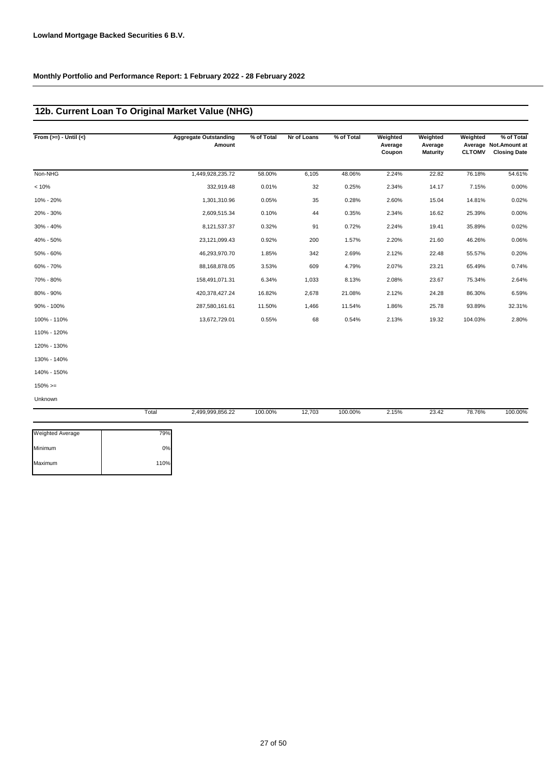## **12b. Current Loan To Original Market Value (NHG)**

| From $(>=) -$ Until $(<)$ |       | <b>Aggregate Outstanding</b><br>Amount | % of Total | Nr of Loans | % of Total | Weighted<br>Average<br>Coupon | Weighted<br>Average<br>Maturity | Weighted<br><b>CLTOMV</b> | % of Total<br>Average Not. Amount at<br><b>Closing Date</b> |
|---------------------------|-------|----------------------------------------|------------|-------------|------------|-------------------------------|---------------------------------|---------------------------|-------------------------------------------------------------|
| Non-NHG                   |       | 1,449,928,235.72                       | 58.00%     | 6,105       | 48.06%     | 2.24%                         | 22.82                           | 76.18%                    | 54.61%                                                      |
| < 10%                     |       | 332,919.48                             | 0.01%      | 32          | 0.25%      | 2.34%                         | 14.17                           | 7.15%                     | 0.00%                                                       |
| 10% - 20%                 |       | 1,301,310.96                           | 0.05%      | 35          | 0.28%      | 2.60%                         | 15.04                           | 14.81%                    | 0.02%                                                       |
| 20% - 30%                 |       | 2,609,515.34                           | 0.10%      | 44          | 0.35%      | 2.34%                         | 16.62                           | 25.39%                    | 0.00%                                                       |
| 30% - 40%                 |       | 8,121,537.37                           | 0.32%      | 91          | 0.72%      | 2.24%                         | 19.41                           | 35.89%                    | 0.02%                                                       |
| 40% - 50%                 |       | 23, 121, 099.43                        | 0.92%      | 200         | 1.57%      | 2.20%                         | 21.60                           | 46.26%                    | 0.06%                                                       |
| 50% - 60%                 |       | 46,293,970.70                          | 1.85%      | 342         | 2.69%      | 2.12%                         | 22.48                           | 55.57%                    | 0.20%                                                       |
| 60% - 70%                 |       | 88,168,878.05                          | 3.53%      | 609         | 4.79%      | 2.07%                         | 23.21                           | 65.49%                    | 0.74%                                                       |
| 70% - 80%                 |       | 158,491,071.31                         | 6.34%      | 1,033       | 8.13%      | 2.08%                         | 23.67                           | 75.34%                    | 2.64%                                                       |
| 80% - 90%                 |       | 420,378,427.24                         | 16.82%     | 2,678       | 21.08%     | 2.12%                         | 24.28                           | 86.30%                    | 6.59%                                                       |
| 90% - 100%                |       | 287,580,161.61                         | 11.50%     | 1,466       | 11.54%     | 1.86%                         | 25.78                           | 93.89%                    | 32.31%                                                      |
| 100% - 110%               |       | 13,672,729.01                          | 0.55%      | 68          | 0.54%      | 2.13%                         | 19.32                           | 104.03%                   | 2.80%                                                       |
| 110% - 120%               |       |                                        |            |             |            |                               |                                 |                           |                                                             |
| 120% - 130%               |       |                                        |            |             |            |                               |                                 |                           |                                                             |
| 130% - 140%               |       |                                        |            |             |            |                               |                                 |                           |                                                             |
| 140% - 150%               |       |                                        |            |             |            |                               |                                 |                           |                                                             |
| $150\%>=$                 |       |                                        |            |             |            |                               |                                 |                           |                                                             |
| Unknown                   |       |                                        |            |             |            |                               |                                 |                           |                                                             |
|                           | Total | 2,499,999,856.22                       | 100.00%    | 12,703      | 100.00%    | 2.15%                         | 23.42                           | 78.76%                    | 100.00%                                                     |

| <b>Weighted Average</b> | 79%  |
|-------------------------|------|
| Minimum                 | 0%   |
| Maximum                 | 110% |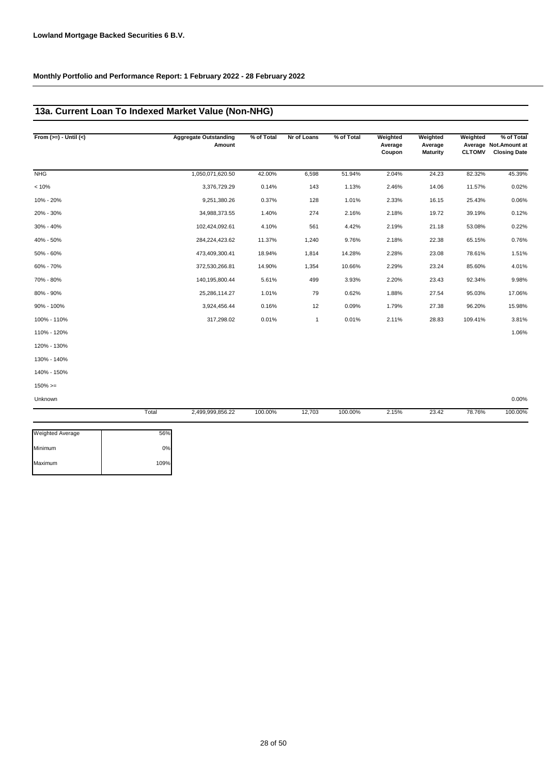### **13a. Current Loan To Indexed Market Value (Non-NHG)**

| From $(>=) -$ Until $(<)$ |       | <b>Aggregate Outstanding</b><br>Amount | % of Total | Nr of Loans  | % of Total | Weighted<br>Average<br>Coupon | Weighted<br>Average<br>Maturity | Weighted<br><b>CLTOMV</b> | % of Total<br>Average Not. Amount at<br><b>Closing Date</b> |
|---------------------------|-------|----------------------------------------|------------|--------------|------------|-------------------------------|---------------------------------|---------------------------|-------------------------------------------------------------|
| <b>NHG</b>                |       | 1,050,071,620.50                       | 42.00%     | 6,598        | 51.94%     | 2.04%                         | 24.23                           | 82.32%                    | 45.39%                                                      |
| < 10%                     |       | 3,376,729.29                           | 0.14%      | 143          | 1.13%      | 2.46%                         | 14.06                           | 11.57%                    | 0.02%                                                       |
| 10% - 20%                 |       | 9,251,380.26                           | 0.37%      | 128          | 1.01%      | 2.33%                         | 16.15                           | 25.43%                    | 0.06%                                                       |
| 20% - 30%                 |       | 34,988,373.55                          | 1.40%      | 274          | 2.16%      | 2.18%                         | 19.72                           | 39.19%                    | 0.12%                                                       |
| 30% - 40%                 |       | 102,424,092.61                         | 4.10%      | 561          | 4.42%      | 2.19%                         | 21.18                           | 53.08%                    | 0.22%                                                       |
| 40% - 50%                 |       | 284,224,423.62                         | 11.37%     | 1,240        | 9.76%      | 2.18%                         | 22.38                           | 65.15%                    | 0.76%                                                       |
| 50% - 60%                 |       | 473,409,300.41                         | 18.94%     | 1,814        | 14.28%     | 2.28%                         | 23.08                           | 78.61%                    | 1.51%                                                       |
| 60% - 70%                 |       | 372,530,266.81                         | 14.90%     | 1,354        | 10.66%     | 2.29%                         | 23.24                           | 85.60%                    | 4.01%                                                       |
| 70% - 80%                 |       | 140,195,800.44                         | 5.61%      | 499          | 3.93%      | 2.20%                         | 23.43                           | 92.34%                    | 9.98%                                                       |
| 80% - 90%                 |       | 25,286,114.27                          | 1.01%      | 79           | 0.62%      | 1.88%                         | 27.54                           | 95.03%                    | 17.06%                                                      |
| 90% - 100%                |       | 3,924,456.44                           | 0.16%      | 12           | 0.09%      | 1.79%                         | 27.38                           | 96.20%                    | 15.98%                                                      |
| 100% - 110%               |       | 317,298.02                             | 0.01%      | $\mathbf{1}$ | 0.01%      | 2.11%                         | 28.83                           | 109.41%                   | 3.81%                                                       |
| 110% - 120%               |       |                                        |            |              |            |                               |                                 |                           | 1.06%                                                       |
| 120% - 130%               |       |                                        |            |              |            |                               |                                 |                           |                                                             |
| 130% - 140%               |       |                                        |            |              |            |                               |                                 |                           |                                                             |
| 140% - 150%               |       |                                        |            |              |            |                               |                                 |                           |                                                             |
| $150\%>=$                 |       |                                        |            |              |            |                               |                                 |                           |                                                             |
| Unknown                   |       |                                        |            |              |            |                               |                                 |                           | 0.00%                                                       |
|                           | Total | 2,499,999,856.22                       | 100.00%    | 12,703       | 100.00%    | 2.15%                         | 23.42                           | 78.76%                    | 100.00%                                                     |

| 56%  |
|------|
| 0%   |
| 109% |
|      |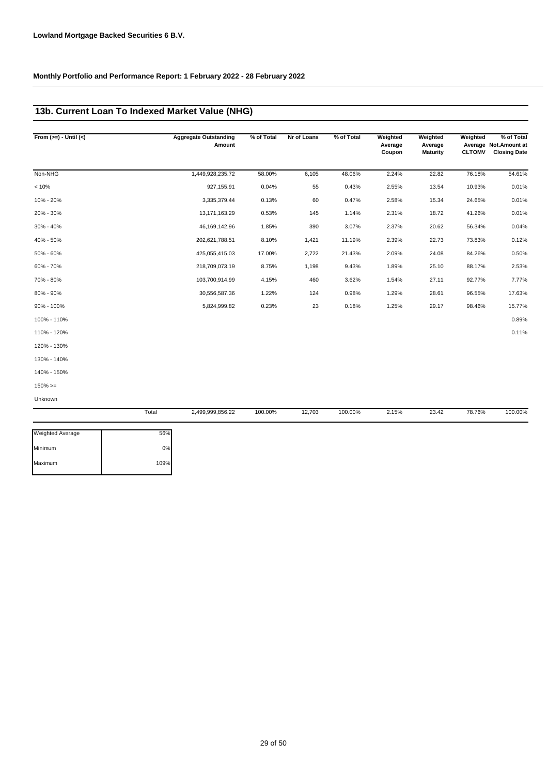## **13b. Current Loan To Indexed Market Value (NHG)**

| From $(>=) -$ Until $(<)$ | <b>Aggregate Outstanding</b><br>Amount | % of Total | Nr of Loans | % of Total | Weighted<br>Average<br>Coupon | Weighted<br>Average<br><b>Maturity</b> | Weighted<br><b>CLTOMV</b> | % of Total<br>Average Not.Amount at<br><b>Closing Date</b> |
|---------------------------|----------------------------------------|------------|-------------|------------|-------------------------------|----------------------------------------|---------------------------|------------------------------------------------------------|
| Non-NHG                   | 1,449,928,235.72                       | 58.00%     | 6,105       | 48.06%     | 2.24%                         | 22.82                                  | 76.18%                    | 54.61%                                                     |
| < 10%                     | 927,155.91                             | 0.04%      | 55          | 0.43%      | 2.55%                         | 13.54                                  | 10.93%                    | 0.01%                                                      |
| 10% - 20%                 | 3,335,379.44                           | 0.13%      | 60          | 0.47%      | 2.58%                         | 15.34                                  | 24.65%                    | 0.01%                                                      |
| 20% - 30%                 | 13, 171, 163. 29                       | 0.53%      | 145         | 1.14%      | 2.31%                         | 18.72                                  | 41.26%                    | 0.01%                                                      |
| 30% - 40%                 | 46, 169, 142. 96                       | 1.85%      | 390         | 3.07%      | 2.37%                         | 20.62                                  | 56.34%                    | 0.04%                                                      |
| 40% - 50%                 | 202,621,788.51                         | 8.10%      | 1,421       | 11.19%     | 2.39%                         | 22.73                                  | 73.83%                    | 0.12%                                                      |
| 50% - 60%                 | 425,055,415.03                         | 17.00%     | 2,722       | 21.43%     | 2.09%                         | 24.08                                  | 84.26%                    | 0.50%                                                      |
| 60% - 70%                 | 218,709,073.19                         | 8.75%      | 1,198       | 9.43%      | 1.89%                         | 25.10                                  | 88.17%                    | 2.53%                                                      |
| 70% - 80%                 | 103,700,914.99                         | 4.15%      | 460         | 3.62%      | 1.54%                         | 27.11                                  | 92.77%                    | 7.77%                                                      |
| 80% - 90%                 | 30,556,587.36                          | 1.22%      | 124         | 0.98%      | 1.29%                         | 28.61                                  | 96.55%                    | 17.63%                                                     |
| 90% - 100%                | 5,824,999.82                           | 0.23%      | 23          | 0.18%      | 1.25%                         | 29.17                                  | 98.46%                    | 15.77%                                                     |
| 100% - 110%               |                                        |            |             |            |                               |                                        |                           | 0.89%                                                      |
| 110% - 120%               |                                        |            |             |            |                               |                                        |                           | 0.11%                                                      |
| 120% - 130%               |                                        |            |             |            |                               |                                        |                           |                                                            |
| 130% - 140%               |                                        |            |             |            |                               |                                        |                           |                                                            |
| 140% - 150%               |                                        |            |             |            |                               |                                        |                           |                                                            |
| $150\%>=$                 |                                        |            |             |            |                               |                                        |                           |                                                            |
| Unknown                   |                                        |            |             |            |                               |                                        |                           |                                                            |

|                         | Total | 2,499,999,856.22 | 100.00% | 12,703 | 100.00% | 2.15% | 23.42 | 78.76% | 100.00% |
|-------------------------|-------|------------------|---------|--------|---------|-------|-------|--------|---------|
| <b>Weighted Average</b> | 56%   |                  |         |        |         |       |       |        |         |
| Minimum                 | 0%    |                  |         |        |         |       |       |        |         |
| Maximum                 | 109%  |                  |         |        |         |       |       |        |         |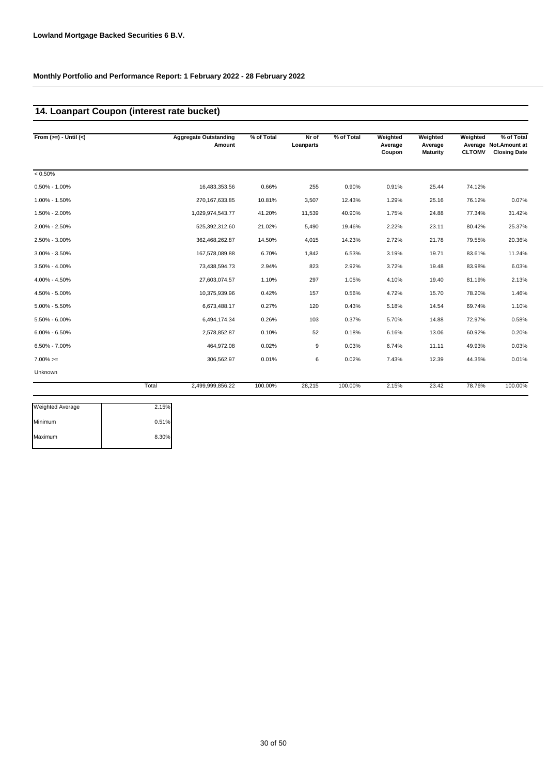### **14. Loanpart Coupon (interest rate bucket)**

| From $(>=) -$ Until $(<)$ |       | <b>Aggregate Outstanding</b><br>Amount | % of Total | Nr of<br>Loanparts | % of Total | Weighted<br>Average<br>Coupon | Weighted<br>Average<br><b>Maturity</b> | Weighted<br><b>CLTOMV</b> | % of Total<br>Average Not. Amount at<br><b>Closing Date</b> |
|---------------------------|-------|----------------------------------------|------------|--------------------|------------|-------------------------------|----------------------------------------|---------------------------|-------------------------------------------------------------|
| $< 0.50\%$                |       |                                        |            |                    |            |                               |                                        |                           |                                                             |
| $0.50\% - 1.00\%$         |       | 16,483,353.56                          | 0.66%      | 255                | 0.90%      | 0.91%                         | 25.44                                  | 74.12%                    |                                                             |
| 1.00% - 1.50%             |       | 270, 167, 633.85                       | 10.81%     | 3,507              | 12.43%     | 1.29%                         | 25.16                                  | 76.12%                    | 0.07%                                                       |
| 1.50% - 2.00%             |       | 1,029,974,543.77                       | 41.20%     | 11,539             | 40.90%     | 1.75%                         | 24.88                                  | 77.34%                    | 31.42%                                                      |
| 2.00% - 2.50%             |       | 525,392,312.60                         | 21.02%     | 5,490              | 19.46%     | 2.22%                         | 23.11                                  | 80.42%                    | 25.37%                                                      |
| 2.50% - 3.00%             |       | 362,468,262.87                         | 14.50%     | 4,015              | 14.23%     | 2.72%                         | 21.78                                  | 79.55%                    | 20.36%                                                      |
| 3.00% - 3.50%             |       | 167,578,089.88                         | 6.70%      | 1,842              | 6.53%      | 3.19%                         | 19.71                                  | 83.61%                    | 11.24%                                                      |
| 3.50% - 4.00%             |       | 73,438,594.73                          | 2.94%      | 823                | 2.92%      | 3.72%                         | 19.48                                  | 83.98%                    | 6.03%                                                       |
| 4.00% - 4.50%             |       | 27,603,074.57                          | 1.10%      | 297                | 1.05%      | 4.10%                         | 19.40                                  | 81.19%                    | 2.13%                                                       |
| 4.50% - 5.00%             |       | 10,375,939.96                          | 0.42%      | 157                | 0.56%      | 4.72%                         | 15.70                                  | 78.20%                    | 1.46%                                                       |
| 5.00% - 5.50%             |       | 6,673,488.17                           | 0.27%      | 120                | 0.43%      | 5.18%                         | 14.54                                  | 69.74%                    | 1.10%                                                       |
| 5.50% - 6.00%             |       | 6,494,174.34                           | 0.26%      | 103                | 0.37%      | 5.70%                         | 14.88                                  | 72.97%                    | 0.58%                                                       |
| $6.00\% - 6.50\%$         |       | 2,578,852.87                           | 0.10%      | 52                 | 0.18%      | 6.16%                         | 13.06                                  | 60.92%                    | 0.20%                                                       |
| $6.50\% - 7.00\%$         |       | 464,972.08                             | 0.02%      | 9                  | 0.03%      | 6.74%                         | 11.11                                  | 49.93%                    | 0.03%                                                       |
| $7.00\%>=$                |       | 306,562.97                             | 0.01%      | 6                  | 0.02%      | 7.43%                         | 12.39                                  | 44.35%                    | 0.01%                                                       |
| Unknown                   |       |                                        |            |                    |            |                               |                                        |                           |                                                             |
|                           | Total | 2,499,999,856.22                       | 100.00%    | 28,215             | 100.00%    | 2.15%                         | 23.42                                  | 78.76%                    | 100.00%                                                     |
| <b>Weighted Average</b>   | 2.15% |                                        |            |                    |            |                               |                                        |                           |                                                             |

| 2.15% |
|-------|
| 0.51% |
| 8.30% |
|       |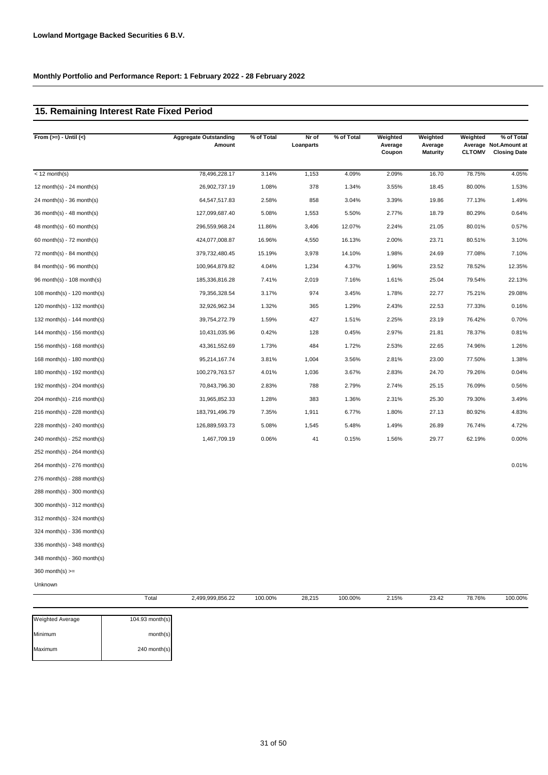### **15. Remaining Interest Rate Fixed Period**

| From $(>=) -$ Until $(<)$     | <b>Aggregate Outstanding</b><br>Amount | % of Total | Nr of<br>Loanparts | % of Total | Weighted<br>Average<br>Coupon | Weighted<br>Average<br><b>Maturity</b> | Weighted<br><b>CLTOMV</b> | % of Total<br>Average Not.Amount at<br><b>Closing Date</b> |
|-------------------------------|----------------------------------------|------------|--------------------|------------|-------------------------------|----------------------------------------|---------------------------|------------------------------------------------------------|
| $<$ 12 month(s)               | 78,496,228.17                          | 3.14%      | 1,153              | 4.09%      | 2.09%                         | 16.70                                  | 78.75%                    | 4.05%                                                      |
| 12 month(s) - 24 month(s)     | 26,902,737.19                          | 1.08%      | 378                | 1.34%      | 3.55%                         | 18.45                                  | 80.00%                    | 1.53%                                                      |
| $24$ month(s) - 36 month(s)   | 64,547,517.83                          | 2.58%      | 858                | 3.04%      | 3.39%                         | 19.86                                  | 77.13%                    | 1.49%                                                      |
| 36 month(s) - 48 month(s)     | 127,099,687.40                         | 5.08%      | 1,553              | 5.50%      | 2.77%                         | 18.79                                  | 80.29%                    | 0.64%                                                      |
| 48 month(s) - 60 month(s)     | 296,559,968.24                         | 11.86%     | 3,406              | 12.07%     | 2.24%                         | 21.05                                  | 80.01%                    | 0.57%                                                      |
| $60$ month(s) - 72 month(s)   | 424,077,008.87                         | 16.96%     | 4,550              | 16.13%     | 2.00%                         | 23.71                                  | 80.51%                    | 3.10%                                                      |
| 72 month(s) - 84 month(s)     | 379,732,480.45                         | 15.19%     | 3,978              | 14.10%     | 1.98%                         | 24.69                                  | 77.08%                    | 7.10%                                                      |
| 84 month(s) - 96 month(s)     | 100,964,879.82                         | 4.04%      | 1,234              | 4.37%      | 1.96%                         | 23.52                                  | 78.52%                    | 12.35%                                                     |
| 96 month(s) - 108 month(s)    | 185,336,816.28                         | 7.41%      | 2,019              | 7.16%      | 1.61%                         | 25.04                                  | 79.54%                    | 22.13%                                                     |
| 108 month(s) - 120 month(s)   | 79,356,328.54                          | 3.17%      | 974                | 3.45%      | 1.78%                         | 22.77                                  | 75.21%                    | 29.08%                                                     |
| 120 month(s) - 132 month(s)   | 32,926,962.34                          | 1.32%      | 365                | 1.29%      | 2.43%                         | 22.53                                  | 77.33%                    | 0.16%                                                      |
| 132 month(s) - 144 month(s)   | 39,754,272.79                          | 1.59%      | 427                | 1.51%      | 2.25%                         | 23.19                                  | 76.42%                    | 0.70%                                                      |
| 144 month(s) - 156 month(s)   | 10,431,035.96                          | 0.42%      | 128                | 0.45%      | 2.97%                         | 21.81                                  | 78.37%                    | 0.81%                                                      |
| 156 month(s) - 168 month(s)   | 43,361,552.69                          | 1.73%      | 484                | 1.72%      | 2.53%                         | 22.65                                  | 74.96%                    | 1.26%                                                      |
| 168 month(s) - 180 month(s)   | 95,214,167.74                          | 3.81%      | 1,004              | 3.56%      | 2.81%                         | 23.00                                  | 77.50%                    | 1.38%                                                      |
| 180 month(s) - 192 month(s)   | 100,279,763.57                         | 4.01%      | 1,036              | 3.67%      | 2.83%                         | 24.70                                  | 79.26%                    | 0.04%                                                      |
| 192 month(s) - 204 month(s)   | 70,843,796.30                          | 2.83%      | 788                | 2.79%      | 2.74%                         | 25.15                                  | 76.09%                    | 0.56%                                                      |
| 204 month(s) - 216 month(s)   | 31,965,852.33                          | 1.28%      | 383                | 1.36%      | 2.31%                         | 25.30                                  | 79.30%                    | 3.49%                                                      |
| 216 month(s) - 228 month(s)   | 183,791,496.79                         | 7.35%      | 1,911              | 6.77%      | 1.80%                         | 27.13                                  | 80.92%                    | 4.83%                                                      |
| 228 month(s) - 240 month(s)   | 126,889,593.73                         | 5.08%      | 1,545              | 5.48%      | 1.49%                         | 26.89                                  | 76.74%                    | 4.72%                                                      |
| 240 month(s) - 252 month(s)   | 1,467,709.19                           | 0.06%      | 41                 | 0.15%      | 1.56%                         | 29.77                                  | 62.19%                    | 0.00%                                                      |
| 252 month(s) - 264 month(s)   |                                        |            |                    |            |                               |                                        |                           |                                                            |
| 264 month(s) - 276 month(s)   |                                        |            |                    |            |                               |                                        |                           | 0.01%                                                      |
| 276 month(s) - 288 month(s)   |                                        |            |                    |            |                               |                                        |                           |                                                            |
| 288 month(s) - 300 month(s)   |                                        |            |                    |            |                               |                                        |                           |                                                            |
| 300 month(s) - 312 month(s)   |                                        |            |                    |            |                               |                                        |                           |                                                            |
| $312$ month(s) - 324 month(s) |                                        |            |                    |            |                               |                                        |                           |                                                            |
| 324 month(s) - 336 month(s)   |                                        |            |                    |            |                               |                                        |                           |                                                            |
| 336 month(s) - 348 month(s)   |                                        |            |                    |            |                               |                                        |                           |                                                            |

348 month(s) - 360 month(s)  $360$  month(s)  $>=$ 

Unknown

|                         | Total             | 2,499,999,856.22 | 100.00% | 28,215 | 100.00% | 2.15% | 23.42 | 78.76% | 100.00% |
|-------------------------|-------------------|------------------|---------|--------|---------|-------|-------|--------|---------|
| <b>Weighted Average</b> | $104.93$ month(s) |                  |         |        |         |       |       |        |         |
| Minimum                 | month(s)          |                  |         |        |         |       |       |        |         |
| Maximum                 | 240 month(s)      |                  |         |        |         |       |       |        |         |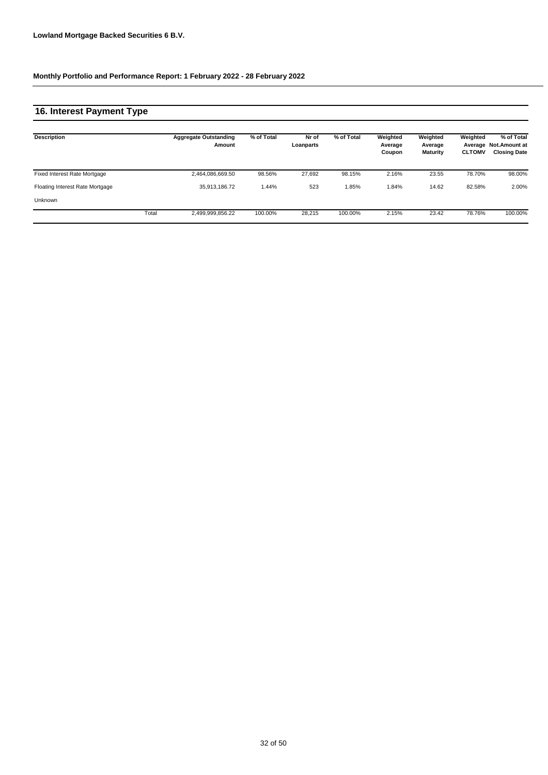### **16. Interest Payment Type**

| <b>Description</b>              |       | <b>Aggregate Outstanding</b><br>Amount | % of Total | Nr of<br>Loanparts | % of Total | Weighted<br>Average<br>Coupon | Weighted<br>Average<br><b>Maturity</b> | Weighted<br><b>CLTOMV</b> | % of Total<br>Average Not.Amount at<br><b>Closing Date</b> |
|---------------------------------|-------|----------------------------------------|------------|--------------------|------------|-------------------------------|----------------------------------------|---------------------------|------------------------------------------------------------|
| Fixed Interest Rate Mortgage    |       | 2,464,086,669.50                       | 98.56%     | 27.692             | 98.15%     | 2.16%                         | 23.55                                  | 78.70%                    | 98.00%                                                     |
| Floating Interest Rate Mortgage |       | 35,913,186.72                          | 1.44%      | 523                | 1.85%      | 1.84%                         | 14.62                                  | 82.58%                    | 2.00%                                                      |
| <b>Unknown</b>                  |       |                                        |            |                    |            |                               |                                        |                           |                                                            |
|                                 | Total | 2,499,999,856.22                       | 100.00%    | 28.215             | 100.00%    | 2.15%                         | 23.42                                  | 78.76%                    | 100.00%                                                    |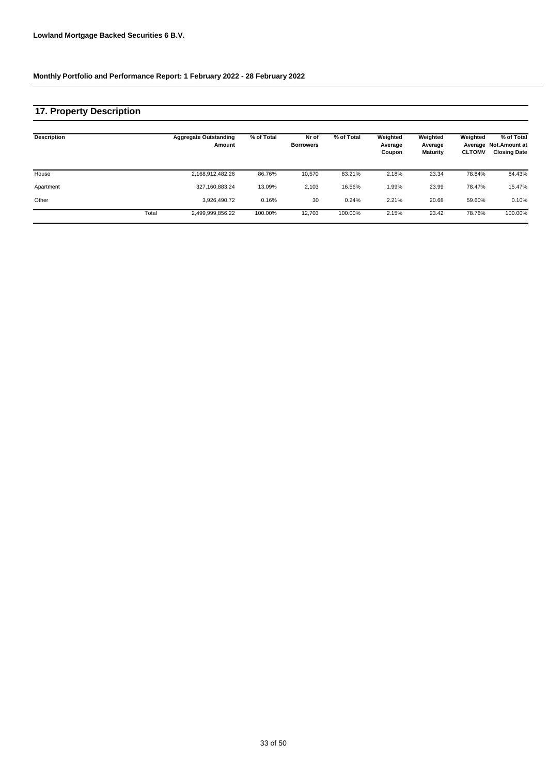## **17. Property Description**

| <b>Description</b> |       | <b>Aggregate Outstanding</b><br>Amount | % of Total | Nr of<br><b>Borrowers</b> | % of Total | Weighted<br>Average<br>Coupon | Weighted<br>Average<br><b>Maturity</b> | Weighted<br><b>CLTOMV</b> | % of Total<br>Average Not.Amount at<br><b>Closing Date</b> |
|--------------------|-------|----------------------------------------|------------|---------------------------|------------|-------------------------------|----------------------------------------|---------------------------|------------------------------------------------------------|
| House              |       | 2,168,912,482.26                       | 86.76%     | 10.570                    | 83.21%     | 2.18%                         | 23.34                                  | 78.84%                    | 84.43%                                                     |
| Apartment          |       | 327,160,883.24                         | 13.09%     | 2,103                     | 16.56%     | 1.99%                         | 23.99                                  | 78.47%                    | 15.47%                                                     |
| Other              |       | 3.926.490.72                           | 0.16%      | 30                        | 0.24%      | 2.21%                         | 20.68                                  | 59.60%                    | 0.10%                                                      |
|                    | Total | 2,499,999,856.22                       | 100.00%    | 12,703                    | 100.00%    | 2.15%                         | 23.42                                  | 78.76%                    | 100.00%                                                    |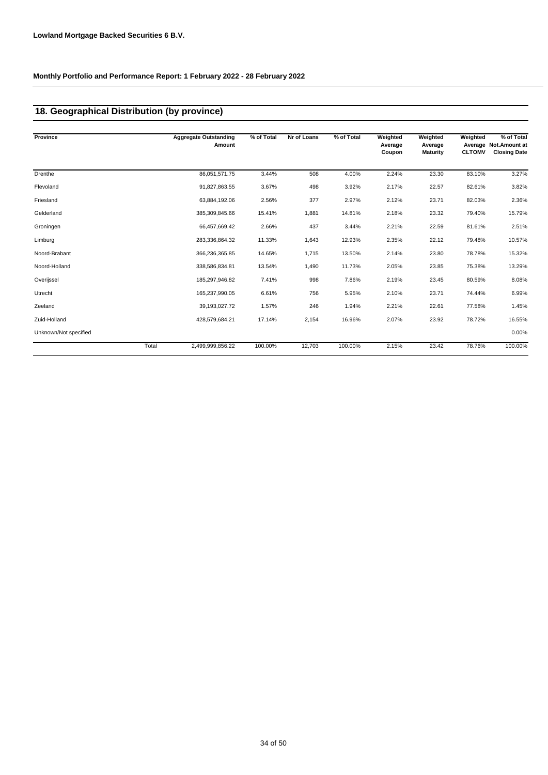## **18. Geographical Distribution (by province)**

| Province              |       | <b>Aggregate Outstanding</b><br>Amount | % of Total | Nr of Loans | % of Total | Weighted<br>Average<br>Coupon | Weighted<br>Average<br><b>Maturity</b> | Weighted<br><b>CLTOMV</b> | % of Total<br>Average Not.Amount at<br><b>Closing Date</b> |
|-----------------------|-------|----------------------------------------|------------|-------------|------------|-------------------------------|----------------------------------------|---------------------------|------------------------------------------------------------|
| Drenthe               |       | 86,051,571.75                          | 3.44%      | 508         | 4.00%      | 2.24%                         | 23.30                                  | 83.10%                    | 3.27%                                                      |
| Flevoland             |       | 91,827,863.55                          | 3.67%      | 498         | 3.92%      | 2.17%                         | 22.57                                  | 82.61%                    | 3.82%                                                      |
| Friesland             |       | 63,884,192.06                          | 2.56%      | 377         | 2.97%      | 2.12%                         | 23.71                                  | 82.03%                    | 2.36%                                                      |
| Gelderland            |       | 385,309,845.66                         | 15.41%     | 1,881       | 14.81%     | 2.18%                         | 23.32                                  | 79.40%                    | 15.79%                                                     |
| Groningen             |       | 66,457,669.42                          | 2.66%      | 437         | 3.44%      | 2.21%                         | 22.59                                  | 81.61%                    | 2.51%                                                      |
| Limburg               |       | 283,336,864.32                         | 11.33%     | 1,643       | 12.93%     | 2.35%                         | 22.12                                  | 79.48%                    | 10.57%                                                     |
| Noord-Brabant         |       | 366,236,365.85                         | 14.65%     | 1,715       | 13.50%     | 2.14%                         | 23.80                                  | 78.78%                    | 15.32%                                                     |
| Noord-Holland         |       | 338,586,834.81                         | 13.54%     | 1,490       | 11.73%     | 2.05%                         | 23.85                                  | 75.38%                    | 13.29%                                                     |
| Overijssel            |       | 185,297,946.82                         | 7.41%      | 998         | 7.86%      | 2.19%                         | 23.45                                  | 80.59%                    | 8.08%                                                      |
| Utrecht               |       | 165,237,990.05                         | 6.61%      | 756         | 5.95%      | 2.10%                         | 23.71                                  | 74.44%                    | 6.99%                                                      |
| Zeeland               |       | 39,193,027.72                          | 1.57%      | 246         | 1.94%      | 2.21%                         | 22.61                                  | 77.58%                    | 1.45%                                                      |
| Zuid-Holland          |       | 428,579,684.21                         | 17.14%     | 2,154       | 16.96%     | 2.07%                         | 23.92                                  | 78.72%                    | 16.55%                                                     |
| Unknown/Not specified |       |                                        |            |             |            |                               |                                        |                           | 0.00%                                                      |
|                       | Total | 2,499,999,856.22                       | 100.00%    | 12,703      | 100.00%    | 2.15%                         | 23.42                                  | 78.76%                    | 100.00%                                                    |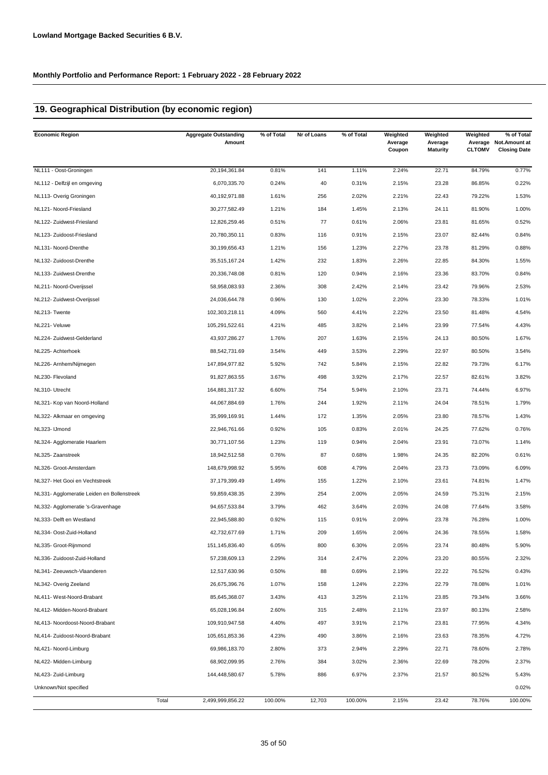### **19. Geographical Distribution (by economic region)**

| <b>Economic Region</b>                     | <b>Aggregate Outstanding</b><br>Amount | % of Total | Nr of Loans | % of Total | Weighted<br>Average<br>Coupon | Weighted<br>Average<br><b>Maturity</b> | Weighted<br><b>CLTOMV</b> | % of Total<br>Average Not. Amount at<br><b>Closing Date</b> |
|--------------------------------------------|----------------------------------------|------------|-------------|------------|-------------------------------|----------------------------------------|---------------------------|-------------------------------------------------------------|
| NL111 - Oost-Groningen                     | 20,194,361.84                          | 0.81%      | 141         | 1.11%      | 2.24%                         | 22.71                                  | 84.79%                    | 0.77%                                                       |
| NL112 - Delfzijl en omgeving               | 6,070,335.70                           | 0.24%      | 40          | 0.31%      | 2.15%                         | 23.28                                  | 86.85%                    | 0.22%                                                       |
| NL113- Overig Groningen                    | 40,192,971.88                          | 1.61%      | 256         | 2.02%      | 2.21%                         | 22.43                                  | 79.22%                    | 1.53%                                                       |
| NL121- Noord-Friesland                     | 30,277,582.49                          | 1.21%      | 184         | 1.45%      | 2.13%                         | 24.11                                  | 81.90%                    | 1.00%                                                       |
| NL122- Zuidwest-Friesland                  | 12,826,259.46                          | 0.51%      | 77          | 0.61%      | 2.06%                         | 23.81                                  | 81.65%                    | 0.52%                                                       |
| NL123- Zuidoost-Friesland                  | 20,780,350.11                          | 0.83%      | 116         | 0.91%      | 2.15%                         | 23.07                                  | 82.44%                    | 0.84%                                                       |
| NL131- Noord-Drenthe                       | 30,199,656.43                          | 1.21%      | 156         | 1.23%      | 2.27%                         | 23.78                                  | 81.29%                    | 0.88%                                                       |
| NL132- Zuidoost-Drenthe                    | 35,515,167.24                          | 1.42%      | 232         | 1.83%      | 2.26%                         | 22.85                                  | 84.30%                    | 1.55%                                                       |
| NL133- Zuidwest-Drenthe                    | 20,336,748.08                          | 0.81%      | 120         | 0.94%      | 2.16%                         | 23.36                                  | 83.70%                    | 0.84%                                                       |
| NL211- Noord-Overijssel                    | 58,958,083.93                          | 2.36%      | 308         | 2.42%      | 2.14%                         | 23.42                                  | 79.96%                    | 2.53%                                                       |
| NL212- Zuidwest-Overijssel                 | 24,036,644.78                          | 0.96%      | 130         | 1.02%      | 2.20%                         | 23.30                                  | 78.33%                    | 1.01%                                                       |
| NL213-Twente                               | 102,303,218.11                         | 4.09%      | 560         | 4.41%      | 2.22%                         | 23.50                                  | 81.48%                    | 4.54%                                                       |
| NL221- Veluwe                              | 105,291,522.61                         | 4.21%      | 485         | 3.82%      | 2.14%                         | 23.99                                  | 77.54%                    | 4.43%                                                       |
| NL224- Zuidwest-Gelderland                 | 43,937,286.27                          | 1.76%      | 207         | 1.63%      | 2.15%                         | 24.13                                  | 80.50%                    | 1.67%                                                       |
| NL225- Achterhoek                          | 88,542,731.69                          | 3.54%      | 449         | 3.53%      | 2.29%                         | 22.97                                  | 80.50%                    | 3.54%                                                       |
| NL226- Arnhem/Nijmegen                     | 147,894,977.82                         | 5.92%      | 742         | 5.84%      | 2.15%                         | 22.82                                  | 79.73%                    | 6.17%                                                       |
| NL230- Flevoland                           | 91,827,863.55                          | 3.67%      | 498         | 3.92%      | 2.17%                         | 22.57                                  | 82.61%                    | 3.82%                                                       |
| NL310- Utrecht                             | 164,881,317.32                         | 6.60%      | 754         | 5.94%      | 2.10%                         | 23.71                                  | 74.44%                    | 6.97%                                                       |
| NL321- Kop van Noord-Holland               | 44,067,884.69                          | 1.76%      | 244         | 1.92%      | 2.11%                         | 24.04                                  | 78.51%                    | 1.79%                                                       |
| NL322- Alkmaar en omgeving                 | 35,999,169.91                          | 1.44%      | 172         | 1.35%      | 2.05%                         | 23.80                                  | 78.57%                    | 1.43%                                                       |
| NL323- IJmond                              | 22,946,761.66                          | 0.92%      | 105         | 0.83%      | 2.01%                         | 24.25                                  | 77.62%                    | 0.76%                                                       |
| NL324- Agglomeratie Haarlem                | 30,771,107.56                          | 1.23%      | 119         | 0.94%      | 2.04%                         | 23.91                                  | 73.07%                    | 1.14%                                                       |
| NL325- Zaanstreek                          | 18,942,512.58                          | 0.76%      | 87          | 0.68%      | 1.98%                         | 24.35                                  | 82.20%                    | 0.61%                                                       |
| NL326- Groot-Amsterdam                     | 148,679,998.92                         | 5.95%      | 608         | 4.79%      | 2.04%                         | 23.73                                  | 73.09%                    | 6.09%                                                       |
| NL327- Het Gooi en Vechtstreek             | 37,179,399.49                          | 1.49%      | 155         | 1.22%      | 2.10%                         | 23.61                                  | 74.81%                    | 1.47%                                                       |
| NL331- Agglomeratie Leiden en Bollenstreek | 59,859,438.35                          | 2.39%      | 254         | 2.00%      | 2.05%                         | 24.59                                  | 75.31%                    | 2.15%                                                       |
| NL332- Agglomeratie 's-Gravenhage          | 94,657,533.84                          | 3.79%      | 462         | 3.64%      | 2.03%                         | 24.08                                  | 77.64%                    | 3.58%                                                       |
| NL333- Delft en Westland                   | 22,945,588.80                          | 0.92%      | 115         | 0.91%      | 2.09%                         | 23.78                                  | 76.28%                    | 1.00%                                                       |
| NL334- Oost-Zuid-Holland                   | 42,732,677.69                          | 1.71%      | 209         | 1.65%      | 2.06%                         | 24.36                                  | 78.55%                    | 1.58%                                                       |
| NL335- Groot-Rijnmond                      | 151,145,836.40                         | 6.05%      | 800         | 6.30%      | 2.05%                         | 23.74                                  | 80.48%                    | 5.90%                                                       |
| NL336- Zuidoost-Zuid-Holland               | 57,238,609.13                          | 2.29%      | 314         | 2.47%      | 2.20%                         | 23.20                                  | 80.55%                    | 2.32%                                                       |
| NL341- Zeeuwsch-Vlaanderen                 | 12,517,630.96                          | 0.50%      | 88          | 0.69%      | 2.19%                         | 22.22                                  | 76.52%                    | 0.43%                                                       |
| NL342- Overig Zeeland                      | 26,675,396.76                          | 1.07%      | 158         | 1.24%      | 2.23%                         | 22.79                                  | 78.08%                    | 1.01%                                                       |
| NL411- West-Noord-Brabant                  | 85,645,368.07                          | 3.43%      | 413         | 3.25%      | 2.11%                         | 23.85                                  | 79.34%                    | 3.66%                                                       |
| NL412- Midden-Noord-Brabant                | 65,028,196.84                          | 2.60%      | 315         | 2.48%      | 2.11%                         | 23.97                                  | 80.13%                    | 2.58%                                                       |
| NL413- Noordoost-Noord-Brabant             | 109,910,947.58                         | 4.40%      | 497         | 3.91%      | 2.17%                         | 23.81                                  | 77.95%                    | 4.34%                                                       |
| NL414- Zuidoost-Noord-Brabant              | 105,651,853.36                         | 4.23%      | 490         | 3.86%      | 2.16%                         | 23.63                                  | 78.35%                    | 4.72%                                                       |
| NL421- Noord-Limburg                       | 69,986,183.70                          | 2.80%      | 373         | 2.94%      | 2.29%                         | 22.71                                  | 78.60%                    | 2.78%                                                       |
| NL422- Midden-Limburg                      | 68,902,099.95                          | 2.76%      | 384         | 3.02%      | 2.36%                         | 22.69                                  | 78.20%                    | 2.37%                                                       |
| NL423- Zuid-Limburg                        | 144,448,580.67                         | 5.78%      | 886         | 6.97%      | 2.37%                         | 21.57                                  | 80.52%                    | 5.43%                                                       |
| Unknown/Not specified                      |                                        |            |             |            |                               |                                        |                           | 0.02%                                                       |
|                                            | Total<br>2,499,999,856.22              | 100.00%    | 12,703      | 100.00%    | 2.15%                         | 23.42                                  | 78.76%                    | 100.00%                                                     |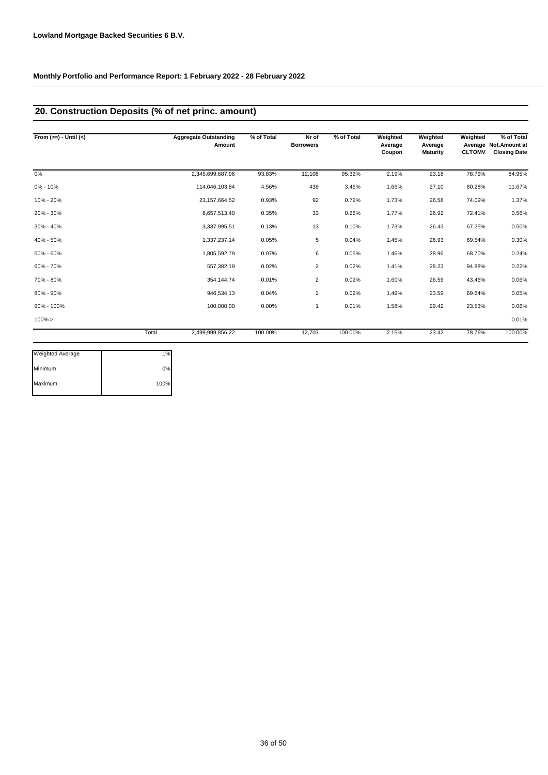### **20. Construction Deposits (% of net princ. amount)**

| From $(>=) -$ Until $(<)$ |       | <b>Aggregate Outstanding</b><br>Amount | % of Total | Nr of<br><b>Borrowers</b> | % of Total | Weighted<br>Average<br>Coupon | Weighted<br>Average<br><b>Maturity</b> | Weighted<br><b>CLTOMV</b> | % of Total<br>Average Not. Amount at<br><b>Closing Date</b> |
|---------------------------|-------|----------------------------------------|------------|---------------------------|------------|-------------------------------|----------------------------------------|---------------------------|-------------------------------------------------------------|
| 0%                        |       | 2,345,699,687.96                       | 93.83%     | 12,108                    | 95.32%     | 2.19%                         | 23.18                                  | 78.79%                    | 84.95%                                                      |
| 0% - 10%                  |       | 114,046,103.84                         | 4.56%      | 439                       | 3.46%      | 1.66%                         | 27.10                                  | 80.28%                    | 11.67%                                                      |
| 10% - 20%                 |       | 23, 157, 664. 52                       | 0.93%      | 92                        | 0.72%      | 1.73%                         | 26.58                                  | 74.09%                    | 1.37%                                                       |
| 20% - 30%                 |       | 8,657,513.40                           | 0.35%      | 33                        | 0.26%      | 1.77%                         | 26.92                                  | 72.41%                    | 0.56%                                                       |
| 30% - 40%                 |       | 3,337,995.51                           | 0.13%      | 13                        | 0.10%      | 1.73%                         | 26.43                                  | 67.25%                    | 0.50%                                                       |
| 40% - 50%                 |       | 1,337,237.14                           | 0.05%      | 5                         | 0.04%      | 1.45%                         | 26.93                                  | 69.54%                    | 0.30%                                                       |
| 50% - 60%                 |       | 1,805,592.79                           | 0.07%      | 6                         | 0.05%      | 1.46%                         | 28.96                                  | 68.70%                    | 0.24%                                                       |
| 60% - 70%                 |       | 557,382.19                             | 0.02%      | $\overline{2}$            | 0.02%      | 1.41%                         | 28.23                                  | 94.88%                    | 0.22%                                                       |
| 70% - 80%                 |       | 354,144.74                             | 0.01%      | $\overline{2}$            | 0.02%      | 1.60%                         | 26.59                                  | 43.46%                    | 0.06%                                                       |
| 80% - 90%                 |       | 946,534.13                             | 0.04%      | $\overline{2}$            | 0.02%      | 1.49%                         | 23.59                                  | 69.64%                    | 0.05%                                                       |
| 90% - 100%                |       | 100,000.00                             | 0.00%      |                           | 0.01%      | 1.58%                         | 29.42                                  | 23.53%                    | 0.06%                                                       |
| $100\% >$                 |       |                                        |            |                           |            |                               |                                        |                           | 0.01%                                                       |
|                           | Total | 2,499,999,856.22                       | 100.00%    | 12,703                    | 100.00%    | 2.15%                         | 23.42                                  | 78.76%                    | 100.00%                                                     |

| <b>Weighted Average</b> | 1%   |
|-------------------------|------|
| Minimum                 | 0%   |
| Maximum                 | 100% |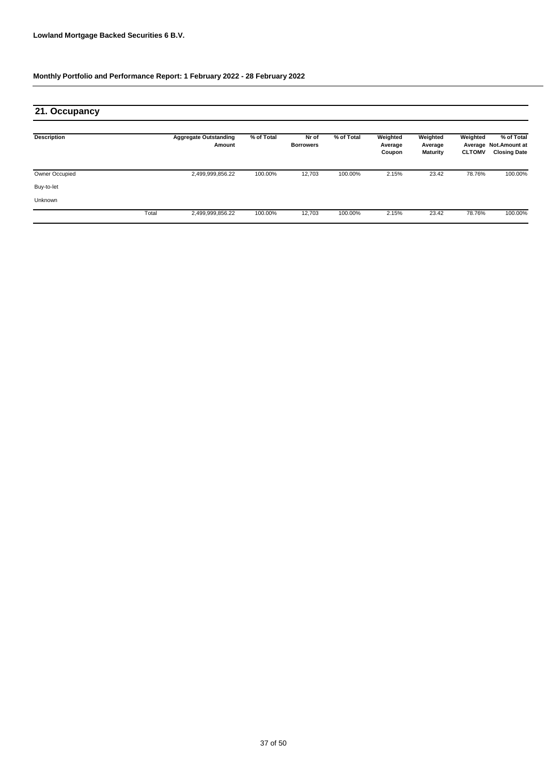## **21. Occupancy**

| <b>Description</b> |       | <b>Aggregate Outstanding</b><br>Amount | % of Total | Nr of<br><b>Borrowers</b> | % of Total | Weighted<br>Average<br>Coupon | Weighted<br>Average<br>Maturity | Weighted<br><b>CLTOMV</b> | % of Total<br>Average Not.Amount at<br><b>Closing Date</b> |
|--------------------|-------|----------------------------------------|------------|---------------------------|------------|-------------------------------|---------------------------------|---------------------------|------------------------------------------------------------|
| Owner Occupied     |       | 2,499,999,856.22                       | 100.00%    | 12,703                    | 100.00%    | 2.15%                         | 23.42                           | 78.76%                    | 100.00%                                                    |
| Buy-to-let         |       |                                        |            |                           |            |                               |                                 |                           |                                                            |
| Unknown            |       |                                        |            |                           |            |                               |                                 |                           |                                                            |
|                    | Total | 2,499,999,856.22                       | 100.00%    | 12,703                    | 100.00%    | 2.15%                         | 23.42                           | 78.76%                    | 100.00%                                                    |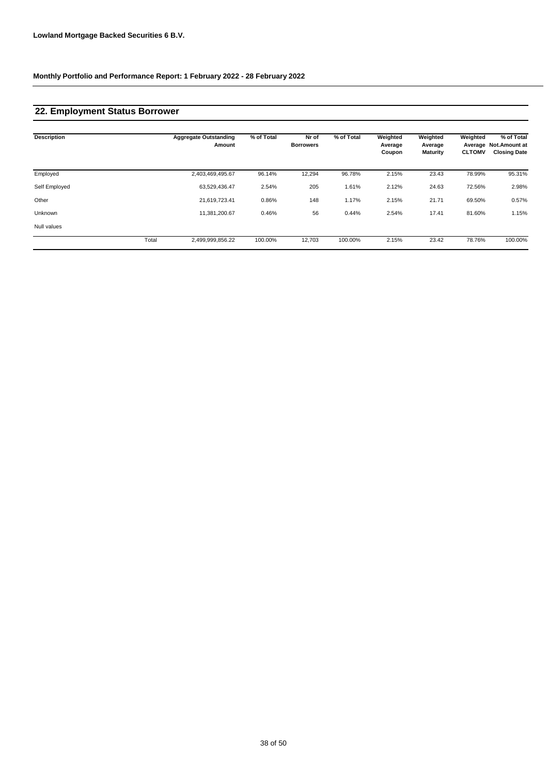### **22. Employment Status Borrower**

| <b>Description</b> |       | <b>Aggregate Outstanding</b><br>Amount | % of Total | Nr of<br><b>Borrowers</b> | % of Total | Weighted<br>Average<br>Coupon | Weighted<br>Average<br>Maturity | Weighted<br><b>CLTOMV</b> | % of Total<br>Average Not.Amount at<br><b>Closing Date</b> |
|--------------------|-------|----------------------------------------|------------|---------------------------|------------|-------------------------------|---------------------------------|---------------------------|------------------------------------------------------------|
| Employed           |       | 2,403,469,495.67                       | 96.14%     | 12,294                    | 96.78%     | 2.15%                         | 23.43                           | 78.99%                    | 95.31%                                                     |
| Self Employed      |       | 63,529,436.47                          | 2.54%      | 205                       | 1.61%      | 2.12%                         | 24.63                           | 72.56%                    | 2.98%                                                      |
| Other              |       | 21,619,723.41                          | 0.86%      | 148                       | 1.17%      | 2.15%                         | 21.71                           | 69.50%                    | 0.57%                                                      |
| Unknown            |       | 11,381,200.67                          | 0.46%      | 56                        | 0.44%      | 2.54%                         | 17.41                           | 81.60%                    | 1.15%                                                      |
| Null values        |       |                                        |            |                           |            |                               |                                 |                           |                                                            |
|                    | Total | 2,499,999,856.22                       | 100.00%    | 12,703                    | 100.00%    | 2.15%                         | 23.42                           | 78.76%                    | 100.00%                                                    |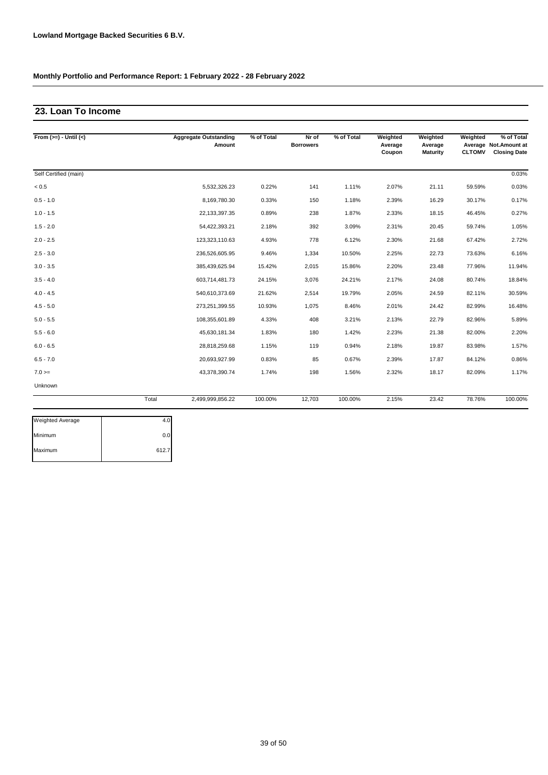### **23. Loan To Income**

| From $(>=) -$ Until $(<)$ |       | <b>Aggregate Outstanding</b><br>Amount | % of Total | Nr of<br><b>Borrowers</b> | % of Total | Weighted<br>Average<br>Coupon | Weighted<br>Average<br>Maturity | Weighted<br><b>CLTOMV</b> | % of Total<br>Average Not.Amount at<br><b>Closing Date</b> |
|---------------------------|-------|----------------------------------------|------------|---------------------------|------------|-------------------------------|---------------------------------|---------------------------|------------------------------------------------------------|
| Self Certified (main)     |       |                                        |            |                           |            |                               |                                 |                           | 0.03%                                                      |
| < 0.5                     |       | 5,532,326.23                           | 0.22%      | 141                       | 1.11%      | 2.07%                         | 21.11                           | 59.59%                    | 0.03%                                                      |
| $0.5 - 1.0$               |       | 8,169,780.30                           | 0.33%      | 150                       | 1.18%      | 2.39%                         | 16.29                           | 30.17%                    | 0.17%                                                      |
| $1.0 - 1.5$               |       | 22, 133, 397. 35                       | 0.89%      | 238                       | 1.87%      | 2.33%                         | 18.15                           | 46.45%                    | 0.27%                                                      |
| $1.5 - 2.0$               |       | 54,422,393.21                          | 2.18%      | 392                       | 3.09%      | 2.31%                         | 20.45                           | 59.74%                    | 1.05%                                                      |
| $2.0 - 2.5$               |       | 123,323,110.63                         | 4.93%      | 778                       | 6.12%      | 2.30%                         | 21.68                           | 67.42%                    | 2.72%                                                      |
| $2.5 - 3.0$               |       | 236,526,605.95                         | 9.46%      | 1,334                     | 10.50%     | 2.25%                         | 22.73                           | 73.63%                    | 6.16%                                                      |
| $3.0 - 3.5$               |       | 385,439,625.94                         | 15.42%     | 2,015                     | 15.86%     | 2.20%                         | 23.48                           | 77.96%                    | 11.94%                                                     |
| $3.5 - 4.0$               |       | 603,714,481.73                         | 24.15%     | 3,076                     | 24.21%     | 2.17%                         | 24.08                           | 80.74%                    | 18.84%                                                     |
| $4.0 - 4.5$               |       | 540,610,373.69                         | 21.62%     | 2,514                     | 19.79%     | 2.05%                         | 24.59                           | 82.11%                    | 30.59%                                                     |
| $4.5 - 5.0$               |       | 273,251,399.55                         | 10.93%     | 1,075                     | 8.46%      | 2.01%                         | 24.42                           | 82.99%                    | 16.48%                                                     |
| $5.0 - 5.5$               |       | 108,355,601.89                         | 4.33%      | 408                       | 3.21%      | 2.13%                         | 22.79                           | 82.96%                    | 5.89%                                                      |
| $5.5 - 6.0$               |       | 45,630,181.34                          | 1.83%      | 180                       | 1.42%      | 2.23%                         | 21.38                           | 82.00%                    | 2.20%                                                      |
| $6.0 - 6.5$               |       | 28,818,259.68                          | 1.15%      | 119                       | 0.94%      | 2.18%                         | 19.87                           | 83.98%                    | 1.57%                                                      |
| $6.5 - 7.0$               |       | 20,693,927.99                          | 0.83%      | 85                        | 0.67%      | 2.39%                         | 17.87                           | 84.12%                    | 0.86%                                                      |
| $7.0 ==$                  |       | 43,378,390.74                          | 1.74%      | 198                       | 1.56%      | 2.32%                         | 18.17                           | 82.09%                    | 1.17%                                                      |
| Unknown                   |       |                                        |            |                           |            |                               |                                 |                           |                                                            |
|                           | Total | 2,499,999,856.22                       | 100.00%    | 12,703                    | 100.00%    | 2.15%                         | 23.42                           | 78.76%                    | 100.00%                                                    |

| <b>Weighted Average</b> |       |
|-------------------------|-------|
| Minimum                 |       |
| Maximum                 | 612.7 |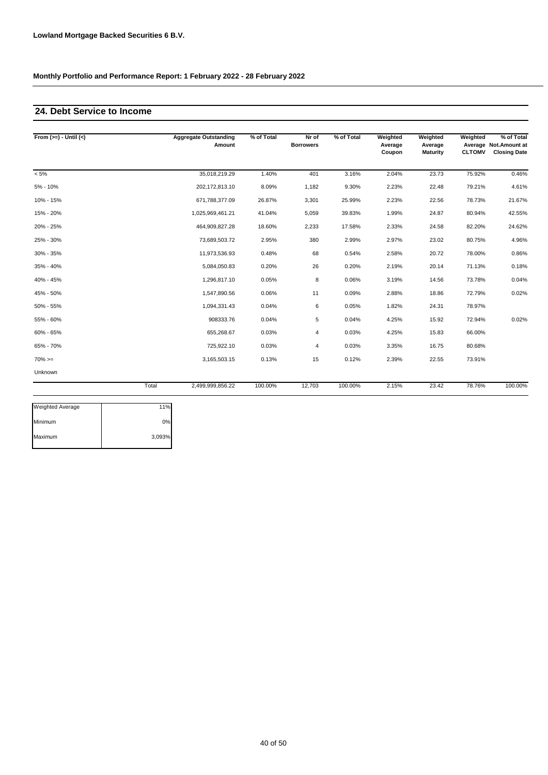### **24. Debt Service to Income**

| From $(>=) -$ Until $(<)$ |       | <b>Aggregate Outstanding</b><br>Amount | % of Total | Nr of<br><b>Borrowers</b> | % of Total | Weighted<br>Average<br>Coupon | Weighted<br>Average<br><b>Maturity</b> | Weighted<br><b>CLTOMV</b> | % of Total<br>Average Not.Amount at<br><b>Closing Date</b> |
|---------------------------|-------|----------------------------------------|------------|---------------------------|------------|-------------------------------|----------------------------------------|---------------------------|------------------------------------------------------------|
| $< 5\%$                   |       | 35,018,219.29                          | 1.40%      | 401                       | 3.16%      | 2.04%                         | 23.73                                  | 75.92%                    | 0.46%                                                      |
| 5% - 10%                  |       | 202,172,813.10                         | 8.09%      | 1,182                     | 9.30%      | 2.23%                         | 22.48                                  | 79.21%                    | 4.61%                                                      |
| 10% - 15%                 |       | 671,788,377.09                         | 26.87%     | 3,301                     | 25.99%     | 2.23%                         | 22.56                                  | 78.73%                    | 21.67%                                                     |
| 15% - 20%                 |       | 1,025,969,461.21                       | 41.04%     | 5,059                     | 39.83%     | 1.99%                         | 24.87                                  | 80.94%                    | 42.55%                                                     |
| 20% - 25%                 |       | 464,909,827.28                         | 18.60%     | 2,233                     | 17.58%     | 2.33%                         | 24.58                                  | 82.20%                    | 24.62%                                                     |
| 25% - 30%                 |       | 73,689,503.72                          | 2.95%      | 380                       | 2.99%      | 2.97%                         | 23.02                                  | 80.75%                    | 4.96%                                                      |
| 30% - 35%                 |       | 11,973,536.93                          | 0.48%      | 68                        | 0.54%      | 2.58%                         | 20.72                                  | 78.00%                    | 0.86%                                                      |
| 35% - 40%                 |       | 5,084,050.83                           | 0.20%      | 26                        | 0.20%      | 2.19%                         | 20.14                                  | 71.13%                    | 0.18%                                                      |
| 40% - 45%                 |       | 1,296,817.10                           | 0.05%      | 8                         | 0.06%      | 3.19%                         | 14.56                                  | 73.78%                    | 0.04%                                                      |
| 45% - 50%                 |       | 1,547,890.56                           | 0.06%      | 11                        | 0.09%      | 2.88%                         | 18.86                                  | 72.79%                    | 0.02%                                                      |
| 50% - 55%                 |       | 1,094,331.43                           | 0.04%      | 6                         | 0.05%      | 1.82%                         | 24.31                                  | 78.97%                    |                                                            |
| 55% - 60%                 |       | 908333.76                              | 0.04%      | 5                         | 0.04%      | 4.25%                         | 15.92                                  | 72.94%                    | 0.02%                                                      |
| 60% - 65%                 |       | 655,268.67                             | 0.03%      | $\overline{4}$            | 0.03%      | 4.25%                         | 15.83                                  | 66.00%                    |                                                            |
| 65% - 70%                 |       | 725,922.10                             | 0.03%      | 4                         | 0.03%      | 3.35%                         | 16.75                                  | 80.68%                    |                                                            |
| $70\%>=$                  |       | 3,165,503.15                           | 0.13%      | 15                        | 0.12%      | 2.39%                         | 22.55                                  | 73.91%                    |                                                            |
| Unknown                   |       |                                        |            |                           |            |                               |                                        |                           |                                                            |
|                           | Total | 2,499,999,856.22                       | 100.00%    | 12,703                    | 100.00%    | 2.15%                         | 23.42                                  | 78.76%                    | 100.00%                                                    |

| <b>Weighted Average</b> | 11%    |
|-------------------------|--------|
| Minimum                 | 0%     |
| Maximum                 | 3,093% |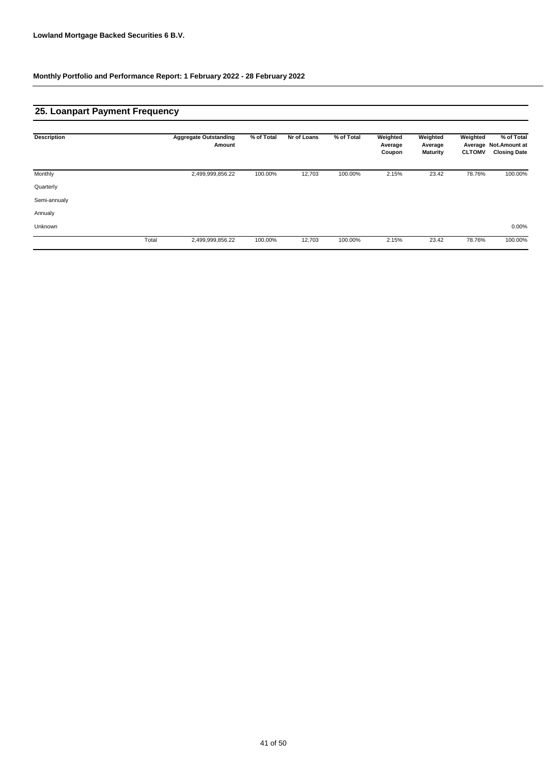## **25. Loanpart Payment Frequency**

| <b>Description</b> |       | <b>Aggregate Outstanding</b><br>Amount | % of Total | Nr of Loans | % of Total | Weighted<br>Average<br>Coupon | Weighted<br>Average<br>Maturity | Weighted<br><b>CLTOMV</b> | % of Total<br>Average Not. Amount at<br><b>Closing Date</b> |
|--------------------|-------|----------------------------------------|------------|-------------|------------|-------------------------------|---------------------------------|---------------------------|-------------------------------------------------------------|
| Monthly            |       | 2,499,999,856.22                       | 100.00%    | 12,703      | 100.00%    | 2.15%                         | 23.42                           | 78.76%                    | 100.00%                                                     |
| Quarterly          |       |                                        |            |             |            |                               |                                 |                           |                                                             |
| Semi-annualy       |       |                                        |            |             |            |                               |                                 |                           |                                                             |
| Annualy            |       |                                        |            |             |            |                               |                                 |                           |                                                             |
| Unknown            |       |                                        |            |             |            |                               |                                 |                           | 0.00%                                                       |
|                    | Total | 2,499,999,856.22                       | 100.00%    | 12,703      | 100.00%    | 2.15%                         | 23.42                           | 78.76%                    | 100.00%                                                     |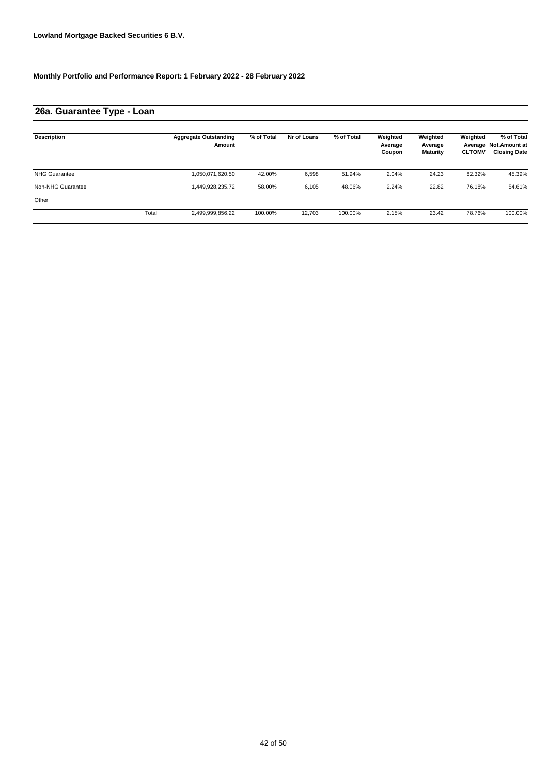## **26a. Guarantee Type - Loan**

| <b>Description</b>   |       | <b>Aggregate Outstanding</b><br>Amount | % of Total | Nr of Loans | % of Total | Weighted<br>Average<br>Coupon | Weighted<br>Average<br><b>Maturity</b> | Weighted<br><b>CLTOMV</b> | % of Total<br>Average Not. Amount at<br><b>Closing Date</b> |
|----------------------|-------|----------------------------------------|------------|-------------|------------|-------------------------------|----------------------------------------|---------------------------|-------------------------------------------------------------|
| <b>NHG Guarantee</b> |       | 1,050,071,620.50                       | 42.00%     | 6,598       | 51.94%     | 2.04%                         | 24.23                                  | 82.32%                    | 45.39%                                                      |
| Non-NHG Guarantee    |       | 1.449.928.235.72                       | 58.00%     | 6,105       | 48.06%     | 2.24%                         | 22.82                                  | 76.18%                    | 54.61%                                                      |
| Other                |       |                                        |            |             |            |                               |                                        |                           |                                                             |
|                      | Total | 2,499,999,856.22                       | 100.00%    | 12,703      | 100.00%    | 2.15%                         | 23.42                                  | 78.76%                    | 100.00%                                                     |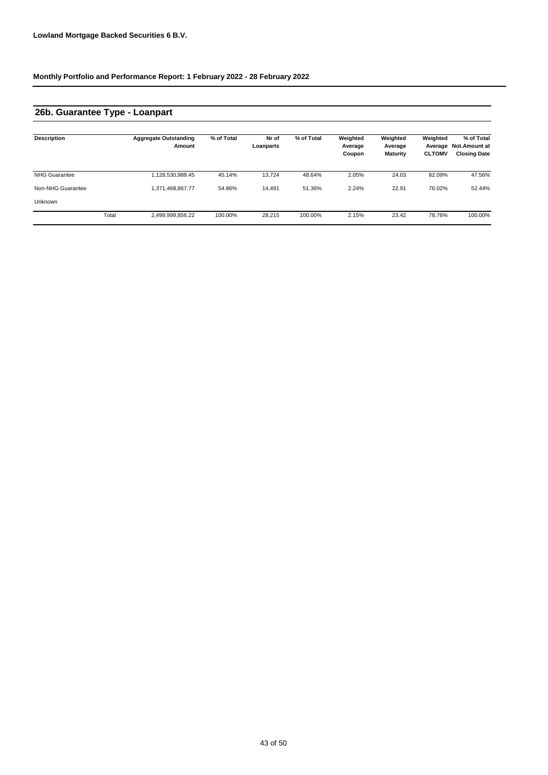### **26b. Guarantee Type - Loanpart**

| <b>Description</b>   |       | <b>Aggregate Outstanding</b><br>Amount | % of Total | Nr of<br>Loanparts | % of Total | Weighted<br>Average<br>Coupon | Weighted<br>Average<br>Maturity | Weighted<br>Average<br><b>CLTOMV</b> | % of Total<br><b>Not.Amount at</b><br><b>Closing Date</b> |
|----------------------|-------|----------------------------------------|------------|--------------------|------------|-------------------------------|---------------------------------|--------------------------------------|-----------------------------------------------------------|
| <b>NHG Guarantee</b> |       | 1,128,530,988.45                       | 45.14%     | 13.724             | 48.64%     | 2.05%                         | 24.03                           | 82.09%                               | 47.56%                                                    |
| Non-NHG Guarantee    |       | 1,371,468,867.77                       | 54.86%     | 14,491             | 51.36%     | 2.24%                         | 22.91                           | 76.02%                               | 52.44%                                                    |
| <b>Unknown</b>       |       |                                        |            |                    |            |                               |                                 |                                      |                                                           |
|                      | Total | 2,499,999,856.22                       | 100.00%    | 28.215             | 100.00%    | 2.15%                         | 23.42                           | 78.76%                               | 100.00%                                                   |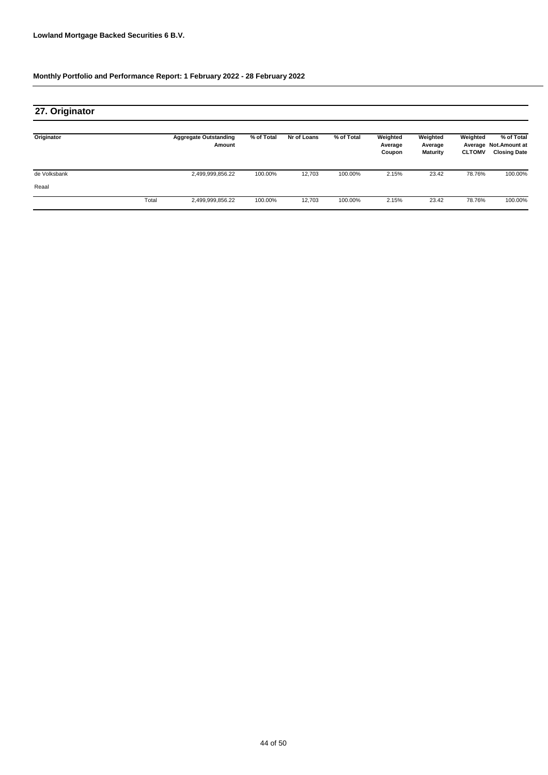## **27. Originator**

| Originator   |       | <b>Aggregate Outstanding</b><br>Amount | % of Total | Nr of Loans | % of Total | Weighted<br>Average<br>Coupon | Weighted<br>Average<br><b>Maturity</b> | Weighted<br><b>CLTOMV</b> | % of Total<br>Average Not. Amount at<br><b>Closing Date</b> |
|--------------|-------|----------------------------------------|------------|-------------|------------|-------------------------------|----------------------------------------|---------------------------|-------------------------------------------------------------|
| de Volksbank |       | 2,499,999,856.22                       | 100.00%    | 12,703      | 100.00%    | 2.15%                         | 23.42                                  | 78.76%                    | 100.00%                                                     |
| Reaal        |       |                                        |            |             |            |                               |                                        |                           |                                                             |
|              | Total | 2,499,999,856.22                       | 100.00%    | 12.703      | 100.00%    | 2.15%                         | 23.42                                  | 78.76%                    | 100.00%                                                     |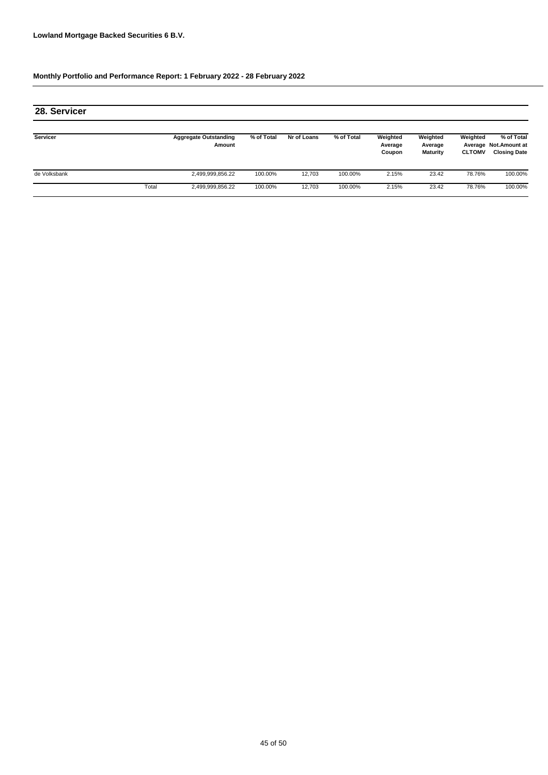| 28. Servicer |       |                                        |            |             |            |                               |                                 |                           |                                                             |
|--------------|-------|----------------------------------------|------------|-------------|------------|-------------------------------|---------------------------------|---------------------------|-------------------------------------------------------------|
| Servicer     |       | <b>Aggregate Outstanding</b><br>Amount | % of Total | Nr of Loans | % of Total | Weighted<br>Average<br>Coupon | Weighted<br>Average<br>Maturity | Weighted<br><b>CLTOMV</b> | % of Total<br>Average Not. Amount at<br><b>Closing Date</b> |
| de Volksbank |       | 2,499,999,856.22                       | 100.00%    | 12,703      | 100.00%    | 2.15%                         | 23.42                           | 78.76%                    | 100.00%                                                     |
|              | Total | 2,499,999,856.22                       | 100.00%    | 12,703      | 100.00%    | 2.15%                         | 23.42                           | 78.76%                    | 100.00%                                                     |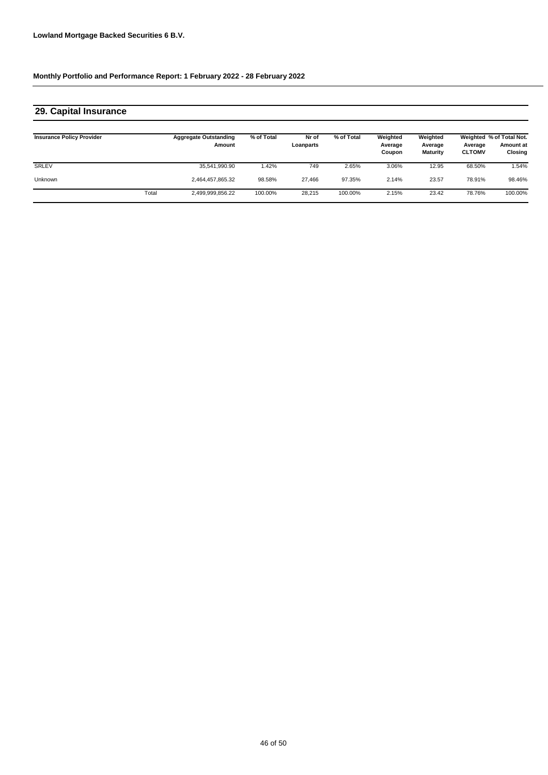## **29. Capital Insurance**

| <b>Insurance Policy Provider</b> |       | <b>Aggregate Outstanding</b><br>Amount | % of Total | Nr of<br>Loanparts | % of Total | Weighted<br>Average<br>Coupon | Weighted<br>Average<br>Maturity | Average<br><b>CLTOMV</b> | Weighted % of Total Not.<br><b>Amount at</b><br>Closing |
|----------------------------------|-------|----------------------------------------|------------|--------------------|------------|-------------------------------|---------------------------------|--------------------------|---------------------------------------------------------|
| SRLEV                            |       | 35,541,990.90                          | .42%       | 749                | 2.65%      | 3.06%                         | 12.95                           | 68.50%                   | .54%                                                    |
| <b>Unknown</b>                   |       | 2,464,457,865.32                       | 98.58%     | 27.466             | 97.35%     | 2.14%                         | 23.57                           | 78.91%                   | 98.46%                                                  |
|                                  | Total | 2,499,999,856.22                       | 100.00%    | 28,215             | 100.00%    | 2.15%                         | 23.42                           | 78.76%                   | 100.00%                                                 |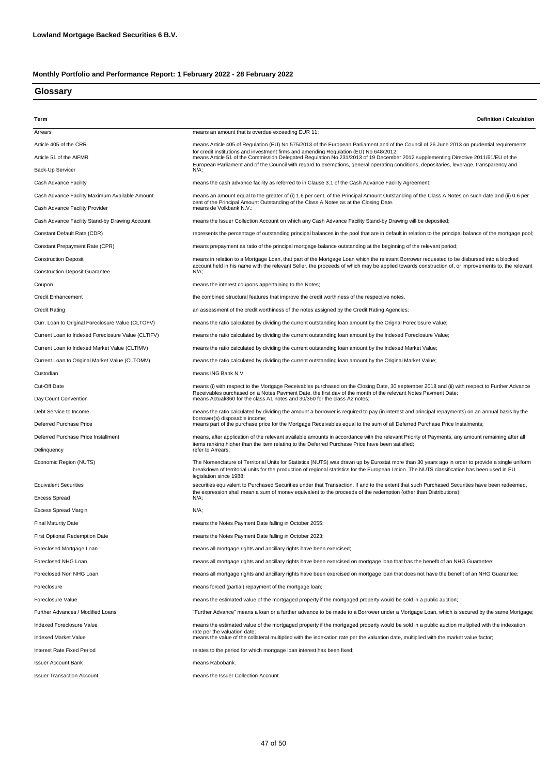#### **Glossary**

| Term                                               | <b>Definition / Calculation</b>                                                                                                                                                                                                                                                                  |
|----------------------------------------------------|--------------------------------------------------------------------------------------------------------------------------------------------------------------------------------------------------------------------------------------------------------------------------------------------------|
| Arrears                                            | means an amount that is overdue exceeding EUR 11;                                                                                                                                                                                                                                                |
| Article 405 of the CRR                             | means Article 405 of Regulation (EU) No 575/2013 of the European Parliament and of the Council of 26 June 2013 on prudential requirements                                                                                                                                                        |
| Article 51 of the AIFMR                            | for credit institutions and investment firms and amending Regulation (EU) No 648/2012;<br>means Article 51 of the Commission Delegated Regulation No 231/2013 of 19 December 2012 supplementing Directive 2011/61/EU of the                                                                      |
| Back-Up Servicer                                   | European Parliament and of the Council with regard to exemptions, general operating conditions, depositaries, leverage, transparency and<br>N/A:                                                                                                                                                 |
| Cash Advance Facility                              | means the cash advance facility as referred to in Clause 3.1 of the Cash Advance Facility Agreement;                                                                                                                                                                                             |
| Cash Advance Facility Maximum Available Amount     | means an amount equal to the greater of (i) 1.6 per cent. of the Principal Amount Outstanding of the Class A Notes on such date and (ii) 0.6 per                                                                                                                                                 |
| Cash Advance Facility Provider                     | cent of the Principal Amount Outstanding of the Class A Notes as at the Closing Date.<br>means de Volkbank N.V.;                                                                                                                                                                                 |
| Cash Advance Facility Stand-by Drawing Account     | means the Issuer Collection Account on which any Cash Advance Facility Stand-by Drawing will be deposited;                                                                                                                                                                                       |
| Constant Default Rate (CDR)                        | represents the percentage of outstanding principal balances in the pool that are in default in relation to the principal balance of the mortgage pool;                                                                                                                                           |
| Constant Prepayment Rate (CPR)                     |                                                                                                                                                                                                                                                                                                  |
|                                                    | means prepayment as ratio of the principal mortgage balance outstanding at the beginning of the relevant period;                                                                                                                                                                                 |
| <b>Construction Deposit</b>                        | means in relation to a Mortgage Loan, that part of the Mortgage Loan which the relevant Borrower requested to be disbursed into a blocked<br>account held in his name with the relevant Seller, the proceeds of which may be applied towards construction of, or improvements to, the relevant   |
| <b>Construction Deposit Guarantee</b>              | $N/A$ :                                                                                                                                                                                                                                                                                          |
| Coupon                                             | means the interest coupons appertaining to the Notes;                                                                                                                                                                                                                                            |
| <b>Credit Enhancement</b>                          | the combined structural features that improve the credit worthiness of the respective notes.                                                                                                                                                                                                     |
| <b>Credit Rating</b>                               | an assessment of the credit worthiness of the notes assigned by the Credit Rating Agencies;                                                                                                                                                                                                      |
| Curr. Loan to Original Foreclosure Value (CLTOFV)  | means the ratio calculated by dividing the current outstanding loan amount by the Orignal Foreclosure Value;                                                                                                                                                                                     |
| Current Loan to Indexed Foreclosure Value (CLTIFV) | means the ratio calculated by dividing the current outstanding loan amount by the Indexed Foreclosure Value;                                                                                                                                                                                     |
| Current Loan to Indexed Market Value (CLTIMV)      | means the ratio calculated by dividing the current outstanding loan amount by the Indexed Market Value;                                                                                                                                                                                          |
| Current Loan to Original Market Value (CLTOMV)     | means the ratio calculated by dividing the current outstanding loan amount by the Original Market Value;                                                                                                                                                                                         |
| Custodian                                          | means ING Bank N.V.                                                                                                                                                                                                                                                                              |
| Cut-Off Date                                       | means (i) with respect to the Mortgage Receivables purchased on the Closing Date, 30 september 2018 and (ii) with respect to Further Advance                                                                                                                                                     |
| Day Count Convention                               | Receivables purchased on a Notes Pavment Date. the first dav of the month of the relevant Notes Pavment Date:<br>means Actual/360 for the class A1 notes and 30/360 for the class A2 notes;                                                                                                      |
| Debt Service to Income                             | means the ratio calculated by dividing the amount a borrower is required to pay (in interest and principal repayments) on an annual basis by the                                                                                                                                                 |
| Deferred Purchase Price                            | borrower(s) disposable income;<br>means part of the purchase price for the Mortgage Receivables equal to the sum of all Deferred Purchase Price Instalments;                                                                                                                                     |
| Deferred Purchase Price Installment                | means, after application of the relevant available amounts in accordance with the relevant Priority of Payments, any amount remaining after all                                                                                                                                                  |
| Delinquency                                        | items ranking higher than the item relating to the Deferred Purchase Price have been satisfied;<br>refer to Arrears;                                                                                                                                                                             |
| Economic Region (NUTS)                             | The Nomenclature of Territorial Units for Statistics (NUTS) was drawn up by Eurostat more than 30 years ago in order to provide a single uniform<br>breakdown of territorial units for the production of regional statistics for the European Union. The NUTS classification has been used in EU |
| <b>Equivalent Securities</b>                       | legislation since 1988;<br>securities equivalent to Purchased Securities under that Transaction. If and to the extent that such Purchased Securities have been redeemed,                                                                                                                         |
| <b>Excess Spread</b>                               | the expression shall mean a sum of money equivalent to the proceeds of the redemption (other than Distributions);<br>N/A;                                                                                                                                                                        |
| <b>Excess Spread Margin</b>                        | $N/A$ ;                                                                                                                                                                                                                                                                                          |
| <b>Final Maturity Date</b>                         | means the Notes Payment Date falling in October 2055;                                                                                                                                                                                                                                            |
| First Optional Redemption Date                     | means the Notes Payment Date falling in October 2023;                                                                                                                                                                                                                                            |
| Foreclosed Mortgage Loan                           | means all mortgage rights and ancillary rights have been exercised;                                                                                                                                                                                                                              |
| Foreclosed NHG Loan                                | means all mortgage rights and ancillary rights have been exercised on mortgage loan that has the benefit of an NHG Guarantee;                                                                                                                                                                    |
| Foreclosed Non NHG Loan                            | means all mortgage rights and ancillary rights have been exercised on mortgage loan that does not have the benefit of an NHG Guarantee;                                                                                                                                                          |
| Foreclosure                                        | means forced (partial) repayment of the mortgage loan;                                                                                                                                                                                                                                           |
| Foreclosure Value                                  | means the estimated value of the mortgaged property if the mortgaged property would be sold in a public auction;                                                                                                                                                                                 |
| Further Advances / Modified Loans                  | "Further Advance" means a loan or a further advance to be made to a Borrower under a Mortgage Loan, which is secured by the same Mortgage;                                                                                                                                                       |
| Indexed Foreclosure Value                          | means the estimated value of the mortgaged property if the mortgaged property would be sold in a public auction multiplied with the indexation                                                                                                                                                   |
| Indexed Market Value                               | rate per the valuation date;<br>means the value of the collateral multiplied with the indexation rate per the valuation date, multiplied with the market value factor;                                                                                                                           |
| <b>Interest Rate Fixed Period</b>                  | relates to the period for which mortgage loan interest has been fixed;                                                                                                                                                                                                                           |
| <b>Issuer Account Bank</b>                         | means Rabobank.                                                                                                                                                                                                                                                                                  |
| <b>Issuer Transaction Account</b>                  | means the Issuer Collection Account.                                                                                                                                                                                                                                                             |
|                                                    |                                                                                                                                                                                                                                                                                                  |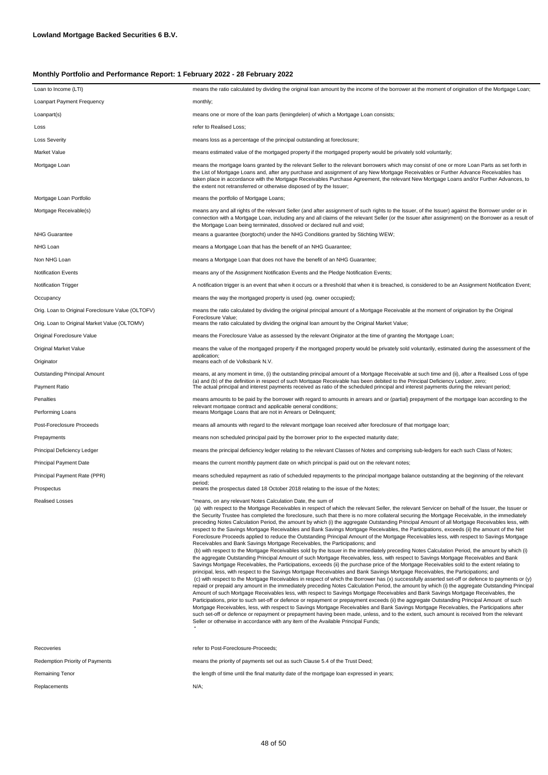| Loan to Income (LTI)                              | means the ratio calculated by dividing the original loan amount by the income of the borrower at the moment of origination of the Mortgage Loan;                                                                                                                                                                                                                                                                                                                                                                                                                                                                                                                                                                                                                                                                                                                                                                                                                                                                                                                                                                                                                                                                                                                                                                                                                                                                                                                                                                                                                                                                                                                                                                                                                                                                                                                                                                                                                                                                                                                                                                                                                                                                                                                                                                                                                                                                                                     |
|---------------------------------------------------|------------------------------------------------------------------------------------------------------------------------------------------------------------------------------------------------------------------------------------------------------------------------------------------------------------------------------------------------------------------------------------------------------------------------------------------------------------------------------------------------------------------------------------------------------------------------------------------------------------------------------------------------------------------------------------------------------------------------------------------------------------------------------------------------------------------------------------------------------------------------------------------------------------------------------------------------------------------------------------------------------------------------------------------------------------------------------------------------------------------------------------------------------------------------------------------------------------------------------------------------------------------------------------------------------------------------------------------------------------------------------------------------------------------------------------------------------------------------------------------------------------------------------------------------------------------------------------------------------------------------------------------------------------------------------------------------------------------------------------------------------------------------------------------------------------------------------------------------------------------------------------------------------------------------------------------------------------------------------------------------------------------------------------------------------------------------------------------------------------------------------------------------------------------------------------------------------------------------------------------------------------------------------------------------------------------------------------------------------------------------------------------------------------------------------------------------------|
| <b>Loanpart Payment Frequency</b>                 | monthly;                                                                                                                                                                                                                                                                                                                                                                                                                                                                                                                                                                                                                                                                                                                                                                                                                                                                                                                                                                                                                                                                                                                                                                                                                                                                                                                                                                                                                                                                                                                                                                                                                                                                                                                                                                                                                                                                                                                                                                                                                                                                                                                                                                                                                                                                                                                                                                                                                                             |
| Loanpart(s)                                       | means one or more of the loan parts (leningdelen) of which a Mortgage Loan consists;                                                                                                                                                                                                                                                                                                                                                                                                                                                                                                                                                                                                                                                                                                                                                                                                                                                                                                                                                                                                                                                                                                                                                                                                                                                                                                                                                                                                                                                                                                                                                                                                                                                                                                                                                                                                                                                                                                                                                                                                                                                                                                                                                                                                                                                                                                                                                                 |
| Loss                                              | refer to Realised Loss:                                                                                                                                                                                                                                                                                                                                                                                                                                                                                                                                                                                                                                                                                                                                                                                                                                                                                                                                                                                                                                                                                                                                                                                                                                                                                                                                                                                                                                                                                                                                                                                                                                                                                                                                                                                                                                                                                                                                                                                                                                                                                                                                                                                                                                                                                                                                                                                                                              |
| <b>Loss Severity</b>                              | means loss as a percentage of the principal outstanding at foreclosure;                                                                                                                                                                                                                                                                                                                                                                                                                                                                                                                                                                                                                                                                                                                                                                                                                                                                                                                                                                                                                                                                                                                                                                                                                                                                                                                                                                                                                                                                                                                                                                                                                                                                                                                                                                                                                                                                                                                                                                                                                                                                                                                                                                                                                                                                                                                                                                              |
| Market Value                                      | means estimated value of the mortgaged property if the mortgaged property would be privately sold voluntarily;                                                                                                                                                                                                                                                                                                                                                                                                                                                                                                                                                                                                                                                                                                                                                                                                                                                                                                                                                                                                                                                                                                                                                                                                                                                                                                                                                                                                                                                                                                                                                                                                                                                                                                                                                                                                                                                                                                                                                                                                                                                                                                                                                                                                                                                                                                                                       |
| Mortgage Loan                                     | means the mortgage loans granted by the relevant Seller to the relevant borrowers which may consist of one or more Loan Parts as set forth in<br>the List of Mortgage Loans and, after any purchase and assignment of any New Mortgage Receivables or Further Advance Receivables has<br>taken place in accordance with the Mortgage Receivables Purchase Agreement, the relevant New Mortgage Loans and/or Further Advances, to<br>the extent not retransferred or otherwise disposed of by the Issuer;                                                                                                                                                                                                                                                                                                                                                                                                                                                                                                                                                                                                                                                                                                                                                                                                                                                                                                                                                                                                                                                                                                                                                                                                                                                                                                                                                                                                                                                                                                                                                                                                                                                                                                                                                                                                                                                                                                                                             |
| Mortgage Loan Portfolio                           | means the portfolio of Mortgage Loans;                                                                                                                                                                                                                                                                                                                                                                                                                                                                                                                                                                                                                                                                                                                                                                                                                                                                                                                                                                                                                                                                                                                                                                                                                                                                                                                                                                                                                                                                                                                                                                                                                                                                                                                                                                                                                                                                                                                                                                                                                                                                                                                                                                                                                                                                                                                                                                                                               |
| Mortgage Receivable(s)                            | means any and all rights of the relevant Seller (and after assignment of such rights to the Issuer, of the Issuer) against the Borrower under or in<br>connection with a Mortgage Loan, including any and all claims of the relevant Seller (or the Issuer after assignment) on the Borrower as a result of<br>the Mortgage Loan being terminated, dissolved or declared null and void;                                                                                                                                                                                                                                                                                                                                                                                                                                                                                                                                                                                                                                                                                                                                                                                                                                                                                                                                                                                                                                                                                                                                                                                                                                                                                                                                                                                                                                                                                                                                                                                                                                                                                                                                                                                                                                                                                                                                                                                                                                                              |
| <b>NHG Guarantee</b>                              | means a guarantee (borgtocht) under the NHG Conditions granted by Stichting WEW;                                                                                                                                                                                                                                                                                                                                                                                                                                                                                                                                                                                                                                                                                                                                                                                                                                                                                                                                                                                                                                                                                                                                                                                                                                                                                                                                                                                                                                                                                                                                                                                                                                                                                                                                                                                                                                                                                                                                                                                                                                                                                                                                                                                                                                                                                                                                                                     |
| NHG Loan                                          | means a Mortgage Loan that has the benefit of an NHG Guarantee;                                                                                                                                                                                                                                                                                                                                                                                                                                                                                                                                                                                                                                                                                                                                                                                                                                                                                                                                                                                                                                                                                                                                                                                                                                                                                                                                                                                                                                                                                                                                                                                                                                                                                                                                                                                                                                                                                                                                                                                                                                                                                                                                                                                                                                                                                                                                                                                      |
| Non NHG Loan                                      | means a Mortgage Loan that does not have the benefit of an NHG Guarantee;                                                                                                                                                                                                                                                                                                                                                                                                                                                                                                                                                                                                                                                                                                                                                                                                                                                                                                                                                                                                                                                                                                                                                                                                                                                                                                                                                                                                                                                                                                                                                                                                                                                                                                                                                                                                                                                                                                                                                                                                                                                                                                                                                                                                                                                                                                                                                                            |
| <b>Notification Events</b>                        | means any of the Assignment Notification Events and the Pledge Notification Events;                                                                                                                                                                                                                                                                                                                                                                                                                                                                                                                                                                                                                                                                                                                                                                                                                                                                                                                                                                                                                                                                                                                                                                                                                                                                                                                                                                                                                                                                                                                                                                                                                                                                                                                                                                                                                                                                                                                                                                                                                                                                                                                                                                                                                                                                                                                                                                  |
| <b>Notification Trigger</b>                       | A notification trigger is an event that when it occurs or a threshold that when it is breached, is considered to be an Assignment Notification Event;                                                                                                                                                                                                                                                                                                                                                                                                                                                                                                                                                                                                                                                                                                                                                                                                                                                                                                                                                                                                                                                                                                                                                                                                                                                                                                                                                                                                                                                                                                                                                                                                                                                                                                                                                                                                                                                                                                                                                                                                                                                                                                                                                                                                                                                                                                |
| Occupancy                                         | means the way the mortgaged property is used (eg. owner occupied);                                                                                                                                                                                                                                                                                                                                                                                                                                                                                                                                                                                                                                                                                                                                                                                                                                                                                                                                                                                                                                                                                                                                                                                                                                                                                                                                                                                                                                                                                                                                                                                                                                                                                                                                                                                                                                                                                                                                                                                                                                                                                                                                                                                                                                                                                                                                                                                   |
| Orig. Loan to Original Foreclosure Value (OLTOFV) | means the ratio calculated by dividing the original principal amount of a Mortgage Receivable at the moment of origination by the Original<br>Foreclosure Value:                                                                                                                                                                                                                                                                                                                                                                                                                                                                                                                                                                                                                                                                                                                                                                                                                                                                                                                                                                                                                                                                                                                                                                                                                                                                                                                                                                                                                                                                                                                                                                                                                                                                                                                                                                                                                                                                                                                                                                                                                                                                                                                                                                                                                                                                                     |
| Orig. Loan to Original Market Value (OLTOMV)      | means the ratio calculated by dividing the original loan amount by the Original Market Value;                                                                                                                                                                                                                                                                                                                                                                                                                                                                                                                                                                                                                                                                                                                                                                                                                                                                                                                                                                                                                                                                                                                                                                                                                                                                                                                                                                                                                                                                                                                                                                                                                                                                                                                                                                                                                                                                                                                                                                                                                                                                                                                                                                                                                                                                                                                                                        |
| Original Foreclosure Value                        | means the Foreclosure Value as assessed by the relevant Originator at the time of granting the Mortgage Loan;                                                                                                                                                                                                                                                                                                                                                                                                                                                                                                                                                                                                                                                                                                                                                                                                                                                                                                                                                                                                                                                                                                                                                                                                                                                                                                                                                                                                                                                                                                                                                                                                                                                                                                                                                                                                                                                                                                                                                                                                                                                                                                                                                                                                                                                                                                                                        |
| Original Market Value                             | means the value of the mortgaged property if the mortgaged property would be privately sold voluntarily, estimated during the assessment of the<br>application;                                                                                                                                                                                                                                                                                                                                                                                                                                                                                                                                                                                                                                                                                                                                                                                                                                                                                                                                                                                                                                                                                                                                                                                                                                                                                                                                                                                                                                                                                                                                                                                                                                                                                                                                                                                                                                                                                                                                                                                                                                                                                                                                                                                                                                                                                      |
| Originator                                        | means each of de Volksbank N.V.                                                                                                                                                                                                                                                                                                                                                                                                                                                                                                                                                                                                                                                                                                                                                                                                                                                                                                                                                                                                                                                                                                                                                                                                                                                                                                                                                                                                                                                                                                                                                                                                                                                                                                                                                                                                                                                                                                                                                                                                                                                                                                                                                                                                                                                                                                                                                                                                                      |
| <b>Outstanding Principal Amount</b>               | means, at any moment in time, (i) the outstanding principal amount of a Mortgage Receivable at such time and (ii), after a Realised Loss of type<br>(a) and (b) of the definition in respect of such Mortgage Receivable has been debited to the Principal Deficiency Ledger. zero:                                                                                                                                                                                                                                                                                                                                                                                                                                                                                                                                                                                                                                                                                                                                                                                                                                                                                                                                                                                                                                                                                                                                                                                                                                                                                                                                                                                                                                                                                                                                                                                                                                                                                                                                                                                                                                                                                                                                                                                                                                                                                                                                                                  |
| Payment Ratio                                     | The actual principal and interest payments received as ratio of the scheduled principal and interest payments during the relevant period;                                                                                                                                                                                                                                                                                                                                                                                                                                                                                                                                                                                                                                                                                                                                                                                                                                                                                                                                                                                                                                                                                                                                                                                                                                                                                                                                                                                                                                                                                                                                                                                                                                                                                                                                                                                                                                                                                                                                                                                                                                                                                                                                                                                                                                                                                                            |
| Penalties                                         | means amounts to be paid by the borrower with regard to amounts in arrears and or (partial) prepayment of the mortgage loan according to the<br>relevant mortgage contract and applicable general conditions;                                                                                                                                                                                                                                                                                                                                                                                                                                                                                                                                                                                                                                                                                                                                                                                                                                                                                                                                                                                                                                                                                                                                                                                                                                                                                                                                                                                                                                                                                                                                                                                                                                                                                                                                                                                                                                                                                                                                                                                                                                                                                                                                                                                                                                        |
| Performing Loans                                  | means Mortgage Loans that are not in Arrears or Delinquent;                                                                                                                                                                                                                                                                                                                                                                                                                                                                                                                                                                                                                                                                                                                                                                                                                                                                                                                                                                                                                                                                                                                                                                                                                                                                                                                                                                                                                                                                                                                                                                                                                                                                                                                                                                                                                                                                                                                                                                                                                                                                                                                                                                                                                                                                                                                                                                                          |
| Post-Foreclosure Proceeds                         | means all amounts with regard to the relevant mortgage loan received after foreclosure of that mortgage loan;                                                                                                                                                                                                                                                                                                                                                                                                                                                                                                                                                                                                                                                                                                                                                                                                                                                                                                                                                                                                                                                                                                                                                                                                                                                                                                                                                                                                                                                                                                                                                                                                                                                                                                                                                                                                                                                                                                                                                                                                                                                                                                                                                                                                                                                                                                                                        |
| Prepayments                                       | means non scheduled principal paid by the borrower prior to the expected maturity date;                                                                                                                                                                                                                                                                                                                                                                                                                                                                                                                                                                                                                                                                                                                                                                                                                                                                                                                                                                                                                                                                                                                                                                                                                                                                                                                                                                                                                                                                                                                                                                                                                                                                                                                                                                                                                                                                                                                                                                                                                                                                                                                                                                                                                                                                                                                                                              |
| Principal Deficiency Ledger                       | means the principal deficiency ledger relating to the relevant Classes of Notes and comprising sub-ledgers for each such Class of Notes;                                                                                                                                                                                                                                                                                                                                                                                                                                                                                                                                                                                                                                                                                                                                                                                                                                                                                                                                                                                                                                                                                                                                                                                                                                                                                                                                                                                                                                                                                                                                                                                                                                                                                                                                                                                                                                                                                                                                                                                                                                                                                                                                                                                                                                                                                                             |
| Principal Payment Date                            | means the current monthly payment date on which principal is paid out on the relevant notes;                                                                                                                                                                                                                                                                                                                                                                                                                                                                                                                                                                                                                                                                                                                                                                                                                                                                                                                                                                                                                                                                                                                                                                                                                                                                                                                                                                                                                                                                                                                                                                                                                                                                                                                                                                                                                                                                                                                                                                                                                                                                                                                                                                                                                                                                                                                                                         |
| Principal Payment Rate (PPR)<br>Prospectus        | means scheduled repayment as ratio of scheduled repayments to the principal mortgage balance outstanding at the beginning of the relevant<br>period;<br>means the prospectus dated 18 October 2018 relating to the issue of the Notes;                                                                                                                                                                                                                                                                                                                                                                                                                                                                                                                                                                                                                                                                                                                                                                                                                                                                                                                                                                                                                                                                                                                                                                                                                                                                                                                                                                                                                                                                                                                                                                                                                                                                                                                                                                                                                                                                                                                                                                                                                                                                                                                                                                                                               |
| <b>Realised Losses</b>                            | "means, on any relevant Notes Calculation Date, the sum of<br>(a) with respect to the Mortgage Receivables in respect of which the relevant Seller, the relevant Servicer on behalf of the Issuer, the Issuer or<br>the Security Trustee has completed the foreclosure, such that there is no more collateral securing the Mortgage Receivable, in the immediately<br>preceding Notes Calculation Period, the amount by which (i) the aggregate Outstanding Principal Amount of all Mortgage Receivables less, with<br>respect to the Savings Mortgage Receivables and Bank Savings Mortgage Receivables, the Participations, exceeds (ii) the amount of the Net<br>Foreclosure Proceeds applied to reduce the Outstanding Principal Amount of the Mortgage Receivables less, with respect to Savings Mortgage<br>Receivables and Bank Savings Mortgage Receivables, the Participations; and<br>(b) with respect to the Mortgage Receivables sold by the Issuer in the immediately preceding Notes Calculation Period, the amount by which (i)<br>the aggregate Outstanding Principal Amount of such Mortgage Receivables, less, with respect to Savings Mortgage Receivables and Bank<br>Savings Mortgage Receivables, the Participations, exceeds (ii) the purchase price of the Mortgage Receivables sold to the extent relating to<br>principal, less, with respect to the Savings Mortgage Receivables and Bank Savings Mortgage Receivables, the Participations; and<br>(c) with respect to the Mortgage Receivables in respect of which the Borrower has (x) successfully asserted set-off or defence to payments or (y)<br>repaid or prepaid any amount in the immediately preceding Notes Calculation Period, the amount by which (i) the aggregate Outstanding Principal<br>Amount of such Mortgage Receivables less, with respect to Savings Mortgage Receivables and Bank Savings Mortgage Receivables, the<br>Participations, prior to such set-off or defence or repayment or prepayment exceeds (ii) the aggregate Outstanding Principal Amount of such<br>Mortgage Receivables, less, with respect to Savings Mortgage Receivables and Bank Savings Mortgage Receivables, the Participations after<br>such set-off or defence or repayment or prepayment having been made, unless, and to the extent, such amount is received from the relevant<br>Seller or otherwise in accordance with any item of the Available Principal Funds; |
| Recoveries                                        | refer to Post-Foreclosure-Proceeds;                                                                                                                                                                                                                                                                                                                                                                                                                                                                                                                                                                                                                                                                                                                                                                                                                                                                                                                                                                                                                                                                                                                                                                                                                                                                                                                                                                                                                                                                                                                                                                                                                                                                                                                                                                                                                                                                                                                                                                                                                                                                                                                                                                                                                                                                                                                                                                                                                  |
| Redemption Priority of Payments                   | means the priority of payments set out as such Clause 5.4 of the Trust Deed;                                                                                                                                                                                                                                                                                                                                                                                                                                                                                                                                                                                                                                                                                                                                                                                                                                                                                                                                                                                                                                                                                                                                                                                                                                                                                                                                                                                                                                                                                                                                                                                                                                                                                                                                                                                                                                                                                                                                                                                                                                                                                                                                                                                                                                                                                                                                                                         |
| <b>Remaining Tenor</b>                            | the length of time until the final maturity date of the mortgage loan expressed in years;                                                                                                                                                                                                                                                                                                                                                                                                                                                                                                                                                                                                                                                                                                                                                                                                                                                                                                                                                                                                                                                                                                                                                                                                                                                                                                                                                                                                                                                                                                                                                                                                                                                                                                                                                                                                                                                                                                                                                                                                                                                                                                                                                                                                                                                                                                                                                            |
| Replacements                                      | $N/A$ ;                                                                                                                                                                                                                                                                                                                                                                                                                                                                                                                                                                                                                                                                                                                                                                                                                                                                                                                                                                                                                                                                                                                                                                                                                                                                                                                                                                                                                                                                                                                                                                                                                                                                                                                                                                                                                                                                                                                                                                                                                                                                                                                                                                                                                                                                                                                                                                                                                                              |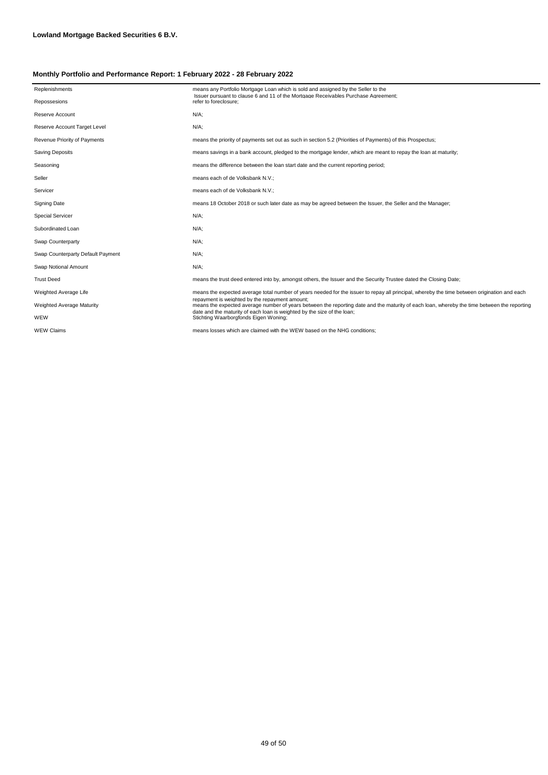| Replenishments                    | means any Portfolio Mortgage Loan which is sold and assigned by the Seller to the                                                                                                             |
|-----------------------------------|-----------------------------------------------------------------------------------------------------------------------------------------------------------------------------------------------|
| Repossesions                      | Issuer pursuant to clause 6 and 11 of the Mortgage Receivables Purchase Agreement:<br>refer to foreclosure:                                                                                   |
| Reserve Account                   | $N/A$ ;                                                                                                                                                                                       |
| Reserve Account Target Level      | $N/A$ ;                                                                                                                                                                                       |
| Revenue Priority of Payments      | means the priority of payments set out as such in section 5.2 (Priorities of Payments) of this Prospectus;                                                                                    |
| <b>Saving Deposits</b>            | means savings in a bank account, pledged to the mortgage lender, which are meant to repay the loan at maturity;                                                                               |
| Seasoning                         | means the difference between the loan start date and the current reporting period;                                                                                                            |
| Seller                            | means each of de Volksbank N.V.;                                                                                                                                                              |
| Servicer                          | means each of de Volksbank N.V.;                                                                                                                                                              |
| <b>Signing Date</b>               | means 18 October 2018 or such later date as may be agreed between the Issuer, the Seller and the Manager;                                                                                     |
| <b>Special Servicer</b>           | $N/A$ ;                                                                                                                                                                                       |
| Subordinated Loan                 | $N/A$ ;                                                                                                                                                                                       |
| Swap Counterparty                 | $N/A$ ;                                                                                                                                                                                       |
| Swap Counterparty Default Payment | $N/A$ ;                                                                                                                                                                                       |
| Swap Notional Amount              | $N/A$ ;                                                                                                                                                                                       |
| <b>Trust Deed</b>                 | means the trust deed entered into by, amongst others, the Issuer and the Security Trustee dated the Closing Date;                                                                             |
| Weighted Average Life             | means the expected average total number of years needed for the issuer to repay all principal, whereby the time between origination and each                                                  |
| Weighted Average Maturity         | repayment is weighted by the repayment amount;<br>means the expected average number of years between the reporting date and the maturity of each loan, whereby the time between the reporting |
| WEW                               | date and the maturity of each loan is weighted by the size of the loan:<br>Stichting Waarborgfonds Eigen Woning;                                                                              |
| <b>WEW Claims</b>                 | means losses which are claimed with the WEW based on the NHG conditions:                                                                                                                      |